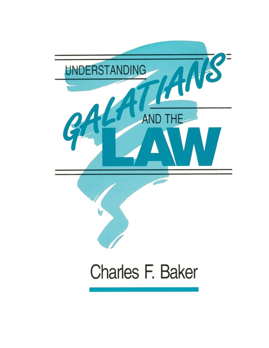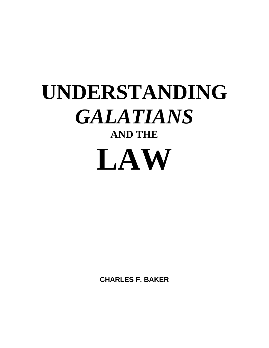# **UNDERSTANDING** *GALATIANS* **AND THE LAW**

**CHARLES F. BAKER**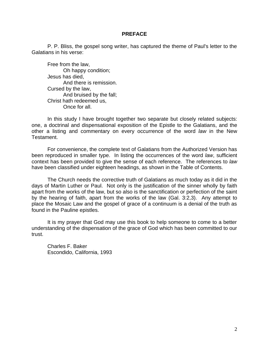#### **PREFACE**

P. P. Bliss, the gospel song writer, has captured the theme of Paul's letter to the Galatians in his verse:

Free from the law, Oh happy condition; Jesus has died, And there is remission. Cursed by the law, And bruised by the fall; Christ hath redeemed us, Once for all.

In this study I have brought together two separate but closely related subjects: one, a doctrinal and dispensational exposition of the Epistle to the Galatians, and the other a listing and commentary on every occurrence of the word *law* in the New Testament.

For convenience, the complete text of Galatians from the Authorized Version has been reproduced in smaller type. In listing the occurrences of the word *law*, sufficient context has been provided to give the sense of each reference. The references to *law* have been classified under eighteen headings, as shown in the Table of Contents.

The Church needs the corrective truth of Galatians as much today as it did in the days of Martin Luther or Paul. Not only is the justification of the sinner wholly by faith apart from the works of the law, but so also is the sanctification or perfection of the saint by the hearing of faith, apart from the works of the law (Gal. 3:2,3). Any attempt to place the Mosaic Law and the gospel of grace of a continuum is a denial of the truth as found in the Pauline epistles.

It is my prayer that God may use this book to help someone to come to a better understanding of the dispensation of the grace of God which has been committed to our trust.

Charles F. Baker Escondido, California, 1993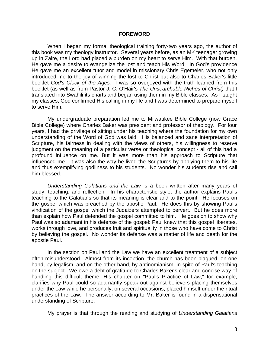#### **FOREWORD**

When I began my formal theological training forty-two years ago, the author of this book was my theology instructor. Several years before, as an MK teenager growing up in Zaire, the Lord had placed a burden on my heart to serve Him. With that burden, He gave me a desire to evangelize the lost and teach His Word. In God's providence He gave me an excellent tutor and model in missionary Chris Egemeier, who not only introduced me to the joy of winning the lost to Christ but also to Charles Baker's little booklet *God's Clock of the Ages.* I was so overjoyed with the truth learned from this booklet (as well as from Pastor J. C. O'Hair's *The Unsearchable Riches of Christ)* that I translated into Swahili its charts and began using them in my Bible classes. As I taught my classes, God confirmed His calling in my life and I was determined to prepare myself to serve Him.

My undergraduate preparation led me to Milwaukee Bible College (now Grace Bible College) where Charles Baker was president and professor of theology. For four years, I had the privilege of sitting under his teaching where the foundation for my own understanding of the Word of God was laid. His balanced and sane interpretation of Scripture, his fairness in dealing with the views of others, his willingness to reserve judgment on the meaning of a particular verse or theological concept - all of this had a profound influence on me. But it was more than his approach to Scripture that influenced me - it was also the way he lived the Scriptures by applying them to his life and thus exemplifying godliness to his students. No wonder his students rise and call him blessed.

*Understanding Galatians and the Law* is a book written after many years of study, teaching, and reflection. In his characteristic style, the author explains Paul's teaching to the Galatians so that its meaning is clear and to the point. He focuses on the gospel which was preached by the apostle Paul. He does this by showing Paul's vindication of the gospel which the Judaizers attempted to pervert. But he does more than explain how Paul defended the gospel committed to him. He goes on to show why Paul was so adamant in his defense of the gospel: Paul knew that this gospel liberates, works through love, and produces fruit and spirituality in those who have come to Christ by believing the gospel. No wonder its defense was a matter of life and death for the apostle Paul.

In the section on Paul and the Law we have an excellent treatment of a subject often misunderstood. Almost from its inception, the church has been plagued, on one hand, by legalism, and on the other hand, by antinomianism, in spite of Paul's teaching on the subject. We owe a debt of gratitude to Charles Baker's clear and concise way of handling this difficult theme. His chapter on "Paul's Practice of Law," for example, clarifies why Paul could so adamantly speak out against believers placing themselves under the Law while he personally, on several occasions, placed himself under the ritual practices of the Law. The answer according to Mr. Baker is found in a dispensational understanding of Scripture.

My prayer is that through the reading and studying of *Understanding Galatians*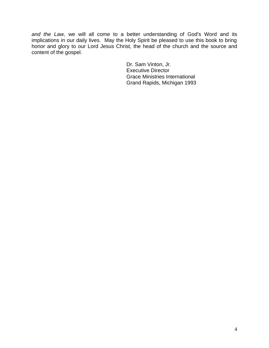*and the Law,* we will all come to a better understanding of God's Word and its implications in our daily lives. May the Holy Spirit be pleased to use this book to bring honor and glory to our Lord Jesus Christ, the head of the church and the source and content of the gospel.

> Dr. Sam Vinton, Jr. Executive Director Grace Ministries International Grand Rapids, Michigan 1993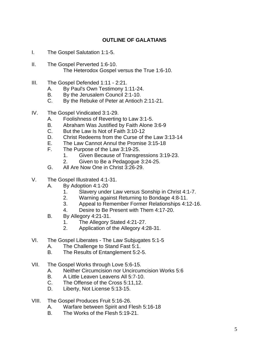# **OUTLINE OF GALATIANS**

- I. The Gospel Salutation 1:1-5.
- II. The Gospel Perverted 1:6-10. The Heterodox Gospel versus the True 1:6-10.
- III. The Gospel Defended 1:11 2:21.
	- A. By Paul's Own Testimony 1:11-24.
	- B. By the Jerusalem Council 2:1-10.
	- C. By the Rebuke of Peter at Antioch 2:11-21.
- IV. The Gospel Vindicated 3:1-29.
	- A. Foolishness of Reverting to Law 3:1-5.
	- B. Abraham Was Justified by Faith Alone 3:6-9
	- C. But the Law Is Not of Faith 3:10-12
	- D. Christ Redeems from the Curse of the Law 3:13-14
	- E. The Law Cannot Annul the Promise 3:15-18
	- F. The Purpose of the Law 3:19-25.
		- 1. Given Because of Transgressions 3:19-23.
		- 2. Given to Be a Pedagogue 3:24-25.
	- G. All Are Now One in Christ 3:26-29.
- V. The Gospel Illustrated 4:1-31.
	- A. By Adoption 4:1-20
		- 1. Slavery under Law versus Sonship in Christ 4:1-7.
		- 2. Warning against Returning to Bondage 4:8-11.
		- 3. Appeal to Remember Former Relationships 4:12-16.
		- 4. Desire to Be Present with Them 4:17-20.
	- B. By Allegory 4:21-31.
		- 1. The Allegory Stated 4:21-27.
		- 2. Application of the Allegory 4:28-31.
- VI. The Gospel Liberates The Law Subjugates 5:1-5
	- A. The Challenge to Stand Fast 5:1.
	- B. The Results of Entanglement 5:2-5.
- VII. The Gospel Works through Love 5:6-15.
	- A. Neither Circumcision nor Uncircumcision Works 5:6
	- B. A Little Leaven Leavens All 5:7-10.
	- C. The Offense of the Cross 5:11,12.
	- D. Liberty, Not License 5:13-15.
- VIII. The Gospel Produces Fruit 5:16-26.
	- A. Warfare between Spirit and Flesh 5:16-18
	- B. The Works of the Flesh 5:19-21.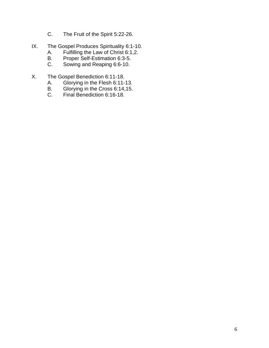- C. The Fruit of the Spirit 5:22-26.
- IX. The Gospel Produces Spirituality 6:1-10.
	- A. Fulfilling the Law of Christ 6:1,2.<br>B. Proper Self-Estimation 6:3-5.
	- B. Proper Self-Estimation 6:3-5.<br>C. Sowing and Reaping 6:6-10.
	- Sowing and Reaping 6:6-10.
- X. The Gospel Benediction 6:11-18.
	- A. Glorying in the Flesh 6:11-13.
	- B. Glorying in the Cross 6:14,15.
	- C. Final Benediction 6:16-18.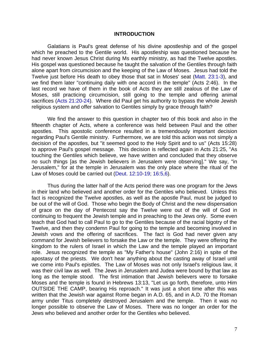#### **INTRODUCTION**

Galatians is Paul's great defense of his divine apostleship and of the gospel which he preached to the Gentile world. His apostleship was questioned because he had never known Jesus Christ during Ms earthly ministry, as had the Twelve apostles. His gospel was questioned because he taught the salvation of the Gentiles through faith alone apart from circumcision and the keeping of the Law of Moses. Jesus had told the Twelve just before His death to obey those that sat in Moses' seat (Matt. 23:1-3), and we find them later "continuing daily with one accord in the temple" (Acts 2:46). In the last record we have of them in the book of Acts they are still zealous of the Law of Moses, still practicing circumcision, still going to the temple and offering animal sacrifices (Acts 21:20-24). Where did Paul get his authority to bypass the whole Jewish religious system and offer salvation to Gentiles simply by grace through faith?

We find the answer to this question in chapter two of this book and also in the fifteenth chapter of Acts, where a conference was held between Paul and the other apostles. This apostolic conference resulted in a tremendously important decision regarding Paul's Gentile ministry. Furthermore, we are told this action was not simply a decision of the apostles, but "it seemed good to the Holy Spirit and to us" (Acts 15:28) to approve Paul's gospel message. This decision is reflected again in Acts 21:25, "As touching the Gentiles which believe, we have written and concluded that they observe no such things [as the Jewish believers in Jerusalem were observing]." We say, "in Jerusalem," for at the temple in Jerusalem was the only place where the ritual of the Law of Moses could be carried out (Deut. 12:10-19; 16:5,6).

Thus during the latter half of the Acts period there was one program for the Jews in their land who believed and another order for the Gentiles who believed. Unless this fact is recognized the Twelve apostles, as well as the apostle Paul, must be judged to be out of the will of God. Those who begin the Body of Christ and the new dispensation of grace on the day of Pentecost say the Twelve were out of the will of God in continuing to frequent the Jewish temple and in preaching to the Jews only. Some even teach that God had to call Paul to go to the Gentiles because of the racial bigotry of the Twelve, and then they condemn Paul for going to the temple and becoming involved in Jewish vows and the offering of sacrifices. The fact is God had never given any command for Jewish believers to forsake the Law or the temple. They were offering the kingdom to the rulers of Israel in which the Law and the temple played an important role. Jesus recognized the temple as "My Father's house" (John 2:16) in spite of the apostasy of the priests. We don't hear anything about the casting away of Israel until we come into Paul's epistles. The Law of Moses was not only Israel's religious law, it was their civil law as well. The Jews in Jerusalem and Judea were bound by that law as long as the temple stood. The first intimation that Jewish believers were to forsake Moses and the temple is found in Hebrews 13:13, "Let us go forth, therefore, unto Him OUTSIDE THE CAMP, bearing His reproach." It was just a short time after this was written that the Jewish war against Rome began in A.D. 65, and in A.D. 70 the Roman army under Titus completely destroyed Jerusalem and the temple. Then it was no longer possible to observe the Law of Moses. There was no longer an order for the Jews who believed and another order for the Gentiles who believed.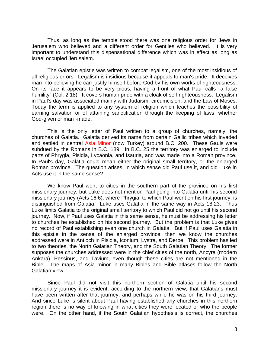Thus, as long as the temple stood there was one religious order for Jews in Jerusalem who believed and a different order for Gentiles who believed. It is very important to understand this dispensational difference which was in effect as long as Israel occupied Jerusalem.

The Galatian epistle was written to combat legalism, one of the most insidious of all religious errors. Legalism is insidious because it appeals to man's pride. It deceives man into believing he can justify himself before God by his own works of righteousness. On its face it appears to be very pious, having a front of what Paul calls "a false humility" (Col. 2:18). It covers human pride with a cloak of self-righteousness. Legalism in Paul's day was associated mainly with Judaism, circumcision, and the Law of Moses. Today the term is applied to any system of religion which teaches the possibility of earning salvation or of attaining sanctification through the keeping of laws, whether God-given or man`-made.

This is the only letter of Paul written to a group of churches, namely, the churches of Galatia. Galatia derived its name from certain Gallic tribes which invaded and settled in central Asia Minor (now Turkey) around B.C. 200. These Gauls were subdued by the Romans in B.C. 189. In B.C. 25 the territory was enlarged to include parts of Phrygia, Pisidia, Lycaonia, and Isauria, and was made into a Roman province. In Paul's day, Galatia could mean either the original small territory, or the enlarged Roman province. The question arises, in which sense did Paul use it, and did Luke in Acts use it in the same sense?

We know Paul went to cities in the southern part of the province on his first missionary journey, but Luke does not mention Paul going into Galatia until his second missionary journey (Acts 16:6), where Phrygia, to which Paul went on his first journey, is distinguished from Galatia. Luke uses Galatia in the same way in Acts 18:23. Thus Luke limits Galatia to the original small territory to which Paul did not go until his second journey. Now, if Paul uses Galatia in this same sense, he must be addressing his letter to churches he established on his second journey. But the problem is that Luke gives no record of Paul establishing even one church in Galatia. But if Paul uses Galatia in this epistle in the sense of the enlarged province, then we know the churches addressed were in Antioch in Pisidia, Iconium, Lystra, and Derbe. This problem has led to two theories, the North Galatian Theory, and the South Galatian Theory. The former supposes the churches addressed were in the chief cities of the north, Ancyra (modern Ankara), Pessinus, and Tavium, even though these cities are not mentioned in the Bible. The maps of Asia minor in many Bibles and Bible atlases follow the North Galatian view.

Since Paul did not visit this northern section of Galatia until his second missionary journey it is evident, according to the northern view, that Galatians must have been written after that journey, and perhaps while he was on his third journey. And since Luke is silent about Paul having established any churches in this northern region there is no way of knowing in what cities they were located or who the people were. On the other hand, if the South Galatian hypothesis is correct, the churches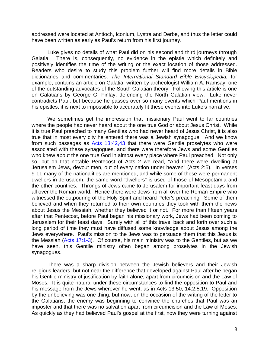addressed were located at Antioch, Iconium, Lystra and Derbe, and thus the letter could have been written as early as Paul's return from his first journey.

Luke gives no details of what Paul did on his second and third journeys through Galatia. There is, consequently, no evidence in the epistle which definitely and positively identifies the time of the writing or the exact location of those addressed. Readers who desire to study this problem further will find more details in Bible dictionaries and commentaries. *The International Standard Bible Encyclopedia,* for example, contains an article on Galatia, written by archeologist William A. Ramsay, one of the outstanding advocates of the South Galatian theory. Following this article is one on Galatians by George G. Finlay, defending the North Galatian view. Luke never contradicts Paul, but because he passes over so many events which Paul mentions in his epistles, it is next to impossible to accurately fit these events into Luke's narrative.

We sometimes get the impression that missionary Paul went to far countries where the people had never heard about the one true God or about Jesus Christ. While it is true Paul preached to many Gentiles who had never heard of Jesus Christ, it is also true that in most every city he entered there was a Jewish synagogue. And we know from such passages as Acts 13:42,43 that there were Gentile proselytes who were associated with these synagogues, and there were therefore Jews and some Gentiles who knew about the one true God in almost every place where Paul preached. Not only so, but on that notable Pentecost of Acts 2 we read, "And there were dwelling at Jerusalem Jews, devout men, out of every nation under heaven" (Acts 2:5). In verses 9-11 many of the nationalities are mentioned, and while some of these were permanent dwellers in Jerusalem, the same word "dwellers" is used of those of Mesopotamia and the other countries. Throngs of Jews came to Jerusalem for important feast days from all over the Roman world. Hence there were Jews from all over the Roman Empire who witnessed the outpouring of the Holy Spirit and heard Peter's preaching. Some of them believed and when they returned to their own countries they took with them the news about Jesus the Messiah, whether they believed it or not. For more than fifteen years after that Pentecost, before Paul began his missionary work, Jews had been coming to Jerusalem for their feast days. Surely with all of this travel back and forth over such a long period of time they must have diffused some knowledge about Jesus among the Jews everywhere. Paul's mission to the Jews was to persuade them that this Jesus is the Messiah (Acts 17:1-3). Of course, his main ministry was to the Gentiles, but as we have seen, this Gentile ministry often began among proselytes in the Jewish synagogues.

There was a sharp division between the Jewish believers and their Jewish religious leaders, but not near the difference that developed against Paul after he began his Gentile ministry of justification by faith alone, apart from circumcision and the Law of Moses. It is quite natural under these circumstances to find the opposition to Paul and his message from the Jews wherever he went, as in Acts 13:50; 14:2,5,19. Opposition by the unbelieving was one thing, but now, on the occasion of the writing of the letter to the Galatians, the enemy was beginning to convince the churches that Paul was an imposter and that there was no salvation apart from circumcision and the Law of Moses. As quickly as they had believed Paul's gospel at the first, now they were turning against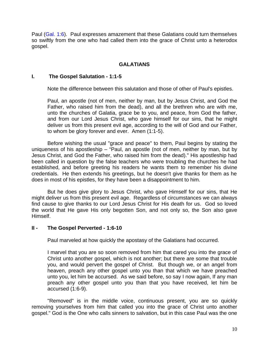Paul (Gal. 1:6). Paul expresses amazement that these Galatians could turn themselves so swiftly from the one who had called them into the grace of Christ unto a heterodox gospel.

### **GALATIANS**

#### **I. The Gospel Salutation - 1:1-5**

Note the difference between this salutation and those of other of Paul's epistles.

Paul, an apostle (not of men, neither by man, but by Jesus Christ, and God the Father, who raised him from the dead), and all the brethren who are with me, unto the churches of Galatia, grace be to you, and peace, from God the father, and from our Lord Jesus Christ, who gave himself for our sins, that he might deliver us from this present evil age, according to the will of God and our Father, to whom be glory forever and ever. Amen (1:1-5).

Before wishing the usual "grace and peace" to them, Paul begins by stating the uniqueness of his apostleship – "Paul, an apostle (not of men, neither by man, but by Jesus Christ, and God the Father, who raised him from the dead)." His apostleship had been called in question by the false teachers who were troubling the churches he had established, and before greeting his readers he wants them to remember his divine credentials. He then extends his greetings, but he doesn't give thanks for them as he does in most of his epistles, for they have been a disappointment to him.

But he does give glory to Jesus Christ, who gave Himself for our sins, that He might deliver us from this present evil age. Regardless of circumstances we can always find cause to give thanks to our Lord Jesus Christ for His death for us. God so loved the world that He gave His only begotten Son, and not only so, the Son also gave Himself.

#### **II - The Gospel Perverted - 1:6-10**

Paul marveled at how quickly the apostasy of the Galatians had occurred.

I marvel that you are so soon removed from him that cared you into the grace of Christ unto another gospel, which is not another; but there are some that trouble you, and would pervert the gospel of Christ. But though we, or an angel from heaven, preach any other gospel unto you than that which we have preached unto you, let him be accursed. As we said before, so say I now again, If any man preach any other gospel unto you than that you have received, let him be accursed (1:6-9).

"Removed" is in the middle voice, continuous present, you are so quickly removing yourselves from him that called you into the grace of Christ unto another gospel." God is the One who calls sinners to salvation, but in this case Paul was the one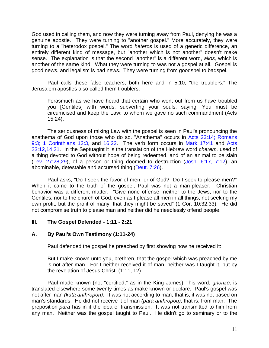God used in calling them, and now they were turning away from Paul, denying he was a genuine apostle. They were turning to "another gospel." More accurately, they were turning to a "heterodox gospel." The word *heteros* is used of a generic difference, an entirely different kind of message, but "another which is not another" doesn't make sense. The explanation is that the second "another" is a different word, *allos,* which is another of the same kind. What they were turning to was not a gospel at all. Gospel is good news, and legalism is bad news. They were turning from goodspel to badspel.

Paul calls these false teachers, both here and in 5:10, "the troublers." The Jerusalem apostles also called them troublers:

Forasmuch as we have heard that certain who went out from us have troubled you [Gentiles] with words, subverting your souls, saying, You must be circumcised and keep the Law; to whom we gave no such commandment (Acts 15:24).

The seriousness of mixing Law with the gospel is seen in Paul's pronouncing the anathema of God upon those who do so. "Anathema" occurs in Acts 23:14; Romans 9:3; 1 Corinthians 12:3, and 16:22. The verb form occurs in Mark 17:41 and Acts 23:12,14,21. In the Septuagint it is the translation of the Hebrew word *cherem,* used of a thing devoted to God without hope of being redeemed, and of an animal to be slain (Lev. 27:28,29), of a person or thing doomed to destruction (Josh. 6:17, 7:12), an abominable, detestable and accursed thing (Deut. 7:26).

Paul asks, "Do I seek the favor of men, or of God? Do I seek to please men?" When it came to the truth of the gospel, Paul was not a man-pleaser. Christian behavior was a different matter. "Give none offense, neither to the Jews, nor to the Gentiles, nor to the church of God: even as I please all men in all things, not seeking my own profit, but the profit of many, that they might be saved" (1 Cor. 10:32,33). He did not compromise truth to please man and neither did he needlessly offend people.

# **III. The Gospel Defended - 1:11 - 2:21**

#### **A. By Paul's Own Testimony (1:11-24)**

Paul defended the gospel he preached by first showing how he received it:

But I make known unto you, brethren, that the gospel which was preached by me is not after man. For I neither received it of man, neither was I taught it, but by the revelation of Jesus Christ. (1:11, 12)

Paul made known (not "certified," as in the King James) This word, *gnorizo,* is translated elsewhere some twenty times as make known or declare. Paul's gospel was not after man *(kata anthropon).* It was not according to man, that is, it was not based on man's standards. He did not receive it of man *(para anthropou),* that is, from man. The preposition *para* has in it the idea of transmission. It was not transmitted to him from any man. Neither was the gospel taught to Paul. He didn't go to seminary or to the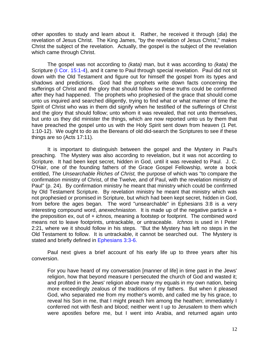other apostles to study and learn about it. Rather, he received it through (*dia*) the revelation of Jesus Christ. The King James, "by the revelation of Jesus Christ," makes Christ the subject of the revelation. Actually, the gospel is the subject of the revelation which came through Christ.

The gospel was not according to *(kata)* man, but it was according to *(kata)* the Scripture (I Cor. 15:1-4), and it came to Paul through special revelation. Paul did not sit down with the Old Testament and figure out for himself the gospel from its types and shadows and predictions. God had the prophets write down facts concerning the sufferings of Christ and the glory that should follow so these truths could be confirmed after they had happened. The prophets who prophesied of the grace that should come unto us inquired and searched diligently, trying to find what or what manner of time the Spirit of Christ who was in them did signify when he testified of the sufferings of Christ and the glory that should follow; unto whom it was revealed, that not unto themselves, but unto us they did minister the things, which are now reported unto us by them that have preached the gospel unto us with the Holy Spirit sent down from heaven (1 Pet. 1:10-12). We ought to do as the Bereans of old did-search the Scriptures to see if these things are so (Acts 17:11).

It is important to distinguish between the gospel and the Mystery in Paul's preaching. The Mystery was also according to revelation, but it was not according to Scripture. It had been kept secret, hidden in God, until it was revealed to Paul. J. C. O'Hair, one of the founding fathers of the Grace Gospel Fellowship, wrote a book entitled, *The Unsearchable Riches of Christ,* the purpose of which was "to compare the confirmation ministry of Christ, of the Twelve, and of Paul, with the revelation ministry of Paul" (p. 24). By confirmation ministry he meant that ministry which could be confirmed by Old Testament Scripture. By revelation ministry he meant that ministry which was not prophesied or promised in Scripture, but which had been kept secret, hidden in God, from before the ages began. The word "unsearchable" in Ephesians 3:8 is a very interesting compound word, *anexechniaston.* It is made up of the negative particle a + the preposition ex, out of *+ ichnos,* meaning a footstep or footprint. The combined word means not to leave footprints, untrackable, or untraceable. *Ichnos* is used in I Peter 2:21, where we it should follow in his steps. "But the Mystery has left no steps in the Old Testament to follow. It is untrackable, it cannot be searched out. The Mystery is stated and briefly defined in Ephesians 3:3-6.

Paul next gives a brief account of his early life up to three years after his conversion.

For you have heard of my conversation [manner of life] in time past in the Jews' religion, how that beyond measure I persecuted the church of God and wasted it; and profited in the Jews' religion above many my equals in my own nation, being more exceedingly zealous of the traditions of my fathers. But when it pleased God, who separated me from my mother's womb, and called me by his grace, to reveal his Son in me, that I might preach him among the heathen; immediately I conferred not with flesh and blood; neither went I up to Jerusalem to them which were apostles before me, but I went into Arabia, and returned again unto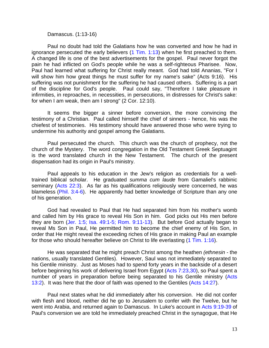Damascus. (1:13-16)

Paul no doubt had told the Galatians how he was converted and how he had in ignorance persecuted the early believers  $(1 \text{ Tim. } 1:13)$  when he first preached to them. A changed life is one of the best advertisements for the gospel. Paul never forgot the pain he had inflicted on God's people while he was a self-righteous Pharisee. Now, Paul had learned what suffering for Christ really meant. God had told Ananias, "For I will show him how great things he must suffer for my name's sake" (Acts 9:16). His suffering was not punishment for the suffering he had caused others. Suffering is a part of the discipline for God's people. Paul could say, "Therefore I take pleasure in infirmities, in reproaches, in necessities, in persecutions, in distresses for Christ's sake: for when I am weak, then am I strong" (2 Cor. 12:10).

It seems the bigger a sinner before conversion, the more convincing the testimony of a Christian. Paul called himself the chief of sinners - hence, his was the chiefest of testimonies. His testimony should have answered those who were trying to undermine his authority and gospel among the Galatians.

Paul persecuted the church. This church was the church of prophecy, not the church of the Mystery. The word congregation in the Old Testament Greek Septuagint is the word translated church in the New Testament. The church of the present dispensation had its origin in Paul's ministry.

Paul appeals to his education in the Jew's religion as credentials for a welltrained biblical scholar. He graduated *summa cum laude* from Gamaliel's rabbinic seminary (Acts 22:3). As far as his qualifications religiously were concerned, he was blameless (Phil. 3:4-6). He apparently had better knowledge of Scripture than any one of his generation.

God had revealed to Paul that He had separated him from his mother's womb and called him by His grace to reveal His Son in him. God picks out His men before they are born (Jer. 1:5; Isa. 49:1-5; Rom. 9:11-13). But before God actually began to reveal Ms Son in Paul, He permitted him to become the chief enemy of His Son, in order that He might reveal the exceeding riches of His grace in making Paul an example for those who should hereafter believe on Christ to life everlasting (1 Tim. 1:16).

He was separated that he might preach Christ among the heathen *(ethnesin -* the nations, usually translated Gentiles). However, Saul was not immediately separated to his Gentile ministry. Just as Moses had to spend forty years in the backside of a desert before beginning his work of delivering Israel from Egypt (Acts 7:23,30), so Paul spent a number of years in preparation before being separated to his Gentile ministry (Acts 13:2). It was here that the door of faith was opened to the Gentiles (Acts 14:27).

Paul next states what he did immediately after his conversion. He did not confer with flesh and blood, neither did he go to Jerusalem to confer with the Twelve, but he went into Arabia, and returned again to Damascus. In Luke's account in Acts 9:19-39 of Paul's conversion we are told he immediately preached Christ in the synagogue, that He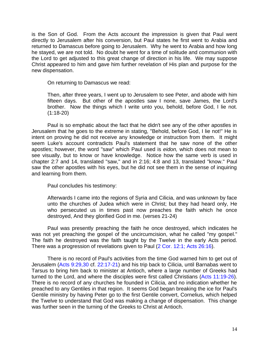is the Son of God. From the Acts account the impression is given that Paul went directly to Jerusalem after his conversion, but Paul states he first went to Arabia and returned to Damascus before going to Jerusalem. Why he went to Arabia and how long he stayed, we are not told. No doubt he went for a time of solitude and communion with the Lord to get adjusted to this great change of direction in his life. We may suppose Christ appeared to him and gave him further revelation of His plan and purpose for the new dispensation.

On returning to Damascus we read:

Then, after three years, I went up to Jerusalem to see Peter, and abode with him fifteen days. But other of the apostles saw I none, save James, the Lord's brother. Now the things which I write unto you, behold, before God, I lie not. (1:18-20)

Paul is so emphatic about the fact that he didn't see any of the other apostles in Jerusalem that he goes to the extreme in stating, "Behold, before God, I lie not!" He is intent on proving he did not receive any knowledge or instruction from them. It might seem Luke's account contradicts Paul's statement that he saw none of the other apostles; however, the word "saw" which Paul used is *eidon,* which does not mean to see visually, but to know or have knowledge. Notice how the same verb is used in chapter 2:7 and 14, translated "saw," and in 2:16; 4:8 and 13, translated "know." Paul saw the other apostles with his eyes, but he did not see them in the sense of inquiring and learning from them.

Paul concludes his testimony:

Afterwards I came into the regions of Syria and Cilicia, and was unknown by face unto the churches of Judea which were in Christ; but they had heard only, He who persecuted us in times past now preaches the faith which he once destroyed, And they glorified God in me. (verses 21-24)

Paul was presently preaching the faith he once destroyed, which indicates he was not yet preaching the gospel of the uncircumcision, what he called "my gospel." The faith he destroyed was the faith taught by the Twelve in the early Acts period. There was a progression of revelations given to Paul (2 Cor. 12:1; Acts 26:16).

There is no record of Paul's activities from the time God warned him to get out of Jerusalem (Acts 9:29,30 cf. 22:17-21) and his trip back to Cilicia, until Barnabas went to Tarsus to bring him back to minister at Antioch, where a large number of Greeks had turned to the Lord, and where the disciples were first called Christians (Acts 11:19-26). There is no record of any churches he founded in Cilicia, and no indication whether he preached to any Gentiles in that region. It seems God began breaking the ice for Paul's Gentile ministry by having Peter go to the first Gentile convert, Cornelius, which helped the Twelve to understand that God was making a change of dispensation. This change was further seen in the turning of the Greeks to Christ at Antioch.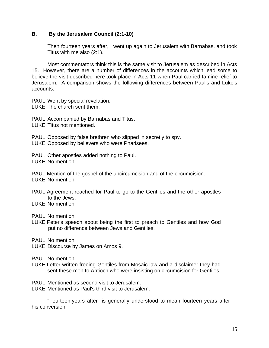#### **B. By the Jerusalem Council (2:1-10)**

Then fourteen years after, I went up again to Jerusalem with Barnabas, and took Titus with me also (2:1).

Most commentators think this is the same visit to Jerusalem as described in Acts 15. However, there are a number of differences in the accounts which lead some to believe the visit described here took place in Acts 11 when Paul carried famine relief to Jerusalem. A comparison shows the following differences between Paul's and Luke's accounts:

PAUL Went by special revelation.

LUKE The church sent them.

PAUL Accompanied by Barnabas and Titus.

LUKE Titus not mentioned.

PAUL Opposed by false brethren who slipped in secretly to spy. LUKE Opposed by believers who were Pharisees.

PAUL Other apostles added nothing to Paul.

LUKE No mention.

PAUL Mention of the gospel of the uncircumcision and of the circumcision. LUKE No mention.

PAUL Agreement reached for Paul to go to the Gentiles and the other apostles to the Jews.

LUKE No mention.

PAUL No mention.

LUKE Peter's speech about being the first to preach to Gentiles and how God put no difference between Jews and Gentiles.

PAUL No mention.

LUKE Discourse by James on Amos 9.

PAUL No mention.

- LUKE Letter written freeing Gentiles from Mosaic law and a disclaimer they had sent these men to Antioch who were insisting on circumcision for Gentiles.
- PAUL Mentioned as second visit to Jerusalem.
- LUKE Mentioned as Paul's third visit to Jerusalem.

"Fourteen years after" is generally understood to mean fourteen years after his conversion.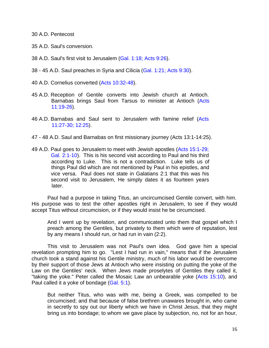30 A.D. Pentecost

- 35 A.D. Saul's conversion.
- 38 A.D. Saul's first visit to Jerusalem (Gal. 1:18; Acts 9:26).
- 38 45 A.D. Saul preaches in Syria and Cilicia (Gal. 1:21; Acts 9:30).
- 40 A.D. Cornelius converted (Acts 10:32-48).
- 45 A.D. Reception of Gentile converts into Jewish church at Antioch. Barnabas brings Saul from Tarsus to minister at Antioch (Acts 11:19-26).
- 46 A.D. Barnabas and Saul sent to Jerusalem with famine relief (Acts 11:27-30; 12:25).
- 47 48 A.D. Saul and Barnabas on first missionary journey (Acts 13:1-14:25).
- 49 A.D. Paul goes to Jerusalem to meet with Jewish apostles (Acts 15:1-29; Gal. 2:1-10). This is his second visit according to Paul and his third according to Luke. This is not a contradiction. Luke tells us of things Paul did which are not mentioned by Paul in his epistles, and vice versa. Paul does not state in Galatians 2:1 that this was his second visit to Jerusalem, He simply dates it as fourteen years later.

Paul had a purpose in taking Titus, an uncircumcised Gentile convert, with him. His purpose was to test the other apostles right in Jerusalem, to see if they would accept Titus without circumcision, or if they would insist he be circumcised.

And I went up by revelation, and communicated unto them that gospel which I preach among the Gentiles, but privately to them which were of reputation, lest by any means I should run, or had run in vain (2:2).

This visit to Jerusalem was not Paul's own idea. God gave him a special revelation prompting him to go. "Lest I had run in vain," means that if the Jerusalem church took a stand against his Gentile ministry, much of his labor would be overcome by their support of those Jews at Antioch who were insisting on putting the yoke of the Law on the Gentiles' neck. When Jews made proselytes of Gentiles they called it, "taking the yoke." Peter called the Mosaic Law an unbearable yoke (Acts 15:10), and Paul called it a yoke of bondage (Gal. 5:1).

But neither Titus, who was with me, being a Greek, was compelled to be circumcised; and that because of false brethren unawares brought in, who came in secretly to spy out our liberty which we have in Christ Jesus, that they might bring us into bondage; to whom we gave place by subjection, no, not for an hour,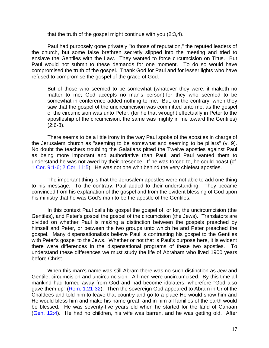that the truth of the gospel might continue with you (2:3,4).

Paul had purposely gone privately "to those of reputation," the reputed leaders of the church, but some false brethren secretly slipped into the meeting and tried to enslave the Gentiles with the Law. They wanted to force circumcision on Titus. But Paul would not submit to these demands for one moment. To do so would have compromised the truth of the gospel. Thank God for Paul and for lesser lights who have refused to compromise the gospel of the grace of God.

But of those who seemed to be somewhat (whatever they were, it maketh no matter to me; God accepts no man's person)-for they who seemed to be somewhat in conference added nothing to me. But, on the contrary, when they saw that the gospel of the uncircumcision was committed unto me, as the gospel of the circumcision was unto Peter, (for he that wrought effectually in Peter to the apostleship of the circumcision, the same was mighty in me toward the Gentiles)  $(2:6-8)$ .

There seems to be a little irony in the way Paul spoke of the apostles in charge of the Jerusalem church as "seeming to be somewhat and seeming to be pillars" (v. 9). No doubt the teachers troubling the Galatians pitted the Twelve apostles against Paul as being more important and authoritative than Paul, and Paul wanted them to understand he was not awed by their presence. If he was forced to, he could boast (cf. 1 Cor. 9:1-6; 2 Cor. 11:5). He was not one whit behind the very chiefest apostles.

The important thing is that the Jerusalem apostles were not able to add one thing to his message. To the contrary, Paul added to their understanding. They became convinced from his explanation of the gospel and from the evident blessing of God upon his ministry that he was God's man to be the apostle of the Gentiles.

In this context Paul calls his gospel the gospel of, or for, the uncircumcision (the Gentiles), and Peter's gospel the gospel of the circumcision (the Jews). Translators are divided on whether Paul is making a distinction between the gospels preached by himself and Peter, or between the two groups unto which he and Peter preached the gospel. Many dispensationalists believe Paul is contrasting his gospel to the Gentiles with Peter's gospel to the Jews. Whether or not that is Paul's purpose here, it is evident there were differences in the dispensational programs of these two apostles. To understand these differences we must study the life of Abraham who lived 1900 years before Christ.

When this man's name was still Abram there was no such distinction as Jew and Gentile, circumcision and uncircumcision. All men were uncircumcised. By this time all mankind had turned away from God and had become idolaters; wherefore "God also gave them up" (Rom. 1:21-32). Then the sovereign God appeared to Abram in Ur of the Chaldees and told him to leave that country and go to a place He would show him and He would bless him and make his name great, and in him all families of the earth would be blessed. He was seventy-five years old when he started for the land of Canaan (Gen. 12:4). He had no children, his wife was barren, and he was getting old. After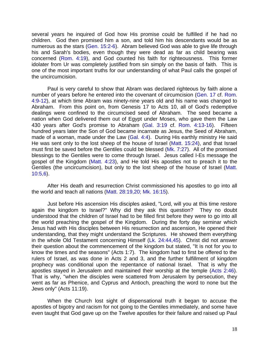several years he inquired of God how His promise could be fulfilled if he had no children. God then promised him a son, and told him his descendants would be as numerous as the stars (Gen. 15:2-6). Abram believed God was able to give life through his and Sarah's bodies, even though they were dead as far as child bearing was concerned (Rom. 4:19), and God counted his faith for righteousness. This former idolater from Ur was completely justified from sin simply on the basis of faith. This is one of the most important truths for our understanding of what Paul calls the gospel of the uncircumcision.

Paul is very careful to show that Abram was declared righteous by faith alone a number of years before he entered into the covenant of circumcision (Gen. 17 cf. Rom. 4:9-12), at which time Abram was ninety-nine years old and his name was changed to Abraham. From this point on, from Genesis 17 to Acts 10, all of God's redemptive dealings were confined to the circumcised seed of Abraham. The seed became a nation when God delivered them out of Egypt under Moses, who gave them the Law 430 years after God's promise to Abraham (Gal. 3:19 cf. Rom. 4:13-16). Fifteen hundred years later the Son of God became incarnate as Jesus, the Seed of Abraham, made of a woman, made under the Law (Gal. 4:4). During His earthly ministry He said He was sent only to the lost sheep of the house of Israel (Matt. 15:24), and that Israel must first be saved before the Gentiles could be blessed (Mk. 7:27). All of the promised blessings to the Gentiles were to come through Israel. Jesus called I-Es message the gospel of the Kingdom (Matt. 4:23), and He told His apostles not to preach it to the Gentiles (the uncircumcision), but only to the lost sheep of the house of Israel (Matt. 10:5,6).

After His death and resurrection Christ commissioned his apostles to go into all the world and teach all nations (Matt. 28:19,20; Mk. 16:15).

Just before His ascension His disciples asked, "Lord, will you at this time restore again the kingdom to Israel?" Why did they ask this question? They no doubt understood that the children of Israel had to be filled first before they were to go into all the world preaching the gospel of the Kingdom. During the forty day seminar which Jesus had with His disciples between His resurrection and ascension, He opened their understanding, that they might understand the Scriptures. He showed them everything in the whole Old Testament concerning Himself (Lk. 24:44,45). Christ did not answer their question about the commencement of the kingdom but stated, "It is not for you to know the times and the seasons" (Acts 1:7). The kingdom had to first be offered to the rulers of Israel, as was done in Acts 2 and 3, and the further fulfillment of kingdom prophecy was conditional upon the repentance of national Israel. That is why the apostles stayed in Jerusalem and maintained their worship at the temple (Acts 2:46). That is why, "when the disciples were scattered from Jerusalem by persecution, they went as far as Phenice, and Cyprus and Antioch, preaching the word to none but the Jews only" (Acts 11:19).

When the Church lost sight of dispensational truth it began to accuse the apostles of bigotry and racism for not going to the Gentiles immediately, and some have even taught that God gave up on the Twelve apostles for their failure and raised up Paul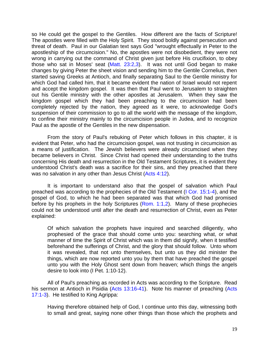so He could get the gospel to the Gentiles. How different are the facts of Scripture! The apostles were filled with the Holy Spirit. They stood boldly against persecution and threat of death. Paul in our Galatian text says God "wrought effectually in Peter to the apostleship of the circumcision." No, the apostles were not disobedient, they were not wrong in carrying out the command of Christ given just before His crucifixion, to obey those who sat in Moses' seat (Matt. 23:2,3). It was not until God began to make changes by giving Peter the sheet vision and sending him to the Gentile Cornelius, then started saving Greeks at Antioch, and finally separating Saul to the Gentile ministry for which God had called him, that it became evident the nation of Israel would not repent and accept the kingdom gospel. It was then that Paul went to Jerusalem to straighten out his Gentile ministry with the other apostles at Jerusalem. When they saw the kingdom gospel which they had been preaching to the circumcision had been completely rejected by the nation, they agreed as it were, to acknowledge God's suspension of their commission to go to all the world with the message of the kingdom, to confine their ministry mainly to the circumcision people in Judea, and to recognize Paul as the apostle of the Gentiles in the new dispensation.

From the story of Paul's rebuking of Peter which follows in this chapter, it is evident that Peter, who had the circumcision gospel, was not trusting in circumcision as a means of justification. The Jewish believers were already circumcised when they became believers in Christ. Since Christ had opened their understanding to the truths concerning His death and resurrection in the Old Testament Scriptures, it is evident they understood Christ's death was a sacrifice for their sins, and they preached that there was no salvation in any other than Jesus Christ (Acts 4:12).

It is important to understand also that the gospel of salvation which Paul preached was according to the prophecies of the Old Testament (I Cor. 15:1-4), and the gospel of God, to which he had been separated was that which God had promised before by his prophets in the holy Scriptures (Rom. 1:1,2). Many of these prophecies could not be understood until after the death and resurrection of Christ, even as Peter explained:

Of which salvation the prophets have inquired and searched diligently, who prophesied of the grace that should come unto you: searching what, or what manner of time the Spirit of Christ which was in them did signify, when it testified beforehand the sufferings of Christ, and the glory that should follow. Unto whom it was revealed, that not unto themselves, but unto us they did minister the things, which are now reported unto you by them that have preached the gospel unto you with the Holy Ghost sent down from heaven; which things the angels desire to look into (I Pet. 1:10-12).

All of Paul's preaching as recorded in Acts was according to the Scripture. Read his sermon at Antioch in Pisidia (Acts 13:16-41). Note his manner of preaching (Acts 17:1-3). He testified to King Agrippa:

Having therefore obtained help of God, I continue unto this day, witnessing both to small and great, saying none other things than those which the prophets and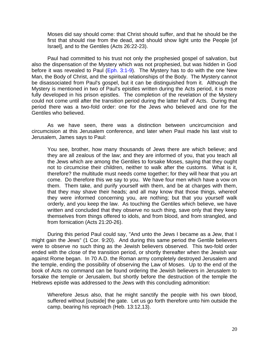Moses did say should come: that Christ should suffer, and that he should be the first that should rise from the dead, and should show light unto the People [of Israel], and to the Gentiles (Acts 26:22-23).

Paul had committed to his trust not only the prophesied gospel of salvation, but also the dispensation of the Mystery which was not prophesied, but was hidden in God before it was revealed to Paul (Eph. 3:1-9). The Mystery has to do with the one New Man, the Body of Christ, and the spiritual relationships of the Body. The Mystery cannot be disassociated from Paul's gospel, but it can be distinguished from it. Although the Mystery is mentioned in two of Paul's epistles written during the Acts period, it is more fully developed in his prison epistles. The completion of the revelation of the Mystery could not come until after the transition period during the latter half of Acts. During that period there was a two-fold order: one for the Jews who believed and one for the Gentiles who believed.

As we have seen, there was a distinction between uncircumcision and circumcision at this Jerusalem conference, and later when Paul made his last visit to Jerusalem, James says to Paul:

You see, brother, how many thousands of Jews there are which believe; and they are all zealous of the law; and they are informed of you, that you teach all the Jews which are among the Gentiles to forsake Moses, saying that they ought not to circumcise their children, neither to walk after the customs. What is it, therefore? the multitude must needs come together; for they will hear that you art come. Do therefore this we say to you. We have four men which have a vow on them. Them take, and purify yourself with them, and be at charges with them, that they may shave their heads; and all may know that those things, whereof they were informed concerning you, are nothing; but that you yourself walk orderly, and you keep the law. As touching the Gentiles which believe, we have written and concluded that they observe no such thing, save only that they keep themselves from things offered to idols, and from blood, and from strangled, and from fornication (Acts 21:20-26).

During this period Paul could say, "And unto the Jews I became as a Jew, that I might gain the Jews" (1 Cor. 9:20). And during this same period the Gentile believers were to observe no such thing as the Jewish believers observed. This two-fold order ended with the close of the transition period, or shortly thereafter when the Jewish war against Rome began. In 70 A.D. the Roman army completely destroyed Jerusalem and the temple, ending the possibility of observing the Law of Moses. Up to the end of the book of Acts no command can be found ordering the Jewish believers in Jerusalem to forsake the temple or Jerusalem, but shortly before the destruction of the temple the Hebrews epistle was addressed to the Jews with this concluding admonition:

Wherefore Jesus also, that he might sanctify the people with his own blood, suffered without [outside] the gate. Let us go forth therefore unto him outside the camp, bearing his reproach (Heb. 13:12,13).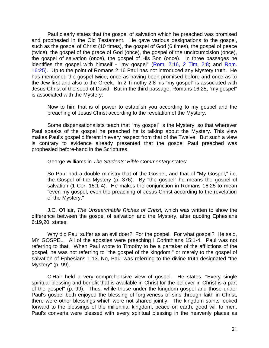Paul clearly states that the gospel of salvation which he preached was promised and prophesied in the Old Testament. He gave various designations to the gospel, such as the gospel of Christ (10 times), the gospel of God (6 times), the gospel of peace (twice), the gospel of the grace of God (once), the gospel of the uncircumcision (once), the gospel of salvation (once), the gospel of His Son (once). In three passages he identifies the gospel with himself - "my gospel" (Rom. 2:16, 2 Tim. 2:8; and Rom. 16:25). Up to the point of Romans 2:16 Paul has not introduced any Mystery truth. He has mentioned the gospel twice, once as having been promised before and once as to the Jew first and also to the Greek. In 2 Timothy 2:8 his "my gospel" is associated with Jesus Christ of the seed of David. But in the third passage, Romans 16:25, "my gospel" is associated with the Mystery:

Now to him that is of power to establish you according to my gospel and the preaching of Jesus Christ according to the revelation of the Mystery.

Some dispensationalists teach that "my gospel" is the Mystery, so that wherever Paul speaks of the gospel he preached he is talking about the Mystery. This view makes Paul's gospel different in every respect from that of the Twelve. But such a view is contrary to evidence already presented that the gospel Paul preached was prophesied before-hand in the Scriptures.

George Williams in *The Students' Bible Commentary* states:

So Paul had a double ministry-that of the Gospel, and that of "My Gospel," i.e. the Gospel of the Mystery (p. 376). By "the gospel" he means the gospel of salvation (1 Cor. 15:1-4). He makes the conjunction in Romans 16:25 to mean "even my gospel, even the preaching of Jesus Christ according to the revelation of the Mystery."

J.C. O'Hair, *The Unsearchable Riches of Christ,* which was written to show the difference between the gospel of salvation and the Mystery, after quoting Ephesians 6:19,20, states:

Why did Paul suffer as an evil doer? For the gospel. For what gospel? He said, MY GOSPEL. All of the apostles were preaching I Corinthians 15:1-4. Paul was not referring to that. When Paul wrote to Timothy to be a partaker of the afflictions of the gospel, he was not referring to "the gospel of the kingdom," or merely to the gospel of salvation of Ephesians 1:13. No, Paul was referring to the divine truth designated "the Mystery" (p. 99).

O'Hair held a very comprehensive view of gospel. He states, "Every single spiritual blessing and benefit that is available in Christ for the believer in Christ is a part of the gospel" (p. 99). Thus, while those under the kingdom gospel and those under Paul's gospel both enjoyed the blessing of forgiveness of sins through faith in Christ, there were other blessings which were not shared jointly. The kingdom saints looked forward to the blessings of the millennial kingdom, peace on earth, good will to men. Paul's converts were blessed with every spiritual blessing in the heavenly places as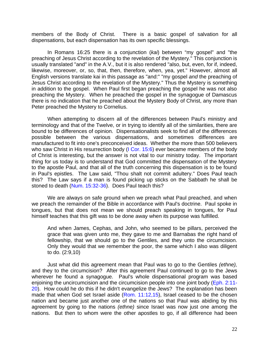members of the Body of Christ. There is a basic gospel of salvation for all dispensations, but each dispensation has its own specific blessings.

In Romans 16:25 there is a conjunction (*kai*) between "my gospel" and "the preaching of Jesus Christ according to the revelation of the Mystery." This conjunction is usually translated "and" in the A.V., but it is also rendered "also, but, even, for if, indeed, likewise, moreover, or, so, that, then, therefore, when, yea, yet." However, almost all English versions translate kai in this passage as "and:" "my gospel *and* the preaching of Jesus Christ according to the revelation of the Mystery." Thus the Mystery is something in addition to the gospel. When Paul first began preaching the gospel he was not also preaching the Mystery. When he preached the gospel in the synagogue of Damascus there is no indication that he preached about the Mystery Body of Christ, any more than Peter preached the Mystery to Cornelius.

When attempting to discern all of the differences between Paul's ministry and terminology and that of the Twelve, or in trying to identify all of the similarities, there are bound to be differences of opinion. Dispensationalists seek to find all of the differences possible between the various dispensations, and sometimes differences are manufactured to fit into one's preconceived ideas. Whether the more than 500 believers who saw Christ in His resurrection body (I Cor. 15:6) ever became members of the body of Christ is interesting, but the answer is not vital to our ministry today. The important thing for us today is to understand that God committed the dispensation of the Mystery to the apostle Paul, and that all of the truth concerning this dispensation is to be found in Paul's epistles. The Law said, "Thou shalt not commit adultery." Does Paul teach this? The Law says if a man is found picking up sticks on the Sabbath he shall be stoned to death (Num. 15:32-36). Does Paul teach this?

We are always on safe ground when we preach what Paul preached, and when we preach the remainder of the Bible in accordance with Paul's doctrine. Paul spoke in tongues, but that does not mean we should preach speaking in tongues, for Paul himself teaches that this gift was to be done away when its purpose was fulfilled.

And when James, Cephas, and John, who seemed to be pillars, perceived the grace that was given unto me, they gave to me and Barnabas the right hand of fellowship, that we should go to the Gentiles, and they unto the circumcision. Only they would that we remember the poor, the same which I also was diligent to do. (2:9,10)

Just what did this agreement mean that Paul was to go to the Gentiles *(ethne),*  and they to the circumcision? After this agreement Paul continued to go to the Jews wherever he found a synagogue. Paul's whole dispensational program was based enjoining the uncircumcision and the circumcision people into one joint body (Eph. 2:11- 20). How could he do this if he didn't evangelize the Jews? The explanation has been made that when God set Israel aside (Rom. 11:12,15), Israel ceased to be the chosen nation and became just another one of the nations so that Paul was abiding by this agreement by going to the nations *(ethne)* since Israel was now just one among the nations. But then to whom were the other apostles to go, if all difference had been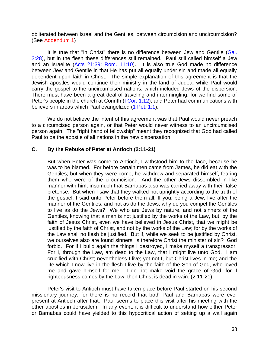obliterated between Israel and the Gentiles, between circumcision and uncircumcision? (See [Addendum 1\)](#page-65-0)

It is true that "in Christ" there is no difference between Jew and Gentile (Gal. 3:28), but in the flesh these differences still remained. Paul still called himself a Jew and an Israelite (Acts 21:39; Rom. 11:10). It is also true God made no difference between Jew and Gentile in that He has put all equally under sin and made all equally dependent upon faith in Christ. The simple explanation of this agreement is that the Jewish apostles would continue their ministry in the land of Judea, while Paul would carry the gospel to the uncircumcised nations, which included Jews of the dispersion. There must have been a great deal of traveling and intermingling, for we find some of Peter's people in the church at Corinth (I Cor. 1:12), and Peter had communications with believers in areas which Paul evangelized (1 Pet. 1:1).

We do not believe the intent of this agreement was that Paul would never preach to a circumcised person again, or that Peter would never witness to an uncircumcised person again. The "right hand of fellowship" meant they recognized that God had called Paul to be the apostle of all nations in the new dispensation.

#### **C. By the Rebuke of Peter at Antioch (2:11-21)**

But when Peter was come to Antioch, I withstood him to the face, because he was to be blamed. For before certain men came from James, he did eat with the Gentiles; but when they were come, he withdrew and separated himself, fearing them who were of the circumcision. And the other Jews dissembled in like manner with him, insomuch that Barnabas also was carried away with their false pretense. But when I saw that they walked not uprightly according to the truth of the gospel, I said unto Peter before them all, If you, being a Jew, live after the manner of the Gentiles, and not as do the Jews, why do you compel the Gentiles to live as do the Jews? We who are Jews by nature, and not sinners of the Gentiles, knowing that a man is not justified by the works of the Law, but, by the faith of Jesus Christ, even we have believed in Jesus Christ, that we might be justified by the faith of Christ, and not by the works of the Law; for by the works of the Law shall no flesh be justified. But if, while we seek to be justified by Christ, we ourselves also are found sinners, is therefore Christ the minister of sin? God forbid. For if I build again the things I destroyed, I make myself a transgressor. For I, through the Law, am dead to the Law, that I might live unto God. I am crucified with Christ; nevertheless I live; yet not I, but Christ lives in me; and the life which I now live in the flesh I live by the faith of the Son of God, who loved me and gave himself for me. I do not make void the grace of God; for if righteousness comes by the Law, then Christ is dead in vain. (2:11-21)

Peter's visit to Antioch must have taken place before Paul started on his second missionary journey, for there is no record that both Paul and Barnabas were ever present at Antioch after that. Paul seems to place this visit after his meeting with the other apostles in Jerusalem. In any event, it is difficult to understand how either Peter or Barnabas could have yielded to this hypocritical action of setting up a wall again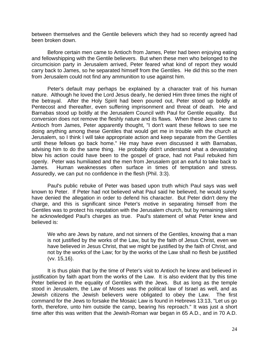between themselves and the Gentile believers which they had so recently agreed had been broken down.

Before certain men came to Antioch from James, Peter had been enjoying eating and fellowshipping with the Gentile believers. But when these men who belonged to the circumcision party in Jerusalem arrived, Peter feared what kind of report they would carry back to James, so he separated himself from the Gentiles. He did this so the men from Jerusalem could not find any ammunition to use against him.

Peter's default may perhaps be explained by a character trait of his human nature. Although he loved the Lord Jesus dearly, he denied Him three times the night of the betrayal. After the Holy Spirit had been poured out, Peter stood up boldly at Pentecost and thereafter, even suffering imprisonment and threat of death. He and Barnabas stood up boldly at the Jerusalem Council with Paul for Gentile equality. But conversion does not remove the fleshly nature and its flaws. When these Jews came to Antioch from James, Peter apparently thought, "I don't want these fellows to see me doing anything among these Gentiles that would get me in trouble with the church at Jerusalem, so I think I will take appropriate action and keep separate from the Gentiles until these fellows go back home." He may have even discussed it with Barnabas, advising him to do the same thing. He probably didn't understand what a devastating blow his action could have been to the gospel of grace, had not Paul rebuked him openly. Peter was humiliated and the men from Jerusalem got an earful to take back to James. Human weaknesses often surface in times of temptation and stress. Assuredly, we can put no confidence in the flesh (Phil. 3:3).

Paul's public rebuke of Peter was based upon truth which Paul says was well known to Peter. If Peter had not believed what Paul said he believed, he would surely have denied the allegation in order to defend his character. But Peter didn't deny the charge, and this is significant since Peter's motive in separating himself from the Gentiles was to protect his reputation with the Jerusalem church, but by remaining silent he acknowledged Paul's charges as true. Paul's statement of what Peter knew and believed is:

We who are Jews by nature, and not sinners of the Gentiles, knowing that a man is not justified by the works of the Law, but by the faith of Jesus Christ, even we have believed in Jesus Christ, that we might be justified by the faith of Christ, and not by the works of the Law; for by the works of the Law shall no flesh be justified (vv. 15,16).

It is thus plain that by the time of Peter's visit to Antioch he knew and believed in justification by faith apart from the works of the Law. It is also evident that by this time Peter believed in the equality of Gentiles with the Jews. But as long as the temple stood in Jerusalem, the Law of Moses was the political law of Israel as well, and as Jewish citizens the Jewish believers were obligated to obey the Law. The first command for the Jews to forsake the Mosaic Law is found in Hebrews 13:13, "Let us go forth, therefore, unto him outside the camp, bearing his reproach." It was just a short time after this was written that the Jewish-Roman war began in 65 A.D., and in 70 A.D.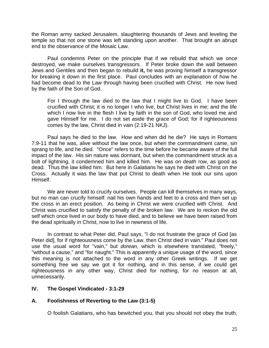the Roman army sacked Jerusalem, slaughtering thousands of Jews and leveling the temple so that not one stone was left standing upon another. That brought an abrupt end to the observance of the Mosaic Law.

Paul condemns Peter on the principle that if we rebuild that which we once destroyed, we make ourselves transgressors. If Peter broke down the wall between Jews and Gentiles and then began to rebuild **it,** he was proving himself a transgressor for breaking it down in the first place. Paul concludes with an explanation of how he had become dead to the Law through having been crucified with Christ. He now lived by the faith of the Son of God.

For I through the law died to the law that I might live to God. I have been crucified with Christ; it is no longer I who live, but Christ lives in me; and the life which I now live in the flesh I live by faith in the son of God, who loved me and gave Himself for me. I do not set aside the grace of God; for if righteousness comes by the law, Christ died in vain (2:19-21 NKJ).

Paul says he died to the law. How and when did he die? He says in Romans 7:9-11 that he was, alive without the law once, but when the commandment came, sin sprang to life, and he died. "Once" refers to the time before he became aware of the full impact of the law. His sin nature was dormant, but when the commandment struck as a bolt of lightning, it condemned him and killed him. He was on death row, as good as dead. Thus the law killed him. But here in Galatians he says he died with Christ on the Cross. Actually it was the law that put Christ to death when He took our sins upon Himself.

We are never told to crucify ourselves. People can kill themselves in many ways, but no man can crucify himself: nail his own hands and feet to a cross and then set up the cross in an erect position. As being in Christ we were crucified with Christ. And Christ was crucified to satisfy the penalty of the broken law. We are to reckon the old self which once lived in our body to have died, and to believe we have been raised from the dead spiritually in Christ, now to live in newness of life.

In contrast to what Peter did, Paul says, "I do not frustrate the grace of God [as Peter did], for if righteousness come by the Law, then Christ died in vain." Paul does not use the usual word for "vain," but *dorean,* which is elsewhere translated, "freely," "without a cause," and "for naught." This is apparently a unique usage of the word, since this meaning is not attached to the word in any other Greek writings. If we get something free we say we got it for nothing, and in this sense, if we could get righteousness in any other way, Christ died for nothing, for no reason at all, unnecessarily.

# **IV. The Gospel Vindicated - 3:1-29**

# **A. Foolishness of Reverting to the Law (3:1-5)**

O foolish Galatians, who has bewitched you, that you should not obey the truth,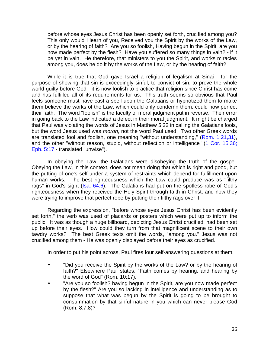before whose eyes Jesus Christ has been openly set forth, crucified among you? This only would I learn of you, Received you the Spirit by the works of the Law, or by the hearing of faith? Are you so foolish, Having begun in the Spirit, are you now made perfect by the flesh? Have you suffered so many things in vain? - if it be yet in vain. He therefore, that ministers to you the Spirit, and works miracles among you, does he do it by the works of the Law, or by the hearing of faith?

While it is true that God gave Israel a religion of legalism at Sinai - for the purpose of showing that sin is exceedingly sinful, to convict of sin, to prove the whole world guilty before God - it is now foolish to practice that religion since Christ has come and has fulfilled all of its requirements for us. This truth seems so obvious that Paul feels someone must have cast a spell upon the Galatians or hypnotized them to make them believe the works of the Law, which could only condemn them, could now perfect their faith. The word "foolish" is the faculty of moral judgment put in reverse. Their error in going back to the Law indicated a defect in their moral judgment. It might be charged that Paul was violating the words of Jesus in Matthew 5:22 in calling the Galatians fools, but the word Jesus used was *moron,* not the word Paul used. Two other Greek words are translated fool and foolish, one meaning "without understanding," (Rom. 1:21,31), and the other "without reason, stupid, without reflection or intelligence" (1 Cor. 15:36; Eph. 5:17 - translated "unwise").

In obeying the Law, the Galatians were disobeying the truth of the gospel. Obeying the Law, in this context, does not mean doing that which is right and good, but the putting of one's self under a system of restraints which depend for fulfillment upon human works. The best righteousness which the Law could produce was as "filthy rags" in God's sight (Isa. 64:6). The Galatians had put on the spotless robe of God's righteousness when they received the Holy Spirit through faith in Christ, and now they were trying to improve that perfect robe by putting their filthy rags over it.

Regarding the expression, "before whose eyes Jesus Christ has been evidently set forth," the verb was used of placards or posters which were put up to inform the public. It was as though a huge billboard, depicting Jesus Christ crucified, had been set up before their eyes. How could they turn from that magnificent scene to their own tawdry works? The best Greek texts omit the words, "among you." Jesus was not crucified among them - He was openly displayed before their eyes as crucified.

In order to put his point across, Paul fires four self-answering questions at them.

- "Did you receive the Spirit by the works of the Law? or by the hearing of faith?" Elsewhere Paul states, "Faith comes by hearing, and hearing by the word of God" (Rom. 10:17).
- "Are you so foolish? having begun in the Spirit, are you now made perfect by the flesh?" Are you so lacking in intelligence and understanding as to suppose that what was begun by the Spirit is going to be brought to consummation by that sinful nature in you which can never please God (Rom. 8:7,8)?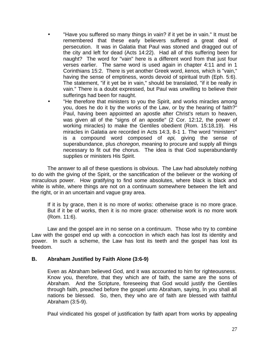- "Have you suffered so many things in vain? if it yet be in vain." It must be remembered that these early believers suffered a great deal of persecution. It was in Galatia that Paul was stoned and dragged out of the city and left for dead (Acts 14:22). Had all of this suffering been for naught? The word for "vain" here is a different word from that just four verses earlier. The same word is used again in chapter 4:11 and in 1 Corinthians 15:2. There is yet another Greek word, *kenos,* which is "vain," having the sense of emptiness, words devoid of spiritual truth (Eph. 5:6). The statement, "if it yet be in vain," should be translated, "if it be really in vain." There is a doubt expressed, but Paul was unwilling to believe their sufferings had been for naught.
- "He therefore that ministers to you the Spirit, and works miracles among you, does he do it by the works of the Law, or by the hearing of faith?" Paul, having been appointed an apostle after Christ's return to heaven, was given all of the "signs of an apostle" (2 Cor. 12:12, the power of working miracles) to make the Gentiles obedient (Rom. 15:18,19). His miracles in Galatia are recorded in Acts 14:3, 8-1 1. The word "ministers" is a compound word composed of *epi,* giving the sense of superabundance, plus *choregon,* meaning to procure and supply all things necessary to fit out the chorus. The idea is that God superabundantly supplies or ministers His Spirit.

The answer to all of these questions is obvious. The Law had absolutely nothing to do with the giving of the Spirit, or the sanctification of the believer or the working of miraculous power. How gratifying to find some absolutes, where black is black and white is white, where things are not on a continuum somewhere between the left and the right, or in an uncertain and vague gray area.

If it is by grace, then it is no more of works: otherwise grace is no more grace. But if it be of works, then it is no more grace: otherwise work is no more work (Rom. 11:6).

Law and the gospel are in no sense on a continuum. Those who try to combine Law with the gospel end up with a concoction in which each has lost its identity and power. In such a scheme, the Law has lost its teeth and the gospel has lost its freedom.

# **B. Abraham Justified by Faith Alone (3:6-9)**

Even as Abraham believed God, and it was accounted to him for righteousness. Know you, therefore, that they which are of faith, the same are the sons of Abraham. And the Scripture, foreseeing that God would justify the Gentiles through faith, preached before the gospel unto Abraham, saying, In you shall all nations be blessed. So, then, they who are of faith are blessed with faithful Abraham (3:5-9).

Paul vindicated his gospel of justification by faith apart from works by appealing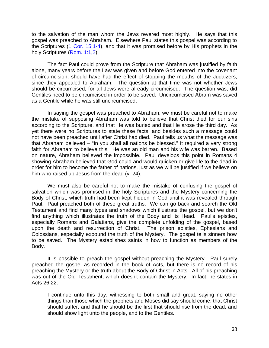to the salvation of the man whom the Jews revered most highly. He says that this gospel was preached to Abraham. Elsewhere Paul states this gospel was according to the Scriptures (1 Cor. 15:1-4), and that it was promised before by His prophets in the holy Scriptures (Rom. 1:1,2).

The fact Paul could prove from the Scripture that Abraham was justified by faith alone, many years before the Law was given and before God entered into the covenant of circumcision, should have had the effect of stopping the mouths of the Judaizers, since they appealed to Abraham. The question at that time was not whether Jews should be circumcised, for all Jews were already circumcised. The question was, did Gentiles need to be circumcised in order to be saved. Uncircumcised Abram was saved as a Gentile while he was still uncircumcised.

In saying the gospel was preached to Abraham, we must be careful not to make the mistake of supposing Abraham was told to believe that Christ died for our sins according to the Scripture, and that He was buried and that He arose the third day. As yet there were no Scriptures to state these facts, and besides such a message could not have been preached until after Christ had died. Paul tells us what the message was that Abraham believed – "In you shall all nations be blessed." It required a very strong faith for Abraham to believe this. He was an old man and his wife was barren. Based on nature, Abraham believed the impossible. Paul develops this point in Romans 4 showing Abraham believed that God could and would quicken or give life to the dead in order for him to become the father of nations, just as we will be justified if we believe on him who raised up Jesus from the dead (v. 24).

We must also be careful not to make the mistake of confusing the gospel of salvation which was promised in the holy Scriptures and the Mystery concerning the Body of Christ, which truth had been kept hidden in God until it was revealed through Paul. Paul preached both of these great truths. We can go back and search the Old Testament and find many types and shadows which illustrate the gospel, but we don't find anything which illustrates the truth of the Body and its Head. Paul's epistles, especially Romans and Galatians, give the complete unfolding of the gospel, based upon the death and resurrection of Christ. The prison epistles, Ephesians and Colossians, especially expound the truth of the Mystery. The gospel tells sinners how to be saved. The Mystery establishes saints in how to function as members of the Body.

It is possible to preach the gospel without preaching the Mystery. Paul surely preached the gospel as recorded in the book of Acts, but there is no record of his preaching the Mystery or the truth about the Body of Christ in Acts. All of his preaching was out of the Old Testament, which doesn't contain the Mystery. In fact, he states in Acts 26:22:

I continue unto this day, witnessing to both small and great, saying no other things than those which the prophets and Moses did say should come; that Christ should suffer, and that he should be the first that should rise from the dead, and should show light unto the people, and to the Gentiles.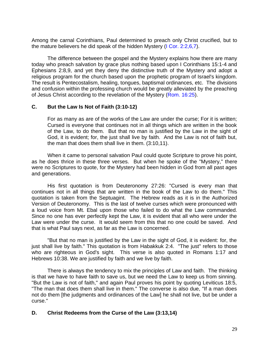Among the carnal Corinthians, Paul determined to preach only Christ crucified, but to the mature believers he did speak of the hidden Mystery (I Cor. 2:2,6,7).

The difference between the gospel and the Mystery explains how there are many today who preach salvation by grace plus nothing based upon I Corinthians 15:1-4 and Ephesians 2:8,9, and yet they deny the distinctive truth of the Mystery and adopt a religious program for the church based upon the prophetic program of Israel's kingdom. The result is Pentecostalism, healing, tongues, baptismal ordinances, etc. The divisions and confusion within the professing church would be greatly alleviated by the preaching of Jesus Christ according to the revelation of the Mystery (Rom. 16:25).

#### **C. But the Law Is Not of Faith (3:10-12)**

For as many as are of the works of the Law are under the curse; For it is written; Cursed is everyone that continues not in all things which are written in the book of the Law, to do them. But that no man is justified by the Law in the sight of God, it is evident; for, the just shall live by faith. And the Law is not of faith but, the man that does them shall live in them. (3:10,11).

When it came to personal salvation Paul could quote Scripture to prove his point, as he does thrice in these three verses. But when he spoke of the "Mystery," there were no Scriptures to quote, for the Mystery had been hidden in God from all past ages and generations.

His first quotation is from Deuteronomy 27:26: "Cursed is every man that continues not in all things that are written in the book of the Law to do them." This quotation is taken from the Septuagint. The Hebrew reads as it is in the Authorized Version of Deuteronomy. This is the last of twelve curses which were pronounced with a loud voice from Mt. Ebal upon those who failed to do what the Law commanded. Since no one has ever perfectly kept the Law, it is evident that all who were under the Law were under the curse. It would seem from this that no one could be saved. And that is what Paul says next, as far as the Law is concerned.

"But that no man is justified by the Law in the sight of God, it is evident: for, the just shall live by faith." This quotation is from Habakkuk 2:4. "The just" refers to those who are righteous in God's sight. This verse is also quoted in Romans 1:17 and Hebrews 10:38. We are justified by faith and we live by faith.

There is always the tendency to mix the principles of Law and faith. The thinking is that we have to have faith to save us, but we need the Law to keep us from sinning. "But the Law is not of faith," and again Paul proves his point by quoting Leviticus 18:5, "The man that does them shall live in them." The converse is also due, "If a man does not do them [the judgments and ordinances of the Law] he shall not live, but be under a curse."

#### **D. Christ Redeems from the Curse of the Law (3:13,14)**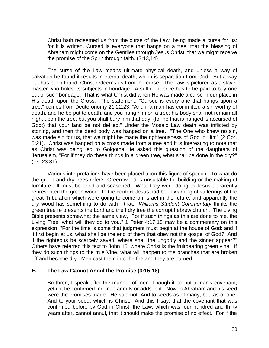Christ hath redeemed us from the curse of the Law, being made a curse for us: for it is written, Cursed is everyone that hangs on a tree: that the blessing of Abraham might come on the Gentiles through Jesus Christ, that we might receive the promise of the Spirit through faith. (3:13,14)

The curse of the Law means ultimate physical death, and unless a way of salvation be found it results in eternal death, which is separation from God. But a way out has been found: Christ redeems us from the curse. The Law is pictured as a slavemaster who holds its subjects in bondage. A sufficient price has to be paid to buy one out of such bondage. That is what Christ did when He was made a curse in our place in His death upon the Cross. The statement, "Cursed is every one that hangs upon a tree," comes from Deuteronomy 21:22,23: "And if a man has committed a sin worthy of death, and he be put to death, and you hang him on a tree; his body shall not remain all night upon the tree, but you shall bury him that day: (for he that is hanged is accursed of God;) that your land be not defiled." Under the Mosaic Law death was inflicted by stoning, and then the dead body was hanged on a tree. "The One who knew no sin, was made sin for us, that we might be made the righteousness of God in Him" (2 Cor. 5:21). Christ was hanged on a cross made from a tree and it is interesting to note that as Christ was being led to Golgotha He asked this question of the daughters of Jerusalem, "For if they do these things in a green tree, what shall be done in the dry?" (Lk. 23:31).

Various interpretations have been placed upon this figure of speech. To what do the green and dry trees refer? Green wood is unsuitable for building or the making of furniture. It must be dried and seasoned. What they were doing to Jesus apparently represented the green wood. In the context Jesus had been warning of sufferings of the great Tribulation which were going to come on Israel in the future, and apparently the dry wood has something to do with I that. *Williams Student Commentary* thinks the green tree re presents the Lord and the I dry tree the corrupt hebrew church. The Living Bible presents somewhat the same view, "For if such things as this are done to me, the Living Tree, what will they do to you." 1 Peter 4:17,18 may be a commentary on this expression, "For the time is come that judgment must begin at the house of God: and if it first begin at us, what shall be the end of them that obey not the gospel of God? And if the righteous be scarcely saved, where shall the ungodly and the sinner appear?" Others have referred this text to John 15, where Christ is the fruitbearing green vine. If they do such things to the true Vine, what will happen to the branches that are broken off and become dry. Men cast them into the fire and they are burned.

#### **E. The Law Cannot Annul the Promise (3:15-18)**

Brethren, I speak after the manner of men: Though it be but a man's covenant, yet if it be confirmed, no man annuls or adds to it. Now to Abraham and his seed were the promises made. He said not, And to seeds as of many, but, as of one. And to your seed, which is Christ. And this I say, that the covenant that was confirmed before by God in Christ, the Law, which was four hundred and thirty years after, cannot annul, that it should make the promise of no effect. For if the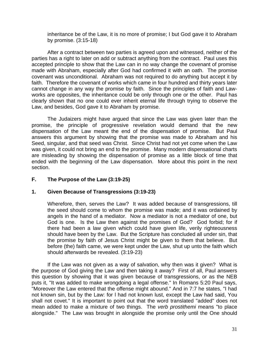inheritance be of the Law, it is no more of promise; I but God gave it to Abraham by promise. (3:15-18)

After a contract between two parties is agreed upon and witnessed, neither of the parties has a right to later on add or subtract anything from the contract. Paul uses this accepted principle to show that the Law can in no way change the covenant of promise made with Abraham, especially after God had confirmed it with an oath. The promise covenant was unconditional. Abraham was not required to do anything but accept it by faith. Therefore the covenant of works which came in four hundred and thirty years later cannot change in any way the promise by faith. Since the principles of faith and Lawworks are opposites, the inheritance could be only through one or the other. Paul has clearly shown that no one could ever inherit eternal life through trying to observe the Law, and besides, God gave it to Abraham by promise.

The Judaizers might have argued that since the Law was given later than the promise, the principle of progressive revelation would demand that the new dispensation of the Law meant the end of the dispensation of promise. But Paul answers this argument by showing that the promise was made to Abraham and his Seed, singular, and that seed was Christ. Since Christ had not yet come when the Law was given, it could not bring an end to the promise. Many modern dispensational charts are misleading by showing the dispensation of promise as a little block of time that ended with the beginning of the Law dispensation. More about this point in the next section.

# **F. The Purpose of the Law (3:19-25)**

# **1. Given Because of Transgressions (3:19-23)**

Wherefore, then, serves the Law? It was added because of transgressions, till the seed should come to whom the promise was made; and it was ordained by angels in the hand of a mediator. Now a mediator is not a mediator of one, but God is one. Is the Law then against the promises of God? God forbid; for if there had been a law given which could have given life, verily righteousness should have been by the Law. But the Scripture has concluded all under sin, that the promise by faith of Jesus Christ might be given to them that believe. But before (the) faith came, we were kept under the Law, shut up unto the faith which should afterwards be revealed. (3:19-23)

If the Law was not given as a way of salvation, why then was it given? What is the purpose of God giving the Law and then taking it away? First of all, Paul answers this question by showing that it was given because of transgressions, or as the NEB puts it, "It was added to make wrongdoing a legal offense." In Romans 5:20 Paul says, "Moreover the Law entered that the offense might abound." And in 7:7 he states, "I had not known sin, but by the Law: for l had not known lust, except the Law had said, You shall not covet." It is important to point out that the word translated "added" does not mean added to make a mixture of two things. The *verb prostithemi* means "to place alongside." The Law was brought in alongside the promise only until the One should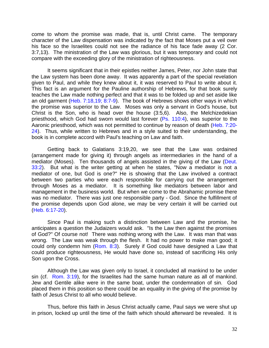come to whom the promise was made, that is, until Christ came. The temporary character of the Law dispensation was indicated by the fact that Moses put a veil over his face so the Israelites could not see the radiance of his face fade away (2 Cor. 3:7,13). The ministration of the Law was glorious, but it was temporary and could not compare with the exceeding glory of the ministration of righteousness.

It seems significant that in their epistles neither James, Peter, nor John state that the Law system has been done away. It was apparently a part of the special revelation given to Paul, and while they knew about it, it was reserved to Paul to write about it. This fact is an argument for the Pauline authorship of Hebrews, for that book surely teaches the Law made nothing perfect and that it was to be folded up and set aside like an old garment (Heb. 7:18,19; 8:7-9). The book of Hebrews shows other ways in which the promise was superior to the Law. Moses was only a servant in God's house, but Christ is the Son, who is head over the house (3:5,6). Also, the Melchizedekian priesthood, which God had sworn would last forever (Ps. 110:4), was superior to the Aaronic priesthood, which was not permitted to continue by reason of death (Heb. 7:20- 24). Thus, while written to Hebrews and in a style suited to their understanding, the book is in complete accord with Paul's teaching on Law and faith.

Getting back to Galatians 3:19,20, we see that the Law was ordained (arrangement made for giving it) through angels as intermediaries in the hand of a mediator (Moses). Ten thousands of angels assisted in the giving of the Law (Deut. 33:2). But what is the writer getting at when he states, "Now a mediator is not a mediator of one, but God is one?" He is showing that the Law involved a contract between two parties who were each responsible for carrying out the arrangement through Moses as a mediator. It is something like mediators between labor and management in the business world. But when we come to the Abrahamic promise there was no mediator. There was just one responsible party - God. Since the fulfillment of the promise depends upon God alone, we may be very certain it will be carried out (Heb. 6:17-20).

Since Paul is making such a distinction between Law and the promise, he anticipates a question the Judaizers would ask. "Is the Law then against the promises of God?" Of course not! There was nothing wrong with the Law. It was man that was wrong. The Law was weak through the flesh. It had no power to make man good; it could only condemn him (Rom. 8:3). Surely if God could have designed a Law that could produce righteousness, He would have done so, instead of sacrificing His only Son upon the Cross.

Although the Law was given only to Israel, it concluded all mankind to be under sin (cf. Rom. 3:19), for the Israelites had the same human nature as all of mankind. Jew and Gentile alike were in the same boat, under the condemnation of sin. God placed them in this position so there could be an equality in the giving of the promise by faith of Jesus Christ to all who would believe.

Thus, before this faith in Jesus Christ actually came, Paul says we were shut up in prison, locked up until the time of the faith which should afterward be revealed. It is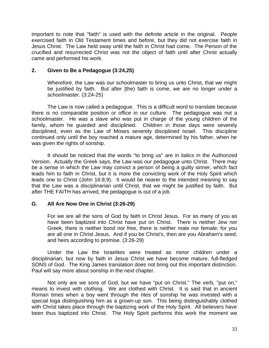important to note that "faith" is used with the definite article in the original. People exercised faith in Old Testament times and before, but they did not exercise faith in Jesus Christ. The Law held sway until the faith in Christ had come. The Person of the crucified and resurrected Christ was not the object of faith until after Christ actually came and performed his work.

#### **2. Given to Be a Pedagogue (3:24,25)**

Wherefore, the Law was our schoolmaster to bring us unto Christ, that we might be justified by faith. But after [the) faith is come, we are no longer under a schoolmaster. (3:24-25)

The Law is now called a pedagogue. This is a difficult word to translate because there is no comparable position or office in our culture. The pedagogue was not a schoolmaster. He was a slave who was put in charge of the young children of the family, whom he guarded and disciplined. Children in those days were severely disciplined, even as the Law of Moses severely disciplined Israel. This discipline continued only until the boy reached a mature age, determined by his father, when he was given the rights of sonship.

It should be noticed that the words "to bring us" are in italics in the Authorized Version. Actually the Greek says, the Law was our pedagogue unto Christ. There may be a sense in which the Law may convict a person of being a guilty sinner, which fact leads him to faith in Christ, but it is more the convicting work of the Holy Spirit which leads one to Christ (John 16:8,9). It would be nearer to the intended meaning to say that the Law was a disciplinarian until Christ, that we might be justified by faith. But after THE FAITH has arrived, the pedagogue is out of a job.

# **G. All Are Now One in Christ (3:26-29)**

For we are all the sons of God by faith in Christ Jesus. For as many of you as have been baptized into Christ have put on Christ. There is neither Jew nor Greek, there is neither bond nor free, there is neither male nor female; for you are all one in Christ Jesus. And if you be Christ's, then are you Abraham's seed, and heirs according to promise. (3:26-29)

Under the Law the Israelites were treated as minor children under a disciplinarian, but now by faith in Jesus Christ we have become mature, full-fledged SONS of God. The King James translation does not bring out this important distinction. Paul will say more about sonship in the next chapter.

Not only are we sons of God, but we have "put on Christ." The verb, "put on," means to invest with clothing. We are clothed with Christ. It is said that in ancient Roman times when a boy went through the rites of sonship he was invested with a special toga distinguishing him as a grown-up son. This being distinguishably clothed with Christ takes place through the baptizing work of the Holy Spirit. All believers have been thus baptized into Christ. The Holy Spirit performs this work the moment we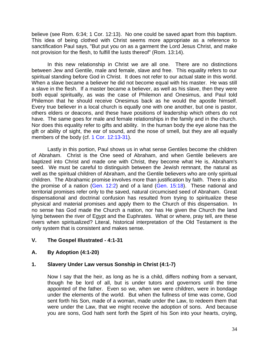believe (see Rom. 6:34; 1 Cor. 12:13). No one could be saved apart from this baptism. This idea of being clothed with Christ seems more appropriate as a reference to sanctification Paul says, "But put you on as a garment the Lord Jesus Christ, and make not provision for the flesh, to fulfill the lusts thereof" (Rom. 13:14).

In this new relationship in Christ we are all one. There are no distinctions between Jew and Gentile, male and female, slave and free. This equality refers to our spiritual standing before God in Christ. It does not refer to our actual state in this world. When a slave became a believer he did not become equal with his master. He was still a slave in the flesh. If a master became a believer, as well as his slave, then they were both equal spiritually, as was the case of Philemon and Onesimus, and Paul told Philemon that he should receive Onesimus back as he would the apostle himself. Every true believer in a local church is equally one with one another, but one is pastor, others elders or deacons, and these have positions of leadership which others do not have. The same goes for male and female relationships in the family and in the church. Nor does this equality refer to gifts and ability. In the human body the eye alone has the gift or ability of sight, the ear of sound, and the nose of smell, but they are all equally members of the body (cf. 1 Cor. 12:13-31).

Lastly in this portion, Paul shows us in what sense Gentiles become the children of Abraham. Christ is the One seed of Abraham, and when Gentile believers are baptized into Christ and made one with Christ, they become what He is, Abraham's seed. We must be careful to distinguish between the Jewish remnant, the natural as well as the spiritual children of Abraham, and the Gentile believers who are only spiritual children. The Abrahamic promise involves more than justification by faith. There is also the promise of a nation (Gen. 12:2) and of a land (Gen. 15:18). These national and territorial promises refer only to the saved, natural circumcised seed of Abraham. Great dispensational and doctrinal confusion has resulted from trying to spiritualize these physical and material promises and apply them to the Church of this dispensation. In no sense has God made the Church a nation, nor has He given the Church the land lying between the river of Egypt and the Euphrates. What or where, pray tell, are these rivers when spiritualized? Literal, historical interpretation of the Old Testament is the only system that is consistent and makes sense.

# **V. The Gospel Illustrated - 4:1-31**

# **A. By Adoption (4:1-20)**

# **1. Slavery Under Law versus Sonship in Christ (4:1-7)**

Now I say that the heir, as long as he is a child, differs nothing from a servant, though he be lord of all, but is under tutors and governors until the time appointed of the father. Even so we, when we were children, were in bondage under the elements of the world. But when the fullness of time was come, God sent forth his Son, made of a woman, made under the Law, to redeem them that were under the Law, that we might receive the adoption of sons. And because you are sons, God hath sent forth the Spirit of his Son into your hearts, crying,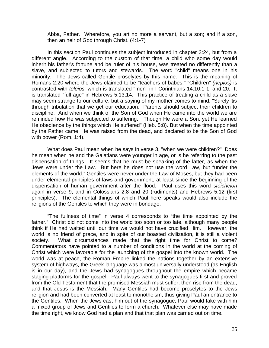Abba, Father. Wherefore, you art no more a servant, but a son; and if a son, then an heir of God through Christ. (4:1-7)

In this section Paul continues the subject introduced in chapter 3:24, but from a different angle. According to the custom of that time, a child who some day would inherit his father's fortune and be ruler of his house, was treated no differently than a slave, and subjected to tutors and stewards. The word "child" means one in his minority. The Jews called Gentile proselytes by this name. This is the meaning of Romans 2:20 where the Jews claimed to be "teachers of babes." "Children" *(nepios)* is contrasted with *teleios,* which is translated "men" in I Corinthians 14:10,1 1, and 20. It is translated "full age" in Hebrews 5:13,14. This practice of treating a child as a slave may seem strange to our culture, but a saying of my mother comes to mind, "Surely 'tis through tribulation that we get our education. "Parents should subject their children to discipline. And when we think of the Son of God when He came into the world we are reminded how He was subjected to suffering. "Though He were a Son, yet He learned He obedience by the things which He suffered" (Heb. 5:8). But when the time appointed by the Father came, He was raised from the dead, and declared to be the Son of God with power (Rom. 1:4).

What does Paul mean when he says in verse 3, "when we were children?" Does he mean when he and the Galatians were younger in age, or is he referring to the past dispensation of things. It seems that he must be speaking of the latter, as when the Jews were under the Law. But here he does not use the word Law, but "under the elements of the world." Gentiles were never under the Law of Moses, but they had been under elemental principles of laws and government, at least since the beginning of the dispensation of human government after the flood. Paul uses this word *stoicheion* again in verse 9, and in Colossians 2:8 and 20 (rudiments) and Hebrews 5:12 (first principles). The elemental things of which Paul here speaks would also include the religions of the Gentiles to which they were in bondage.

"The fullness of time" in verse 4 corresponds to "the time appointed by the father." Christ did not come into the world too soon or too late, although many people think if He had waited until our time we would not have crucified Him. However, the world is no friend of grace, and in spite of our boasted civilization, it is still a violent society. What circumstances made that the right time for Christ to come? Commentators have pointed to a number of conditions in the world at the coming of Christ which were favorable for the launching of the gospel into the known world. The world was at peace, the Roman Empire linked the nations together by an extensive system of highways, the Greek language was almost universally understood (as English is in our day), and the Jews had synagogues throughout the empire which became staging platforms for the gospel. Paul always went to the synagogues first and proved from the Old Testament that the promised Messiah must suffer, then rise from the dead, and that Jesus is the Messiah. Many Gentiles had become proselytes to the Jews religion and had been converted at least to monotheism, thus giving Paul an entrance to the Gentiles. When the Jews cast him out of the synagogue, Paul would take with him a mixed group of Jews and Gentiles to form a church. Whatever else may have made the time right, we know God had a plan and that that plan was carried out on time.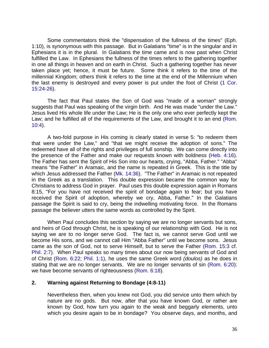Some commentators think the "dispensation of the fullness of the times" (Eph. 1:10), is synonymous with this passage. But in Galatians "time" is in the singular and in Ephesians it is in the plural. In Galatians the time came and is now past when Christ fulfilled the Law. In Ephesians the fullness of the times refers to the gathering together in one all things in heaven and on earth in Christ. Such a gathering together has never taken place yet; hence, it must be future. Some think it refers to the time of the millennial Kingdom; others think it refers to the time at the end of the Millennium when the last enemy is destroyed and every power is put under the foot of Christ (1 Cor. 15:24-26).

The fact that Paul states the Son of God was "made of a woman" strongly suggests that Paul was speaking of the virgin birth. And He was made "under the Law." Jesus lived His whole life under the Law; He is the only one who ever perfectly kept the Law; and he fulfilled all of the requirements of the Law, and brought it to an end (Rom. 10:4).

A two-fold purpose in His coming is clearly stated in verse 5: "to redeem them that were under the Law," and "that we might receive the adoption of sons." The redeemed have all of the rights and privileges of full sonship. We can come directly into the presence of the Father and make our requests known with boldness (Heb. 4:16). The Father has sent the Spirit of His Son into our hearts, crying, "Abba, Father." "Abba" means "the Father" in Aramaic, and the name is repeated in Greek. This is the title by which Jesus addressed the Father (Mk. 14:36). "The Father" in Aramaic is not repeated in the Greek as a translation. This double expression became the common way for Christians to address God in prayer. Paul uses this double expression again in Romans 8:15, "For you have not received the spirit of bondage again to fear; but you have received the Spirit of adoption, whereby we cry, Abba, Father." In the Galatians passage the Spirit is said to cry, being the indwelling motivating force. In the Romans passage the believer utters the same words as controlled by the Spirit.

When Paul concludes this section by saying we are no longer servants but sons, and heirs of God through Christ, he is speaking of our relationship with God. He is not saying we are to no longer serve God. The fact is, we cannot serve God until we become His sons, and we cannot call Him "Abba Father" until we become sons. Jesus came as the son of God, not to serve Himself, but to serve the Father (Rom. 15:3 cf. Phil. 2:7). When Paul speaks so many times about our now being servants of God and of Christ (Rom. 6:22; Phil. 1:1), he uses the same Greek word *(doulos)* as he does in stating that we are no longer servants. We are no longer servants of sin (Rom. 6:20): we have become servants of righteousness (Rom. 6:18).

## **2. Warning against Returning to Bondage (4:8-11)**

Nevertheless then, when you knew not God, you did service unto them which by nature are no gods. But now, after that you have known God, or rather are known by God, how turn you again to the weak and beggarly elements, unto which you desire again to be in bondage? You observe days, and months, and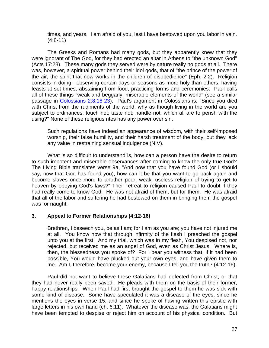times, and years. I am afraid of you, lest I have bestowed upon you labor in vain. (4:8-11)

The Greeks and Romans had many gods, but they apparently knew that they were ignorant of The God, for they had erected an altar in Athens to "the unknown God" (Acts 17:23). These many gods they served were by nature really no gods at all. There was, however, a spiritual power behind their idol gods, that of "the prince of the power of the air, the spirit that now works in the children of disobedience" (Eph. 2:2). Religion consists in doing - observing certain days or seasons as more holy than others, having feasts at set times, abstaining from food, practicing forms and ceremonies. Paul calls all of these things "weak and beggarly, miserable elements of the world" (see a similar passage in Colossians 2:8,18-23). Paul's argument in Colossians is, "Since you died with Christ from the rudiments of the world, why as though living in the world are you subject to ordinances: touch not; taste not; handle not; which all are to perish with the using?" None of these religious rites has any power over sin.

Such regulations have indeed an appearance of wisdom, with their self-imposed worship, their false humility, and their harsh treatment of the body, but they lack any value in restraining sensual indulgence (NIV).

What is so difficult to understand is, how can a person have the desire to return to such impotent and miserable observances after coming to know the only true God? The Living Bible translates verse 9a, "And now that you have found God (or I should say, now that God has found you), how can it be that you want to go back again and become slaves once more to another poor, weak, useless religion of trying to get to heaven by obeying God's laws?" Their retreat to religion caused Paul to doubt if they had really come to know God. He was not afraid of them, but for them. He was afraid that all of the labor and suffering he had bestowed on them in bringing them the gospel was for naught.

# **3. Appeal to Former Relationships (4:12-16)**

Brethren, I beseech you, be as I am; for I am as you are; you have not injured me at all. You know how that through infirmity of the flesh I preached the gospel unto you at the first. And my trial, which was in my flesh, You despised not, nor rejected, but received me as an angel of God, even as Christ Jesus. Where is, then, the blessedness you spoke of? For I bear you witness that, if it had been possible, You would have plucked out your own eyes, and have given them to me. Am I, therefore, become your enemy, because I tell you the truth? (4:12-16).

Paul did not want to believe these Galatians had defected from Christ, or that they had never really been saved. He pleads with them on the basis of their former, happy relationships. When Paul had first brought the gospel to them he was sick with some kind of disease. Some have speculated it was a disease of the eyes, since he mentions the eyes in verse 15, and since he spoke of having written this epistle with large letters in his own hand (ch. 6:11). Whatever the disease was, the Galatians might have been tempted to despise or reject him on account of his physical condition. But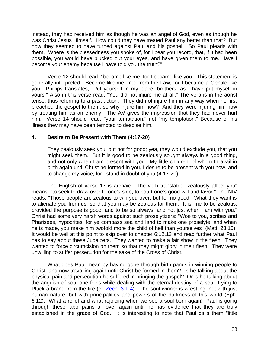instead, they had received him as though he was an angel of God, even as though he was Christ Jesus Himself. How could they have treated Paul any better than that? But now they seemed to have turned against Paul and his gospel. So Paul pleads with them, "Where is the blessedness you spoke of, for I bear you record, that, if it had been possible, you would have plucked out your eyes, and have given them to me. Have I become your enemy because I have told you the truth?"

Verse 12 should read, "become like me, for I became like you." This statement is generally interpreted, "Become like me, free from the Law; for I became a Gentile like you." Phillips translates, "Put yourself in my place, brothers, as I have put myself in yours." Also in this verse read, "You did not injure me at all." The verb is in the aorist tense, thus referring to a past action. They did not injure him in any way when he first preached the gospel to them, so why injure him now? And they were injuring him now by treating him as an enemy. The AV gives the impression that they had never hurt him. Verse 14 should read, "your temptation," not "my temptation." Because of his illness they may have been tempted to despise him.

# **4. Desire to Be Present with Them (4:17-20)**

They zealously seek you, but not for good; yea, they would exclude you, that you might seek them. But it is good to be zealously sought always in a good thing, and not only when I am present with you. My little children, of whom I travail in birth again until Christ be formed in you, I desire to be present with you now, and to change my voice; for I stand in doubt of you (4:17-20).

The English of verse 17 is archaic. The verb translated "zealously affect you" means, "to seek to draw over to one's side, to court one's good will and favor." The NIV reads, "Those people are zealous to win you over, but for no good. What they want is to alienate you from us, so that you may be zealous for them. It is fine to be zealous, provided the purpose is good, and to be so always, and not just when I am with you." Christ had some very harsh words against such proselytizers: "Woe to you, scribes and Pharisees, hypocrites! for ye compass sea and land to make one proselyte, and when he is made, you make him twofold more the child of hell than yourselves" (Matt. 23:15). It would be well at this point to skip over to chapter 6:12,13 and read further what Paul has to say about these Judaizers. They wanted to make a fair show in the flesh. They wanted to force circumcision on them so that they might glory in their flesh. They were unwilling to suffer persecution for the sake of the Cross of Christ.

What does Paul mean by having gone through birth-pangs in winning people to Christ, and now travailing again until Christ be formed in them? Is he talking about the physical pain and persecution he suffered in bringing the gospel? Or is he talking about the anguish of soul one feels while dealing with the eternal destiny of a soul; trying to Pluck a brand from the fire (cf. Zech. 3:1-4). The soul-winner is wrestling, not with just human nature, but with principalities and powers of the darkness of this world (Eph. 6:12). What a relief and what rejoicing when we see a soul born again! Paul is going through these labor-pains all over again until he has evidence that they are truly established in the grace of God. It is interesting to note that Paul calls them "little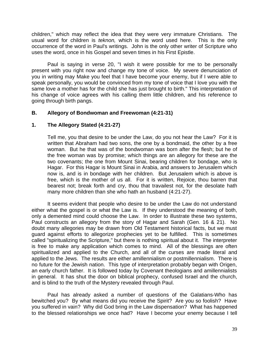children," which may reflect the idea that they were very immature Christians. The usual word for children is *teknon,* which is the word used here. This is the only occurrence of the word in Paul's writings. John is the only other writer of Scripture who uses the word, once in his Gospel and seven times in his First Epistle.

Paul is saying in verse 20, "I wish it were possible for me to be personally present with you right now and change my tone of voice. My severe denunciation of you in writing may Make you feel that I have become your enemy, but if I were able to speak personally, you would be convinced from my tone of voice that I love you with the same love a mother has for the child she has just brought to birth." This interpretation of his change of voice agrees with his calling them little children, and his reference to going through birth pangs.

# **B. Allegory of Bondwoman and Freewoman (4:21-31)**

# **1. The Allegory Stated (4:21-27)**

Tell me, you that desire to be under the Law, do you not hear the Law? For it is written that Abraham had two sons, the one by a bondmaid, the other by a free woman. But he that was of the bondwoman was born after the flesh; but he of the free woman was by promise; which things are an allegory for these are the two covenants; the one from Mount Sinai, bearing children for bondage, who is Hagar. For this Hagar is Mount Sinai in Arabia, and answers to Jerusalem which now is, and is in bondage with her children. But Jerusalem which is above is free, which is the mother of us all. For it is written, Rejoice, thou barren that bearest not; break forth and cry, thou that travailest not, for the desolate hath many more children than she who hath an husband (4:21-27).

It seems evident that people who desire to be under the Law do not understand either what the gospel is or what the Law is. If they understood the meaning of both, only a demented mind could choose the Law. In order to illustrate these two systems, Paul constructs an allegory from the story of Hagar and Sarah (Gen. 16 & 21). No doubt many allegories may be drawn from Old Testament historical facts, but we must guard against efforts to allegorize prophecies yet to be fulfilled. This is sometimes called "spiritualizing the Scripture," but there is nothing spiritual about it. The interpreter is free to make any application which comes to mind. All of the blessings are often spiritualized and applied to the Church, and all of the curses are made literal and applied to the Jews. The results are either amillennialism or postmillennialism. There is no future for the Jewish nation. This type of interpretation probably began with Origen, an early church father. It is followed today by Covenant theologians and amillennialists in general. It has shut the door on biblical prophecy, confused Israel and the church, and is blind to the truth of the Mystery revealed through Paul.

Paul has already asked a number of questions of the Galatians-Who has bewitched you? By what means did you receive the Spirit? Are you so foolish? Have you suffered in vain? Why did God bring in the Law dispensation? What has happened to the blessed relationships we once had? Have I become your enemy because I tell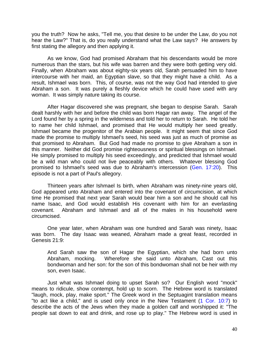you the truth? Now he asks, "Tell me, you that desire to be under the Law, do you not hear the Law?" That is, do you really understand what the Law says? He answers by first stating the allegory and then applying it.

As we know, God had promised Abraham that his descendants would be more numerous than the stars, but his wife was barren and they were both getting very old. Finally, when Abraham was about eighty-six years old, Sarah persuaded him to have intercourse with her maid, an Egyptian slave, so that they might have a child. As a result, Ishmael was born. This, of course, was not the way God had intended to give Abraham a son. It was purely a fleshly device which he could have used with any woman. It was simply nature taking its course.

After Hagar discovered she was pregnant, she began to despise Sarah. Sarah dealt harshly with her and before the child was born Hagar ran away. The angel of the Lord found her by a spring in the wilderness and told her to return to Sarah. He told her to name her child Ishmael, and promised that He would multiply her seed greatly. Ishmael became the progenitor of the Arabian people. It might seem that since God made the promise to multiply Ishmael's seed, his seed was just as much of promise as that promised to Abraham. But God had made no promise to give Abraham a son in this manner. Neither did God promise righteousness or spiritual blessings on Ishmael. He simply promised to multiply his seed exceedingly, and predicted that Ishmael would be a wild man who could not live peaceably with others. Whatever blessing God promised to Ishmael's seed was due to Abraham's intercession (Gen. 17:20). This episode is not a part of Paul's allegory.

Thirteen years after Ishmael Is birth, when Abraham was ninety-nine years old, God appeared unto Abraham and entered into the covenant of circumcision, at which time He promised that next year Sarah would bear him a son and he should call his name Isaac, and God would establish His covenant with him for an everlasting covenant. Abraham and Ishmael and all of the males in his household were circumcised.

One year later, when Abraham was one hundred and Sarah was ninety, Isaac was born. The day Isaac was weaned, Abraham made a great feast, recorded in Genesis 21:9:

And Sarah saw the son of Hagar the Egyptian, which she had born unto Abraham, mocking. Wherefore she said unto Abraham, Cast out this bondwoman and her son: for the son of this bondwoman shall not be heir with my son, even Isaac.

Just what was Ishmael doing to upset Sarah so? Our English word "mock" means to ridicule, show contempt, hold up to scorn. The Hebrew word is translated "laugh, mock, play, make sport." The Greek word in the Septuagint translation means "to act like a child," and is used only once in the New Testament (1 Cor. 10:7) to describe the acts of the Jews when they made a golden calf and worshipped it: "The people sat down to eat and drink, and rose up to play." The Hebrew word is used in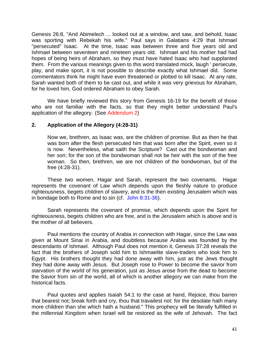Genesis 26:8, "And Abimelech ... looked out at a window, and saw, and behold, Isaac was sporting with Rebekah his wife." Paul says in Galatians 4:29 that Ishmael "persecuted" Isaac. At the time, Isaac was between three and five years old and Ishmael between seventeen and nineteen years old. Ishmael and his mother had had hopes of being heirs of Abraham, so they must have hated Isaac who had supplanted them. From the various meanings given to this word translated mock, laugh ' persecute, play, and make sport, it is not possible to describe exactly what Ishmael did. Some commentators think he might have even threatened or plotted to kill Isaac. At any rate, Sarah wanted both of them to be cast out, and while it was very grievous for Abraham, for he loved him, God ordered Abraham to obey Sarah.

We have briefly reviewed this story from Genesis 16-19 for the benefit of those who are not familiar with the facts, so that they might better understand Paul's application of the allegory. (See [Addendum 2\)](#page-66-0)

# **2. Application of the Allegory (4:28-31)**

Now we, brethren, as Isaac was, are the children of promise. But as then he that was born after the flesh persecuted him that was born after the Spirit, even so it is now. Nevertheless, what saith the Scripture? Cast out the bondwoman and her son; for the son of the bondwoman shall not be heir with the son of the free woman. So then, brethren, we are not children of the bondwoman, but of the free (4:28-31).

These two women, Hagar and Sarah, represent the two covenants. Hagar represents the covenant of Law which depends upon the fleshly nature to produce righteousness, begets children of slavery, and is the then existing Jerusalem which was in bondage both to Rome and to sin (cf. John 8:31-36).

Sarah represents the covenant of promise, which depends upon the Spirit for righteousness, begets children who are free, and is the Jerusalem which is above and is the mother of all believers.

Paul mentions the country of Arabia in connection with Hagar, since the Law was given at Mount Sinai in Arabia, and doubtless because Arabia was founded by the descendants of Ishmael. Although Paul does not mention it, Genesis 37:28 reveals the fact that the brothers of Joseph sold him to Ishmaelite slave-traders who took him to Egypt. His brothers thought they had done away with him, just as the Jews thought they had done away with Jesus. But Joseph rose to Power to become the savior from starvation of the world of his generation, just as Jesus arose from the dead to become the Savior from sin of the world, all of which is another allegory we can make from the historical facts.

Paul quotes and applies Isaiah 54:1 to the case at hand, Rejoice, thou barren that bearest not; break forth and cry, thou that travailest not: for the desolate hath many more children than she which hath a husband." This prophecy will be literally fulfilled in the millennial Kingdom when Israel will be restored as the wife of Jehovah. The fact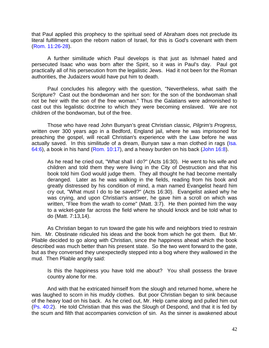that Paul applied this prophecy to the spiritual seed of Abraham does not preclude its literal fulfillment upon the reborn nation of Israel, for this is God's covenant with them (Rom. 11:26-28).

A further similitude which Paul develops is that just as Ishmael hated and persecuted Isaac who was born after the Spirit, so it was in Paul's day. Paul got practically all of his persecution from the legalistic Jews. Had it not been for the Roman authorities, the Judaizers would have put him to death.

Paul concludes his allegory with the question, "Nevertheless, what saith the Scripture? Cast out the bondwoman and her son: for the son of the bondwoman shall not be heir with the son of the free woman." Thus the Galatians were admonished to cast out this legalistic doctrine to which they were becoming enslaved. We are not children of the bondwoman, but of the free.

Those who have read John Bunyan's great Christian classic*, Pilgrim's Progress,*  written over 300 years ago in a Bedford, England jail, where he was imprisoned for preaching the gospel, will recall Christian's experience with the Law before he was actually saved. In this similitude of a dream, Bunyan saw a man clothed in rags (Isa. 64:6), a book in his hand (Rom. 10:17), and a heavy burden on his back (John 16:8).

As he read he cried out, "What shall I do?" (Acts 16:30). He went to his wife and children and told them they were living in the City of Destruction and that his book told him God would judge them. They all thought he had become mentally deranged. Later as he was walking in the fields, reading from his book and greatly distressed by his condition of mind, a man named Evangelist heard him cry out, "What must I do to be saved?" (Acts 16:30). Evangelist asked why he was crying, and upon Christian's answer, he gave him a scroll on which was written, "Flee from the wrath to come" (Matt. 3:7). He then pointed him the way to a wicket-gate far across the field where he should knock and be told what to do (Matt. 7:13,14).

As Christian began to run toward the gate his wife and neighbors tried to restrain him. Mr. Obstinate ridiculed his ideas and the book from which he got them. But Mr. Pliable decided to go along with Christian, since the happiness ahead which the book described was much better than his present state. So the two went forward to the gate, but as they conversed they unexpectedly stepped into a bog where they wallowed in the mud. Then Pliable angrily said:

Is this the happiness you have told me about? You shall possess the brave country alone for me.

And with that he extricated himself from the slough and returned home, where he was laughed to scorn in his muddy clothes. But poor Christian began to sink because of the heavy load on his back. As he cried out, Mr. Help came along and pulled him out (Ps. 40:2). He told Christian that this was the Slough of Despond, and that it is fed by the scum and filth that accompanies conviction of sin. As the sinner is awakened about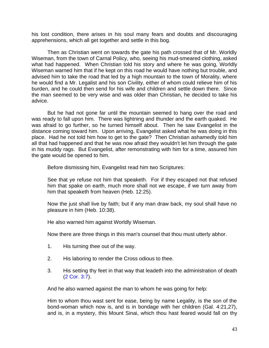his lost condition, there arises in his soul many fears and doubts and discouraging apprehensions, which all get together and settle in this bog.

Then as Christian went on towards the gate his path crossed that of Mr. Worldly Wiseman, from the town of Carnal Policy, who, seeing his mud-smeared clothing, asked what had happened. When Christian told his story and where he was going, Worldly Wiseman warned him that if he kept on this road he would have nothing but trouble, and advised him to take the road that led by a high mountain to the town of Morality, where he would find a Mr. Legalist and his son Civility, either of whom could relieve him of his burden, and he could then send for his wife and children and settle down there. Since the man seemed to be very wise and was older than Christian, he decided to take his advice.

But he had not gone far until the mountain seemed to hang over the road and was ready to fall upon him. There was lightning and thunder and the earth quaked. He was afraid to go further, so he turned himself about. Then he saw Evangelist in the distance coming toward him. Upon arriving, Evangelist asked what he was doing in this place. Had he not told him how to get to the gate? Then Christian ashamedly told him all that had happened and that he was now afraid they wouldn't let him through the gate in his muddy rags. But Evangelist, after remonstrating with him for a time, assured him the gate would be opened to him.

Before dismissing him, Evangelist read him two Scriptures:

See that ye refuse not him that speaketh. For if they escaped not that refused him that spake on earth, much more shall not we escape, if we turn away from him that speaketh from heaven (Heb. 12:25).

Now the just shall live by faith; but if any man draw back, my soul shall have no pleasure in him (Heb. 10:38).

He also warned him against Worldly Wiseman.

Now there are three things in this man's counsel that thou must utterly abhor.

- 1. His turning thee out of the way.
- 2. His laboring to render the Cross odious to thee.
- 3. His setting thy feet in that way that leadeth into the administration of death (2 Cor. 3:7).

And he also warned against the man to whom he was going for help:

Him to whom thou wast sent for ease, being by name Legality, is the son of the bond-woman which now is, and is in bondage with her children (Gal. 4:21,27), and is, in a mystery, this Mount Sinai, which thou hast feared would fall on thy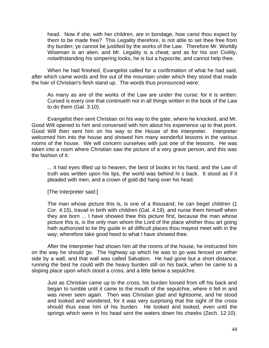head. Now if she, with her children, are in bondage, how canst thou expect by them to be made free? This Legality therefore, is not able to set thee free from thy burden; ye cannot be justified by the works of the Law. Therefore Mr. Worldly Wiseman is an alien, and Mr. Legality is a cheat; and as for his son Civility, notwithstanding his simpering looks, he is but a hypocrite, and cannot help thee.

When he had finished, Evangelist called for a confirmation of what he had said, after which came words and fire out of the mountain under which they stood that made the hair of Christian's flesh stand up. The words thus pronounced were:

As many as are of the works of the Law are under the curse; for it is written: Cursed is every one that continueth not in all things written in the book of the Law to do them (Gal. 3:10).

Evangelist then sent Christian on his way to the gate, where he knocked, and Mr. Good Will opened to him and conversed with him about his experience up to that point. Good Will then sent him on his way to the House of the Interpreter. Interpreter welcomed him into the house and showed him many wonderful lessons in the various rooms of the house. We will concern ourselves with just one of the lessons. He was taken into a room where Christian saw the picture of a very grave person, and this was the fashion of it:

... it had eyes lifted up to heaven, the best of books in his hand, and the Law of truth was written upon his lips, the world was behind hi s back. It stood as if it pleaded with men, and a crown of gold did hang over his head.

[The Interpreter said:]

The man whose picture this is, is one of a thousand; he can beget children (1 Cor. 4:15), travail in birth with children (Gal. 4:19), and nurse them himself when they are born ... I have showed thee this picture first, because the man whose picture this is, is the only man whom the Lord of the place whither thou art going hath authorized to be thy guide in all difficult places thou mayest meet with in the way; wherefore take good heed to what I have showed thee.

After the Interpreter had shown him all the rooms of the house, he instructed him on the way he should go. The highway up which he was to go was fenced on either side by a wall, and that wall was called Salvation. He had gone but a short distance, running the best he could with the heavy burden still on his back, when he came to a sloping place upon which stood a cross, and a little below a sepulchre.

Just as Christian came up to the cross, his burden loosed from off his back and began to tumble until it came to the mouth of the sepulchre, where it fell in and was never seen again. Then was Christian glad and lightsome, and he stood and looked and wondered, for it was very surprising that the sight of the cross should thus ease him of his burden. He looked and looked, even until the springs which were in his head sent the waters down his cheeks (Zech. 12:10).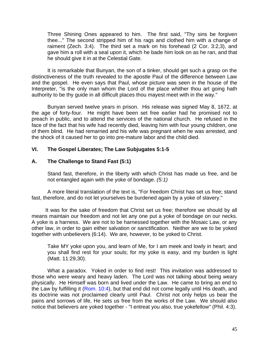Three Shining Ones appeared to him. The first said, "Thy sins be forgiven thee..." The second stripped him of his rags and clothed him with a change of raiment (Zech. 3:4). The third set a mark on his forehead (2 Cor. 3:2,3), and gave him a roll with a seal upon it, which he bade him look on as he ran, and that he should give it in at the Celestial Gate.

It is remarkable that Bunyan, the son of a tinker, should get such a grasp on the distinctiveness of the truth revealed to the apostle Paul of the difference between Law and the gospel. He even says that Paul, whose picture was seen in the house of the Interpreter, "is the only man whom the Lord of the place whither thou art going hath authority to be thy guide in all difficult places thou mayest meet with in the way."

Bunyan served twelve years in prison. His release was signed May 8, 1672, at the age of forty-four. He might have been set free earlier had he promised not to preach in public, and to attend the services of the national church. He refused in the face of the fact that his wife had recently died, leaving him with four young children, one of them blind. He had remarried and his wife was pregnant when he was arrested, and the shock of it caused her to go into pre-mature labor and the child died.

# **VI. The Gospel Liberates; The Law Subjugates 5:1-5**

# **A. The Challenge to Stand Fast (5:1)**

Stand fast, therefore, in the liberty with which Christ has made us free, and be not entangled again with the yoke of bondage. *(5:1)*

A more literal translation of the text is, "For freedom Christ has set us free; stand fast, therefore, and do not let yourselves be burdened again by a yoke of slavery."

It was for the sake of freedom that Christ set us free; therefore we should by all means maintain our freedom and not let any one put a yoke of bondage on our necks. A yoke is a harness. We are not to be harnessed together with the Mosaic Law, or any other law, in order to gain either salvation or sanctification. Neither are we to be yoked together with unbelievers (6:14). We are, however, to be yoked to Christ.

Take MY yoke upon you, and learn of Me, for I am meek and lowly in heart; and you shall find rest for your souls; for my yoke is easy, and my burden is light (Matt. 11:29,30).

What a paradox. Yoked in order to find rest! This invitation was addressed to those who were weary and heavy laden. The Lord was not talking about being weary physically. He Himself was born and lived under the Law. He came to bring an end to the Law by fulfilling it (Rom. 10:4), but that end did not come legally until His death, and its doctrine was not proclaimed clearly until Paul. Christ not only helps us bear the pains and sorrows of life, He sets us free from the works of the Law. We should also notice that believers are yoked together - "I entreat you also, true yokefellow" (Phil. 4:3).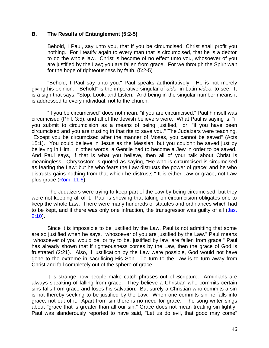#### **B. The Results of Entanglement (5:2-5)**

Behold, I Paul, say unto you, that if you be circumcised, Christ shall profit you nothing. For I testify again to every man that is circumcised, that he is a debtor to do the whole law. Christ is become of no effect unto you, whosoever of you are justified by the Law; you are fallen from grace. For we through the Spirit wait for the hope of righteousness by faith. (5:2-5)

"Behold, I Paul say unto you." Paul speaks authoritatively. He is not merely giving his opinion. "Behold" is the imperative singular of *aido,* in Latin *video,* to see. It is a sign that says, "Stop, Look, and Listen." And being in the singular number means it is addressed to every individual, not to the church.

"If you be circumcised" does not mean, "if you are circumcised." Paul himself was circumcised (Phil. 3:5), and all of the Jewish believers were. What Paul is saying is, "if you submit to circumcision as a means of being justified," or, "if you have been circumcised and you are trusting in that rite to save you." The Judaizers were teaching, "Except you be circumcised after the manner of Moses, you cannot be saved" (Acts 15:1). You could believe in Jesus as the Messiah, but you couldn't be saved just by believing in Him. In other words, a Gentile had to become a Jew in order to be saved. And Paul says, if that is what you believe, then all of your talk about Christ is meaningless. Chrysostom is quoted as saying, "He who is circumcised is circumcised as fearing the Law: but he who fears the Law distrusts the power of grace; and he who distrusts gains nothing from that which he distrusts." It is either Law or grace, not Law plus grace (Rom. 11:6).

The Judaizers were trying to keep part of the Law by being circumcised, but they were not keeping all of it. Paul is showing that taking on circumcision obligates one to keep the whole Law. There were many hundreds of statutes and ordinances which had to be kept, and if there was only one infraction, the transgressor was quilty of all (Jas. 2:10).

Since it is impossible to be justified by the Law, Paul is not admitting that some are so justified when he says, "whosoever of you are justified by the Law." Paul means "whosoever of you would be, or try to be, justified by law, are fallen from grace." Paul has already shown that if righteousness comes by the Law, then the grace of God is frustrated (2:21). Also, if justification by the Law were possible, God would not have gone to the extreme in sacrificing His Son. To turn to the Law is to turn away from Christ and fall completely out of the sphere of grace.

lt is strange how people make catch phrases out of Scripture. Arminians are always speaking of falling from grace. They believe a Christian who commits certain sins falls from grace and loses his salvation. But surely a Christian who commits a sin is not thereby seeking to be justified by the Law. When one commits sin he falls into grace, not out of it. Apart from sin there is no need for grace. The song writer sings about "grace that is greater than all our sin." Grace does not mean treating sin lightly. Paul was slanderously reported to have said, "Let us do evil, that good may come"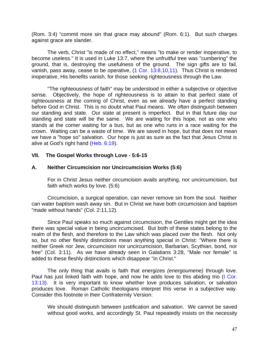(Rom. 3:4) "commit more sin that grace may abound" (Rom. 6:1). But such charges against grace are slander.

The verb, Christ "is made of no effect," means "to make or render inoperative, to become useless." It is used in Luke 13:7, where the unfruitful tree was "cumbering" the ground, that is, destroying the usefulness of the ground. The sign gifts are to fail, vanish, pass away, cease to be operative, (1 Cor. 13:8,10,11). Thus Christ is rendered inoperative, His benefits vanish, for those seeking righteousness through the Law.

"The righteousness of faith" may be understood in either a subjective or objective sense. Objectively, the hope of righteousness is to attain to that perfect state of righteousness at the coming of Christ, even as we already have a perfect standing before God in Christ. This is no doubt what Paul means. We often distinguish between our standing and state. Our state at present is imperfect. But in that future day our standing and state will be the same. We are waiting for this hope, not as one who stands at the comer waiting for a bus, but as one who runs in a race waiting for the crown. Waiting can be a waste of time. We are saved in hope, but that does not mean we have a "hope so" salvation. Our hope is just as sure as the fact that Jesus Christ is alive at God's right hand (Heb. 6:19).

# **VII. The Gospel Works through Love - 5:6-15**

# **A. Neither Circumcision nor Uncircumcision Works (5:6)**

For in Christ Jesus neither circumcision avails anything, nor uncircumcision, but faith which works by love. (5:6)

Circumcision, a surgical operation, can never remove sin from the soul. Neither can water baptism wash away sin. But in Christ we have both circumcision and baptism "made without hands" (Col. 2:11,12).

Since Paul speaks so much against circumcision, the Gentiles might get the idea there was special value in being uncircumcised. But both of these states belong to the realm of the flesh, and therefore to the Law which was placed over the flesh. Not only so, but no other fleshly distinctions mean anything special in Christ: "Where there is neither Greek nor Jew, circumcision nor uncircumcision, Barbarian, Scythian, bond, nor free" (Col. 3:11). As we have already seen in Galatians 3:28, "Male nor female" is added to these fleshly distinctions which disappear "in Christ."

The only thing that avails is faith that energizes *(energoumene)* through love. Paul has just linked faith with hope, and now he adds love to this abiding trio (I Cor. 13:13). It is very important to know whether love produces salvation, or salvation produces love. Roman Catholic theologians interpret this verse in a subjective way. Consider this footnote in their Confraternity Version:

We should distinguish between justification and salvation. We cannot be saved without good works, and accordingly St. Paul repeatedly insists on the necessity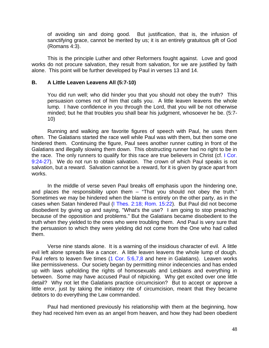of avoiding sin and doing good. But justification, that is, the infusion of sanctifying grace, cannot be merited by us; it is an entirely gratuitous gift of God (Romans 4:3).

This is the principle Luther and other Reformers fought against. Love and good works do not procure salvation, they result from salvation, for we are justified by faith alone. This point will be further developed by Paul in verses 13 and 14.

## **B. A Little Leaven Leavens All (5:7-10)**

You did run well; who did hinder you that you should not obey the truth? This persuasion comes not of him that calls you. A little leaven leavens the whole lump. I have confidence in you through the Lord, that you will be not otherwise minded; but he that troubles you shall bear his judgment, whosoever he be. (5:7- 10)

Running and walking are favorite figures of speech with Paul, he uses them often. The Galatians started the race well while Paul was with them, but then some one hindered them. Continuing the figure, Paul sees another runner cutting in front of the Galatians and illegally slowing them down. This obstructing runner had no right to be in the race. The only runners to qualify for this race are true believers in Christ (cf. I Cor. 9:24-27). We do not run to obtain salvation. The crown of which Paul speaks is not salvation, but a reward. Salvation cannot be a reward, for it is given by grace apart from works.

In the middle of verse seven Paul breaks off emphasis upon the hindering one, and places the responsibility upon them  $-$  "That you should not obey the truth." Sometimes we may be hindered when the blame is entirely on the other party, as in the cases when Satan hindered Paul (I Thes. 2:18; Rom. 15:22). But Paul did not become disobedient by giving up and saying, "What's the use? I am going to stop preaching because of the opposition and problems." But the Galatians became disobedient to the truth when they yielded to the ones who were troubling them. And Paul is very sure that the persuasion to which they were yielding did not come from the One who had called them.

Verse nine stands alone. It is a warning of the insidious character of evil. A little evil left alone spreads like a cancer. A little leaven leavens the whole lump of dough. Paul refers to leaven five times (1 Cor. 5:6,7,8 and here in Galatians). Leaven works like permissiveness. Our society began by permitting minor indecencies and has ended up with laws upholding the rights of homosexuals and Lesbians and everything in between. Some may have accused Paul of nitpicking. Why get excited over one little detail? Why not let the Galatians practice circumcision? But to accept or approve a little error, just by taking the initiatory rite of circumcision, meant that they became debtors to do everything the Law commanded.

Paul had mentioned previously his relationship with them at the beginning, how they had received him even as an angel from heaven, and how they had been obedient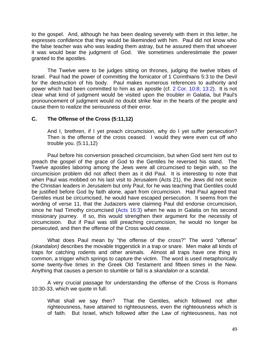to the gospel. And, although he has been dealing severely with them in this letter, he expresses confidence that they would be likeminded with him. Paul did not know who the false teacher was who was leading them astray, but he assured them that whoever it was would bear the judgment of God. We sometimes underestimate the power granted to the apostles.

The Twelve were to be judges sitting on thrones, judging the twelve tribes of Israel. Paul had the power of committing the fornicator of 1 Corinthians 5:3 to the Devil for the destruction of his body. Paul makes numerous references to authority and power which had been committed to him as an apostle (cf. 2 Cor. 10:8; 13:2). It is not clear what kind of judgment would be visited upon the troubler in Galatia, but Paul's pronouncement of judgment would no doubt strike fear in the hearts of the people and cause them to realize the seriousness of their error.

# **C. The Offense of the Cross (5:11,12)**

And I, brethren, if I yet preach circumcision, why do I yet suffer persecution? Then is the offense of the cross ceased. I would they were even cut off who trouble you. (5:11,12)

Paul before his conversion preached circumcision, but when God sent him out to preach the gospel of the grace of God to the Gentiles he reversed his stand. The Twelve apostles laboring among the Jews were all circumcised to begin with, so the circumcision problem did not affect them as it did Paul. It is interesting to note that when Paul was mobbed on his last visit to Jerusalem (Acts 21), the Jews did not seize the Christian leaders in Jerusalem but only Paul, for he was teaching that Gentiles could be justified before God by faith alone, apart from circumcision. Had Paul agreed that Gentiles must be circumcised, he would have escaped persecution. It seems from the wording of verse 11, that the Judaizers were claiming Paul did endorse circumcision, since he had Timothy circumcised (Acts 16:3) when he was in Galatia on his second missionary journey. If so, this would strengthen their argument for the necessity of circumcision. But if Paul was still preaching circumcision, he would no longer be persecuted, and then the offense of the Cross would cease.

What does Paul mean by "the offense of the cross?" The word "offense" *(skandalon)* describes the movable triggerstick in a trap or snare. Men make all kinds of traps for catching rodents and other animals. Almost all traps have one thing in common, a trigger which springs to capture the victim. The word is used metaphorically some twenty-five times in the Greek Old Testament and fifteen times in the New. Anything that causes a person to stumble or fall is a *skandalon* or a scandal.

A very crucial passage for understanding the offense of the Cross is Romans 10:30-33, which we quote in full:

What shall we say then? That the Gentiles, which followed not after righteousness, have attained to righteousness, even the righteousness which is of faith. But Israel, which followed after the Law of righteousness, has not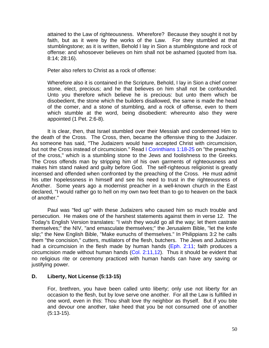attained to the Law of righteousness. Wherefore? Because they sought it not by faith, but as it were by the works of the Law. For they stumbled at that stumblingstone; as it is written, Behold I lay in Sion a stumblingstone and rock of offense: and whosoever believes on him shall not be ashamed (quoted from Isa. 8:14; 28:16).

Peter also refers to Christ as a rock of offense:

Wherefore also it is contained in the Scripture, Behold, I lay in Sion a chief corner stone, elect, precious; and he that believes on him shall not be confounded. Unto you therefore which believe he is precious: but unto them which be disobedient, the stone which the builders disallowed, the same is made the head of the comer, and a stone of stumbling, and a rock of offense, even to them which stumble at the word, being disobedient: whereunto also they were appointed (1 Pet. 2:6-8).

It is clear, then, that Israel stumbled over their Messiah and condemned Him to the death of the Cross. The Cross, then, became the offensive thing to the Judaizer. As someone has said, "The Judaizers would have accepted Christ with circumcision, but not the Cross instead of circumcision." Read I Corinthians 1:18-25 on "the preaching of the cross," which is a stumbling stone to the Jews and foolishness to the Greeks. The Cross offends man by stripping him of his own garments of righteousness and makes him stand naked and guilty before God. The self-righteous religionist is greatly incensed and offended when confronted by the preaching of the Cross. He must admit his utter hopelessness in himself and see his need to trust in the righteousness of Another. Some years ago a modernist preacher in a well-known church in the East declared, "I would rather go to hell on my own two feet than to go to heaven on the back of another."

Paul was "fed up" with these Judaizers who caused him so much trouble and persecution. He makes one of the harshest statements against them in verse 12. The Today's English Version translates: "I wish they would go all the way; let them castrate themselves;" the NIV, "and emasculate themselves;" the Jerusalem Bible, "let the knife slip;" the New English Bible, "Make eunuchs of themselves." In Philippians 3:2 he calls them "the concision," cutters, mutilators of the flesh, butchers. The Jews and Judaizers had a circumcision in the flesh made by human hands (Eph. 2:11; faith produces a circumcision made without human hands  $(Col. 2:11,12)$ . Thus it should be evident that no religious rite or ceremony practiced with human hands can have any saving or justifying power.

## **D. Liberty, Not License (5:13-15)**

For, brethren, you have been called unto liberty; only use not liberty for an occasion to the flesh, but by love serve one another. For all the Law is fulfilled in one word, even in this: Thou shalt love thy neighbor as thyself. But if you bite and devour one another, take heed that you be not consumed one of another (5:13-15).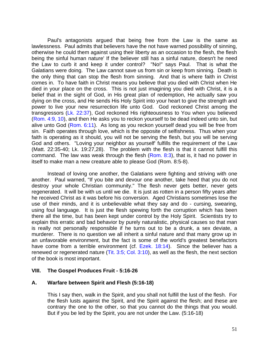Paul's antagonists argued that being free from the Law is the same as lawlessness. Paul admits that believers have the not have warned possibility of sinning, otherwise he could them against using their liberty as an occasion to the flesh, the flesh being the sinful human nature' If the believer still has a sinful nature, doesn't he need the Law to curb it and keep it under control? "No!" says Paul. That is what the Galatians were doing. The Law cannot save us from sin or keep from sinning. Death is the only thing that can stop the flesh from sinning. And that is where faith in Christ comes in. To have faith in Christ means you believe that you died with Christ when He died in your place on the cross. This is not just imagining you died with Christ, it is a belief that in the sight of God, in His great plan of redemption, He actually saw you dying on the cross, and He sends His Holy Spirit into your heart to give the strength and power to live your new resurrection life unto God. God reckoned Christ among the transgressors (Lk. 22:37), God reckoned His righteousness to You when you believed (Rom. 4:9, 10), and then He asks you to reckon yourself to be dead indeed unto sin, but alive unto God (Rom. 6:11). As long as you reckon yourself dead you will be free from sin. Faith operates through love, which is the opposite of selfishness. Thus when your faith is operating as it should, you will not be serving the flesh, but you will be serving God and others. "Loving your neighbor as yourself' fulfills the requirement of the Law (Matt. 22:35-40; Lk. 19:27,28). The problem with the flesh is that it cannot fulfill this command. The law was weak through the flesh  $(Rom. 8:3)$ , that is, it had no power in itself to make man a new creature able to please God (Rom. 8:5-8).

Instead of loving one another, the Galatians were fighting and striving with one another. Paul warned, "If you bite and devour one another, take heed that you do not destroy your whole Christian community." The flesh never gets better, never gets regenerated. It will be with us until we die. It is just as rotten in a person fifty years after he received Christ as it was before his conversion. Aged Christians sometimes lose the use of their minds, and it is unbelievable what they say and do - cursing, swearing, using foul language. It is just the flesh spewing forth the corruption which has been there all the time, but has been kept under control by the Holy Spirit. Scientists try to explain this erratic and bad behavior by purely naturalistic, physical causes so that man is really not personally responsible if he turns out to be a drunk, a sex deviate, a murderer. There is no question we all inherit a sinful nature and that many grow up in an unfavorable environment, but the fact is some of the world's greatest benefactors have come from a terrible environment (cf. Ezek. 18:14). Since the believer has a renewed or regenerated nature (Tit. 3:5; Col. 3:10), as well as the flesh, the next section of the book is most important.

## **VIII. The Gospel Produces Fruit - 5:16-26**

## **A. Warfare between Spirit and Flesh (5:16-18)**

This I say then, walk in the Spirit, and you shall not fulfill the lust of the flesh. For the flesh lusts against the Spirit, and the Spirit against the flesh; and these are contrary the one to the other, so that you cannot do the things that you would. But if you be led by the Spirit, you are not under the Law. (5:16-18)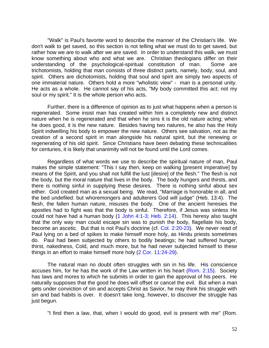"Walk" is Paul's favorite word to describe the manner of the Christian's life. We don't walk to get saved, so this section is not telling what we must do to get saved, but rather how we are to walk after we are saved. In order to understand this walk, we must know something about who and what we are. Christian theologians differ on their understanding of the psychological-spiritual constitution of man. Some are trichotomists, holding that man consists of three distinct parts, namely, body, soul, and spirit. Others are dichotomists, holding that soul and spirit are simply two aspects of one immaterial nature. Others hold a more "wholistic view" - man is a personal unity. He acts as a whole. He cannot say of his acts, "My body committed this act; not my soul or my spirit." It is the whole person who acts.

Further, there is a difference of opinion as to just what happens when a person is regenerated. Some insist man has created within him a completely new and distinct nature when he is regenerated and that when he sins it is the old nature acting; when he does good, it is the new nature. Besides having two natures, he also has the Holy Spirit indwelling his body to empower the new nature. Others see salvation, not as the creation of a second spirit in man alongside his natural spirit, but the renewing or regenerating of his old spirit. Since Christians have been debating these technicalities for centuries, it is likely that unanimity will not be found until the Lord comes.

Regardless of what words we use to describe the spiritual nature of man, Paul makes the simple statement: "This I say then, keep on walking [present imperative] by means of the Spirit, and you shall not fulfill the lust [desire] of the flesh." The flesh is not the body, but the moral nature that lives in the body. The body hungers and thirsts, and there is nothing sinful in supplying these desires. There is nothing sinful about sex either. God created man as a sexual being. We read, "Marriage is honorable in all, and the bed undefiled: but whoremongers and adulterers God will judge" (Heb. 13:4). The flesh, the fallen human nature, misuses the body. One of the ancient heresies the apostles had to fight was that the body is sinful. Therefore, if Jesus was sinless He could not have had a human body (1 John 4:1-3; Heb. 2:14). This heresy also taught that the only way man could escape sin was to punish the body, flagellate his body, become an ascetic. But that is not Paul's doctrine (cf. Col. 2:20-23). We never read of Paul lying on a bed of spikes to make himself more holy, as Hindu priests sometimes do. Paul had been subjected by others to bodily beatings; he had suffered hunger, thirst, nakedness, Cold, and much more, but he had never subjected himself to these things in an effort to make himself more holy (2 Cor. 11:24-29).

The natural man no doubt often struggles with sin in his life. His conscience accuses him, for he has the work of the Law written in his heart (Rom. 2:15). Society has laws and mores to which he submits in order to gain the approval of his peers. He naturally supposes that the good he does will offset or cancel the evil. But when a man gets under conviction of sin and accepts Christ as Savior, he may think his struggle with sin and bad habits is over. It doesn't take long, however, to discover the struggle has just begun.

"I find then a law, that, when I would do good, evil is present with me" (Rom.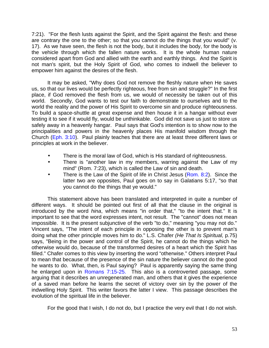7:21). "For the flesh lusts against the Spirit, and the Spirit against the flesh: and these are contrary the one to the other; so that you cannot do the things that you would" (v. 17). As we have seen, the flesh is not the body, but it includes the body, for the body is the vehicle through which the fallen nature works. It is the whole human nature considered apart from God and allied with the earth and earthly things. And the Spirit is not man's spirit, but the Holy Spirit of God, who comes to indwell the believer to empower him against the desires of the flesh.

It may be asked, "Why does God not remove the fleshly nature when He saves us, so that our lives would be perfectly righteous, free from sin and struggle?" In the first place, if God removed the flesh from us, we would of necessity be taken out of this world. Secondly, God wants to test our faith to demonstrate to ourselves and to the world the reality and the power of His Spirit to overcome sin and produce righteousness. To build a space-shuttle at great expense and then house it in a hangar without ever testing it to see if it would fly, would be unthinkable. God did not save us just to store us safely away in a heavenly hangar. Paul says that God's intention is to show now to the principalities and powers in the heavenly places His manifold wisdom through the Church (Eph. 3:10). Paul plainly teaches that there are at least three different laws or principles at work in the believer.

- There is the moral law of God, which is His standard of righteousness.
- There is "another law in my members, warring against the Law of my mind" (Rom. 7:23), which is called the Law of sin and death.
- There is the Law of the Spirit of life in Christ Jesus (Rom. 8:2). Since the latter two are opposites, Paul goes on to say in Galatians 5:17, "so that you cannot do the things that ye would."

This statement above has been translated and interpreted in quite a number of different ways. It should be pointed out first of all that the clause in the original is introduced by the word *hina*, which means "in order that," "to the intent that." It is important to see that the word expresses intent, not result. The "cannot" does not mean impossible. It is the present subjunctive of the verb "to do," meaning "you may not do." Vincent says, "The intent of each principle in opposing the other is to prevent man's doing what the other principle moves him to do." L.S. Chafer *(He That Is Spiritual,* p.75) says, "Being in the power and control of the Spirit, he cannot do the things which he otherwise would do, because of the transformed desires of a heart which the Spirit has filled." Chafer comes to this view by inserting the word "otherwise." Others interpret Paul to mean that because of the presence of the sin nature the believer cannot do the good he wants to do. What, then, is Paul saying? Paul is apparently saying the same thing he enlarged upon in Romans 7:15-25. This also is a controverted passage, some arguing that it describes an unregenerated man, and others that it gives the experience of a saved man before he learns the secret of victory over sin by the power of the indwelling Holy Spirit. This writer favors the latter I view. This passage describes the evolution of the spiritual life in the believer.

For the good that I wish, I do not do, but I practice the very evil that I do not wish.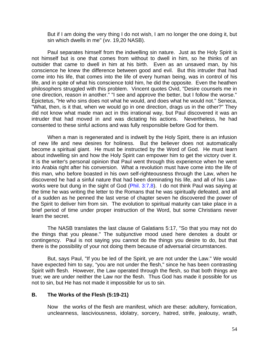But if I am doing the very thing I do not wish, I am no longer the one doing it, but sin which dwells in me" (vv. 19,20 NASB).

Paul separates himself from the indwelling sin nature. Just as the Holy Spirit is not himself but is one that comes from without to dwell in him, so he thinks of an outsider that came to dwell in him at his birth. Even as an unsaved man, by his conscience he knew the difference between good and evil. But this intruder that had come into his life, that comes into the life of every human being, was in control of his life, and in spite of what his conscience told him, he did the opposite. Even the heathen philosophers struggled with this problem. Vincent quotes Ovid, "Desire counsels me in one direction, reason in another." "I see and approve the better, but I follow the worse." Epictetus, "He who sins does not what he would, and does what he would not." Seneca, "What, then, is it that, when we would go in one direction, drags us in the other?" They did not know what made man act in this irrational way, but Paul discovered it was an intruder that had moved in and was dictating his actions. Nevertheless, he had consented to these sinful actions and was fully responsible before God for them.

When a man is regenerated and is indwelt by the Holy Spirit, there is an infusion of new life and new desires for holiness. But the believer does not automatically become a spiritual giant. He must be instructed by the Word of God. He must learn about indwelling sin and how the Holy Spirit can empower him to get the victory over it. It is the writer's personal opinion that Paul went through this experience when he went into Arabia right after his conversion. What a revolution must have come into the life of this man, who before boasted in his own self-righteousness through the Law, when he discovered he had a sinful nature that had been dominating his life, and all of his Lawworks were but dung in the sight of God (Phil. 3:7,8). I do not think Paul was saying at the time he was writing the letter to the Romans that he was spiritually defeated, and all of a sudden as he penned the last verse of chapter seven he discovered the power of the Spirit to deliver him from sin. The evolution to spiritual maturity can take place in a brief period of time under proper instruction of the Word, but some Christians never learn the secret.

The NASB translates the last clause of Galatians 5:17, "So that you may not do the things that you please." The subjunctive mood used here denotes a doubt or contingency. Paul is not saying you cannot do the things you desire to do, but that there is the possibility of your not doing them because of adversarial circumstances.

But, says Paul, "If you be led of the Spirit, ye are not under the Law." We would have expected him to say, "you are not under the flesh," since he has been contrasting Spirit with flesh. However, the Law operated through the flesh, so that both things are true; we are under neither the Law nor the flesh. Thus God has made it possible for us not to sin, but He has not made it impossible for us to sin.

## **B. The Works of the Flesh (5:19-21)**

Now the works of the flesh are manifest, which are these: adultery, fornication, uncleanness, lasciviousness, idolatry, sorcery, hatred, strife, jealousy, wrath,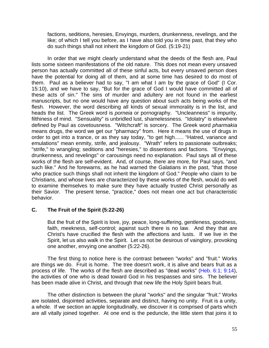factions, seditions, heresies, Envyings, murders, drunkenness, revelings, and the like; of which I tell you before, as I have also told you in time past, that they who do such things shall not inherit the kingdom of God. (5:19-21)

In order that we might clearly understand what the deeds of the flesh are, Paul lists some sixteen manifestations of the old nature. This does not mean every unsaved person has actually committed all of these sinful acts, but every unsaved person does have the potential for doing all of them, and at some time has desired to do most of them. Paul as a believer had to say, "I am what I am by the grace of God" (I Cor. 15:10), and we have to say, "But for the grace of God I would have committed all of these acts of sin." The sins of murder and adultery are not found in the earliest manuscripts, but no one would have any question about such acts being works of the flesh. However, the word describing all kinds of sexual immorality is in the list, and heads the list. The Greek word is *porneia* or pornography. "Uncleanness" is impurity, filthiness of mind. "Sensuality" is unbridled lust, shamelessness. "Idolatry" is elsewhere defined by Paul as covetousness. "Witchcraft" is sorcery. The Greek word *pharmakia*  means drugs, the word we get our "pharmacy" from. Here it means the use of drugs in order to get into a trance, or as they say today, "to get high...... "Hatred, variance and emulations" mean enmity, strife, and jealousy. "Wrath" refers to passionate outbreaks; "strife," to wrangling; seditions and "heresies," to dissentions and factions. "Envyings, drunkenness, and revelings" or carousings need no explanation. Paul says all of these works of the flesh are self-evident. And, of course, there are more, for Paul says, "and such like." And he forewarns, as he had warned the Galatians in the past, "that those who practice such things shall not inherit the kingdom of God." People who claim to be Christians, and whose lives are characterized by these works of the flesh, would do well to examine themselves to make sure they have actually trusted Christ personally as their Savior. The present tense, "practice," does not mean one act but characteristic behavior.

# **C. The Fruit of the Spirit (5:22-26)**

But the fruit of the Spirit is love, joy, peace, long-suffering, gentleness, goodness, faith, meekness, self-control; against such there is no law. And they that are Christ's have crucified the flesh with the affections and lusts. If we live in the Spirit, let us also walk in the Spirit. Let us not be desirous of vainglory, provoking one another, envying one another (5:22-26).

The first thing to notice here is the contrast between "works" and "fruit." Works are things we do. Fruit is home. The tree doesn't work, it is alive and bears fruit as a process of life. The works of the flesh are described as "dead works" (Heb. 6:1; 9:14), the activities of one who is dead toward God in his trespasses and sins. The believer has been made alive in Christ, and through that new life the Holy Spirit bears fruit.

The other distinction is between the plural "works" and the singular "fruit." Works are isolated, disjointed activities, separate and distinct, having no unity. Fruit is a unity, a whole. If we section an apple longitudinally, we discover it is comprised of parts which are all vitally joined together. At one end is the peduncle, the little stem that joins it to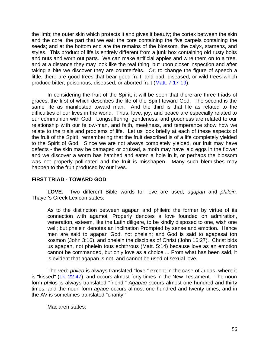the limb; the outer skin which protects it and gives it beauty; the cortex between the skin and the core, the part that we eat; the core containing the five carpels containing the seeds; and at the bottom end are the remains of the blossom, the calyx, stamens, and styles. This product of life is entirely different from a junk box containing old rusty bolts and nuts and worn out parts. We can make artificial apples and wire them on to a tree, and at a distance they may look like the real thing, but upon closer inspection and after taking a bite we discover they are counterfeits. Or, to change the figure of speech a little, there are good trees that bear good fruit, and bad, diseased, or wild trees which produce bitter, poisonous, diseased, or aborted fruit (Matt. 7:17-19).

In considering the fruit of the Spirit, it will be seen that there are three triads of graces, the first of which describes the life of the Spirit toward God. The second is the same life as manifested toward man. And the third is that life as related to the difficulties of our lives in the world. Thus, love, joy, and peace are especially related to our communion with God. Longsuffering, gentleness, and goodness are related to our relationship with our fellow-man, and faith, meekness, and temperance show how we relate to the trials and problems of life. Let us look briefly at each of these aspects of the fruit of the Spirit, remembering that the fruit described is of a life completely yielded to the Spirit of God. Since we are not always completely yielded, our fruit may have defects - the skin may be damaged or bruised, a moth may have laid eggs in the flower and we discover a worm has hatched and eaten a hole in it, or perhaps the blossom was not properly pollinated and the fruit is misshapen. Many such blemishes may happen to the fruit produced by our lives.

## **FIRST TRIAD - TOWARD GOD**

**LOVE.** Two different Bible words for love are used; *agapan* and *philein.*  Thayer's Greek Lexicon states:

As to the distinction between agapan and philein: the former by virtue of its connection with agamoi, Properly denotes a love founded on admiration, veneration, esteem, like the Latin diligere, to be kindly disposed to one, wish one well; but phelein denotes an inclination Prompted by sense and emotion. Hence men are said to agapan God, not phelein; and God is said to agapesai ton kosmon (John 3:16), and phelein the disciples of Christ (John 16:27). Christ bids us agapan, not phelein tous echthrous (Matt. 5:14) because love as an emotion cannot be commanded, but only love as a choice ... From what has been said, it is evident that agapan is not, and cannot be used of sexual love.

The verb *phileo* is always translated "love," except in the case of Judas, where it is "kissed" (Lk. 22:47), and occurs almost forty times in the New Testament. The noun form *philos* is always translated "friend." *Agapao o*ccurs almost one hundred and thirty times, and the noun form *agape* occurs almost one hundred and twenty times, and in the AV is sometimes translated "charity."

Maclaren states: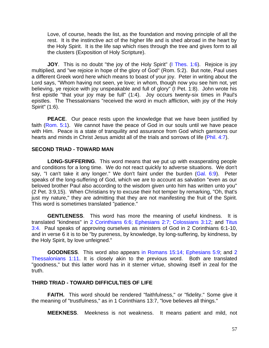Love, of course, heads the list, as the foundation and moving principle of all the rest. It is the instinctive act of the higher life and is shed abroad in the heart by the Holy Spirit. It is the life sap which rises through the tree and gives form to all the clusters (Exposition of Holy Scripture).

**JOY**. This is no doubt "the joy of the Holy Spirit" (I Thes. 1:6). Rejoice is joy multiplied, and "we rejoice in hope of the glory of God" (Rom. 5:2). But note, Paul uses a different Greek word here which means to boast of your joy. Peter in writing about the Lord says, "Whom having not seen, ye love; in whom, though now you see him not, yet believing, ye rejoice with joy unspeakable and full of glory" (I Pet. 1:8). John wrote his first epistle "that your joy may be full" (1:4). Joy occurs twenty-six times in Paul's epistles. The Thessalonians "received the word in much affliction, with joy of the Holy Spirit" (1:6).

**PEACE**. Our peace rests upon the knowledge that we have been justified by faith (Rom. 5:1). We cannot have the peace of God in our souls until we have peace with Him. Peace is a state of tranquility and assurance from God which garrisons our hearts and minds in Christ Jesus amidst all of the trials and sorrows of life (Phil. 4:7).

## **SECOND TRIAD - TOWARD MAN**

**LONG-SUFFERING**. This word means that we put up with exasperating people and conditions for a long time. We do not react quickly to adverse situations. We don't say, "I can't take it any longer." We don't faint under the burden (Gal. 6:9). Peter speaks of the long-suffering of God, which we are to account as salvation "even as our beloved brother Paul also according to the wisdom given unto him has written unto you" (2 Pet. 3:9,15). When Christians try to excuse their hot temper by remarking, "Oh, that's just my nature," they are admitting that they are not manifesting the fruit of the Spirit. This word is sometimes translated "patience."

**GENTLENESS**. This word has more the meaning of useful kindness. It is translated "kindness" in 2 Corinthians 6:6; Ephesians 2:7; Colossians 3:12; and Titus 3:4. Paul speaks of approving ourselves as ministers of God in 2 Corinthians 6:1-10, and in verse 6 it is to be "by pureness, by knowledge, by long-suffering, by kindness, by the Holy Spirit, by love unfeigned."

**GOODNESS**. This word also appears in Romans 15:14; Ephesians 5:9; and 2 Thessalonians 1:11. It is closely akin to the previous word. Both are translated "goodness," but this latter word has in it sterner virtue, showing itself in zeal for the truth.

## **THIRD TRIAD - TOWARD DIFFICULTIES OF LIFE**

**FAITH.** This word should be rendered "faithfulness," or "fidelity." Some give it the meaning of "trustfulness," as in 1 Corinthians 13:7, "love believes all things."

**MEEKNESS**. Meekness is not weakness. It means patient and mild, not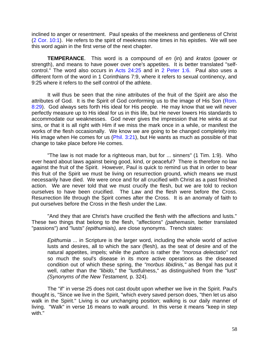inclined to anger or resentment. Paul speaks of the meekness and gentleness of Christ (2 Cor. 10:1). He refers to the spirit of meekness nine times in his epistles. We will see this word again in the first verse of the next chapter.

**TEMPERANCE**. This word is a compound of *en* (in) and *kratos* (power or strength), and means to have power over one's appetites. It is better translated "selfcontrol." The word also occurs in Acts 24:25 and in 2 Peter 1:6. Paul also uses a different form of the word in 1 Corinthians 7:9, where it refers to sexual continency, and 9:25 where it refers to the self control of the athlete.

It will thus be seen that the nine attributes of the fruit of the Spirit are also the attributes of God. It is the Spirit of God conforming us to the image of His Son (Rom. 8:29). God always sets forth His ideal for His people. He may know that we will never perfectly measure up to His ideal for us in this life, but He never lowers His standards to accommodate our weaknesses. God never gives the impression that He winks at our sins, or that it is all right with Him if we miss the mark once in a while, or manifest the works of the flesh occasionally. We know we are going to be changed completely into His image when He comes for us (Phil. 3:21), but He wants as much as possible of that change to take place before He comes.

"The law is not made for a righteous man, but for ... sinners" (1 Tim. 1:9). Who ever heard about laws against being good, kind, or peaceful? There is therefore no law against the fruit of the Spirit. However, Paul is quick to remind us that in order to bear this fruit of the Spirit we must be living on resurrection ground, which means we must necessarily have died. We were once and for all crucified with Christ as a past finished action. We are never told that we must crucify the flesh, but we are told to reckon ourselves to have been crucified. The Law and the flesh were before the Cross. Resurrection life through the Spirit comes after the Cross. It is an anomaly of faith to put ourselves before the Cross in the flesh under the Law.

"And they that are Christ's have crucified the flesh with the affections and lusts." These two things that belong to the flesh, "affections" *(pathemasin,* better translated "passions") and "lusts" *(epithumiais),* are close synonyms. Trench states:

*Epithumia* ... in Scripture is the larger word, including the whole world of active lusts and desires, all to which the *sarx* (flesh), as the seat of desire and of the natural appetites, impels; while the *pathos* is rather the *"morosa delectatio"* not so much the soul's disease in its more active operations as the diseased condition out of which these spring, the *"morbus libidinis,"* as Bengal has put it well, rather than the *"libido,"* the "lustfulness," as distinguished from the "lust" *(Synonyms of the New Testament,* p. 324).

The "if" in verse 25 does not cast doubt upon whether we live in the Spirit. Paul's thought is, "Since we live in the Spirit, "which every saved person does, "then let us also walk in the Spirit." Living is our unchanging position; walking is our daily manner of living. "Walk" in verse 16 means to walk around. In this verse it means "keep in step with."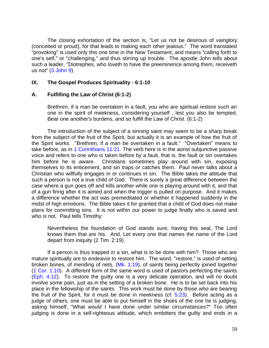The closing exhortation of the section is, "Let us not be desirous of vainglory (conceited or proud), for that leads to making each other jealous." The word translated "provoking" is used only this one time in the New Testament, and means "calling forth to one's self," or "challenging," and thus stirring up trouble. The apostle John tells about such a leader, "Diotrephes, who loveth to have the preeminence among them, receiveth us not" (3 John 9).

#### **IX. The Gospel Produces Spirituality - 6:1-10**

#### **A. Fulfilling the Law of Christ (6:1-2)**

Brethren, if a man be overtaken in a fault, you who are spiritual restore such an one in the spirit of meekness, considering yourself , lest you also be tempted. Bear one another's burdens, and so fulfill the Law of Christ. (6:1-2)

The introduction of the subject of a sinning saint may seem to be a sharp break from the subject of the fruit of the Spirit, but actually it is an example of how the fruit of the Spirit works. "Brethren, if a man be overtaken in a fault." "Overtaken" means to take before, as in 1 Corinthians 11:21. The verb here is in the aorist subjunctive passive voice and refers to one who is taken before by a fault, that is, the fault or sin overtakes him before he is aware. Christians sometimes play around with sin, exposing themselves to its enticement, and sin traps or catches them. Paul never talks about a Christian who willfully engages in or continues in sin. The Bible takes the attitude that such a person is not a true child of God. There is surely a great difference between the case where a gun goes off and kills another while one is playing around with it, and that of a gun firing after it is aimed and when the trigger is pulled on purpose. And it makes a difference whether the act was premeditated or whether it happened suddenly in the midst of high emotions. The Bible takes it for granted that a child of God does not make plans for committing sins. It is not within our power to judge finally who is saved and who is not. Paul tells Timothy:

Nevertheless the foundation of God stands sure, having this seal, The Lord knows them that are his. And, Let every one that names the name of the Lord depart from iniquity (2 Tim. 2:19).

If a person is thus trapped in a sin, what is to be done with him? Those who are mature spiritually are to endeavor to restore him. The word, "restore," is used of setting broken bones, of mending of nets. (Mk. 1:19), of saints being perfectly joined together (1 Cor. 1:10). A different form of the same word is used of pastors perfecting the saints (Eph. 4:12). To restore the guilty one is a very delicate operation, and will no doubt involve some pain, just as in the setting of a broken bone. He is to be set back into his place in the fellowship of the saints. This work must be done by those who are bearing the fruit of the Spirit, for it must be done in meekness (cf.  $5:23$ ). Before acting as a judge of others, one must be able to put himself in the shoes of the one he is judging, asking himself, "What would I have done under similar circumstances?" Too often judging is done in a self-righteous attitude, which embitters the guilty and ends in a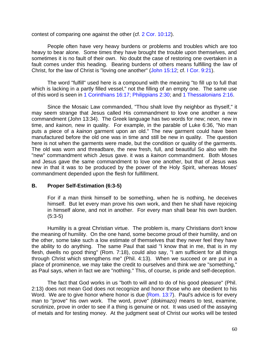contest of comparing one against the other (cf. 2 Cor. 10:12).

People often have very heavy burdens or problems and troubles which are too heavy to bear alone. Some times they have brought the trouble upon themselves, and sometimes it is no fault of their own. No doubt the case of restoring one overtaken in a fault comes under this heading. Bearing burdens of others means fulfilling the law of Christ, for the law of Christ is "loving one another" (John 15:12; cf. I Cor. 9:21).

The word "fulfill" used here is a compound with the meaning "to fill up to full that which is lacking in a partly filled vessel," not the filling of an empty one. The same use of this word is seen in 1 Corinthians 16:17; Philippians 2:30; and 1 Thessalonians 2:16.

Since the Mosaic Law commanded, "Thou shalt love thy neighbor as thyself," it may seem strange that Jesus called His commandment to love one another a new commandment (John 13:34). The Greek language has two words for new; *neon,* new in time, and *kainon,* new in quality. For example, in the parable of Luke 6:36, "No man puts a piece of a *kainon* garment upon an old." The new garment could have been manufactured before the old one was in time and still be new in quality. The question here is not when the garments were made, but the condition or quality of the garments. The old was worn and threadbare, the new fresh, full, and beautiful So also with the "new" commandment which Jesus gave. it was a *kainon* commandment. Both Moses and Jesus gave the same commandment to love one another, but that of Jesus was new in that it was to be produced by the power of the Holy Spirit, whereas Moses' commandment depended upon the flesh for fulfillment.

## **B. Proper Self-Estimation (6:3-5)**

For if a man think himself to be something, when he is nothing, he deceives himself. But let every man prove his own work, and then he shall have rejoicing in himself alone, and not in another. For every man shall bear his own burden. (5:3-5)

Humility is a great Christian virtue. The problem is, many Christians don't know the meaning of humility. On the one hand, some become proud of their humility, and on the other, some take such a low estimate of themselves that they never feel they have the ability to do anything. The same Paul that said "I know that in me, that is in my flesh, dwells no good thing" (Rom. 7:18), could also say, "I am sufficient for all things through Christ which strengthens me" (Phil. 4:13). When we succeed or are put in a place of prominence, we may take the credit to ourselves and think we are "something," as Paul says, when in fact we are "nothing." This, of course, is pride and self-deception.

The fact that God works in us "both to will and to do of his good pleasure" (Phil. 2:13) does not mean God does not recognize and honor those who are obedient to his Word. We are to give honor where honor is due (Rom. 13:7). Paul's advice is for every man to "prove" his own work. The word, prove" *(dokimazo)* means to test, examine, scrutinize, prove in order to see if a thing is genuine or not. It was used of the assaying of metals and for testing money. At the judgment seat of Christ our works will be tested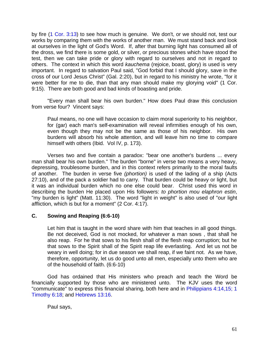by fire (1 Cor. 3:13) to see how much is genuine. We don't, or we should not, test our works by comparing them with the works of another man. We must stand back and look at ourselves in the light of God's Word. If, after that burning light has consumed all of the dross, we find there is some gold, or silver, or precious stones which have stood the test, then we can take pride or glory with regard to ourselves and not in regard to others. The context in which this word *kauchema* (rejoice, boast, glory) is used is very important. In regard to salvation Paul said, "God forbid that I should glory, save in the cross of our Lord Jesus Christ" (Gal. 2:20), but in regard to his ministry he wrote, "for it were better for me to die, than that any man should make my glorying void" (1 Cor. 9:15). There are both good and bad kinds of boasting and pride.

"Every man shall bear his own burden." How does Paul draw this conclusion from verse four? Vincent says:

Paul means, no one will have occasion to claim moral superiority to his neighbor, for (gar) each man's self-examination will reveal infirmities enough of his own, even though they may not be the same as those of his neighbor. His own burdens will absorb his whole attention, and will leave him no time to compare himself with others (Ibid. Vol IV, p. 173).

Verses two and five contain a paradox: "bear one another's burdens ... every man shall bear his own burden." The burden "borne" in verse two means a very heavy, depressing, troublesome burden, and in this context refers primarily to the moral faults of another. The burden in verse five *(phortion)* is used of the lading of a ship (Acts 27:10), and of the pack a soldier had to carry. That burden could be heavy or light, but it was an individual burden which no one else could bear. Christ used this word in describing the burden He placed upon His followers: *to phortion mou elaphron estin*, "my burden is light" (Matt. 11:30). The word "light in weight" is also used of "our light affliction, which is but for a moment" (2 Cor. 4:17).

## **C. Sowing and Reaping (6:6-10)**

Let him that is taught in the word share with him that teaches in all good things. Be not deceived, God is not mocked, for whatever a man sows , that shall he also reap. For he that sows to his flesh shall of the flesh reap corruption; but he that sows to the Spirit shall of the Spirit reap life everlasting. And let us not be weary in well doing; for in due season we shall reap, if we faint not. As we have, therefore, opportunity, let us do good unto all men, especially unto them who are of the household of faith. (6:6-10)

God has ordained that His ministers who preach and teach the Word be financially supported by those who are ministered unto. The KJV uses the word "communicate" to express this financial sharing, both here and in Philippians 4:14,15; 1 Timothy 6:18; and Hebrews 13:16.

Paul says,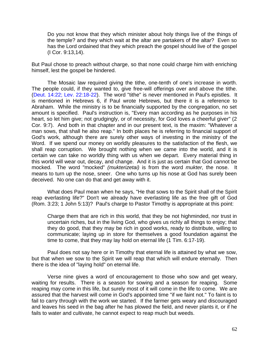Do you not know that they which minister about holy things live of the things of the temple? and they which wait at the altar are partakers of the altar? Even so has the Lord ordained that they which preach the gospel should live of the gospel (I Cor. 9:13,14).

But Paul chose to preach without charge, so that none could charge him with enriching himself, lest the gospel be hindered.

The Mosaic law required giving the tithe, one-tenth of one's increase in worth. The people could, if they wanted to, give free-will offerings over and above the tithe. (Deut. 14:22; Lev. 22:18-22). The word "tithe" is never mentioned in Paul's epistles. It is mentioned in Hebrews 6, if Paul wrote Hebrews, but there it is a reference to Abraham. While the ministry is to be financially supported by the congregation, no set amount is specified. Paul's instruction is, "Every man according as he purposes in his heart, so let him give; not grudgingly, or of necessity, for God loves a cheerful giver" (2 Cor. 9:7). And both in that chapter and in our present text, is the maxim: "Whatever a man sows, that shall he also reap." In both places he is referring to financial support of God's work, although there are surely other ways of investing in the ministry of the Word. If we spend our money on worldly pleasures to the satisfaction of the flesh, we shall reap corruption. We brought nothing when we came into the world, and it is certain we can take no worldly thing with us when we depart. Every material thing in this world will wear out, decay, and change. And it is just as certain that God cannot be mocked. The word "mocked" *(mukterizetai)* is from the word *mukter,* the nose. It means to turn up the nose, sneer. One who turns up his nose at God has surely been deceived. No one can do that and get away with it.

What does Paul mean when he says, "He that sows to the Spirit shall of the Spirit reap everlasting life?" Don't we already have everlasting life as the free gift of God (Rom. 3:23; 1 John 5:13)? Paul's charge to Pastor Timothy is appropriate at this point:

Charge them that are rich in this world, that they be not highminded, nor trust in uncertain riches, but in the living God, who gives us richly all things to enjoy; that they do good, that they may be rich in good works, ready to distribute, willing to communicate; laying up in store for themselves a good foundation against the time to come, that they may lay hold on eternal life (1 Tim. 6:17-19).

Paul does not say here or in Timothy that eternal life is attained by what we sow, but that when we sow to the Spirit we will reap that which will endure eternally. Then there is the idea of "laying hold" on eternal life.

Verse nine gives a word of encouragement to those who sow and get weary, waiting for results. There is a season for sowing and a season for reaping. Some reaping may come in this life, but surely most of it will come in the life to come. We are assured that the harvest will come in God's appointed time "if we faint not." To faint is to fail to carry through with the work we started. If the farmer gets weary and discouraged and leaves his seed in the bag after he has plowed the field, and never plants it, or if he fails to water and cultivate, he cannot expect to reap much but weeds.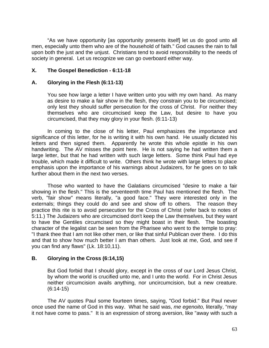"As we have opportunity [as opportunity presents itself] let us do good unto all men, especially unto them who are of the household of faith." God causes the rain to fall upon both the just and the unjust. Christians tend to avoid responsibility to the needs of society in general. Let us recognize we can go overboard either way.

## **X. The Gospel Benediction - 6:11-18**

## **A. Glorying in the Flesh (6:11-13)**

You see how large a letter I have written unto you with my own hand. As many as desire to make a fair show in the flesh, they constrain you to be circumcised; only lest they should suffer persecution for the cross of Christ. For neither they themselves who are circumcised keep the Law, but desire to have you circumcised, that they may glory in your flesh. (6:11-13)

In coming to the close of his letter, Paul emphasizes the importance and significance of this letter, for he is writing it with his own hand. He usually dictated his letters and then signed them. Apparently he wrote this whole epistle in his own handwriting. The AV misses the point here. He is not saying he had written them a large letter, but that he had written with such large letters. Some think Paul had eye trouble, which made it difficult to write. Others think he wrote with large letters to place emphasis upon the importance of his warnings about Judaizers, for he goes on to talk further about them in the next two verses.

Those who wanted to have the Galatians circumcised "desire to make a fair showing in the flesh." This is the seventeenth time Paul has mentioned the flesh. The verb, "fair show" means literally, "a good face." They were interested only in the externals; things they could do and see and show off to others. The reason they practice this rite is to avoid persecution for the Cross of Christ (refer back to notes of 5:11.) The Judaizers who are circumcised don't keep the Law themselves, but they want to have the Gentiles circumcised so they might boast in their flesh. The boasting character of the legalist can be seen from the Pharisee who went to the temple to pray: "I thank thee that I am not like other men, or like that sinful Publican over there. I do this and that to show how much better I am than others. Just look at me, God, and see if you can find any flaws" (Lk. 18:10,11).

## **B. Glorying in the Cross (6:14,15)**

But God forbid that I should glory, except in the cross of our Lord Jesus Christ, by whom the world is crucified unto me, and I unto the world. For in Christ Jesus neither circumcision avails anything, nor uncircumcision, but a new creature. (6:14-15)

The AV quotes Paul some fourteen times, saying, "God forbid." But Paul never once used the name of God in this way. What he said was, *me egenoito,* literally, "may it not have come to pass." It is an expression of strong aversion, like "away with such a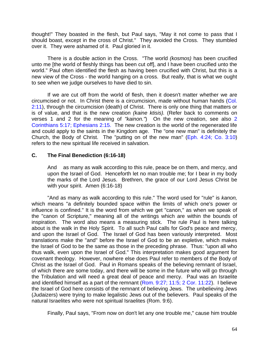thought!" They boasted in the flesh, but Paul says, "May it not come to pass that I should boast, except in the cross of Christ." They avoided the Cross. They stumbled over it. They were ashamed of it. Paul gloried in it.

There is a double action in the Cross. "The world *(kosmos)* has been crucified unto me [the world of fleshly things has been cut off], and I have been crucified unto the world." Paul often identified the flesh as having been crucified with Christ, but this is a new view of the Cross - the world hanging on a cross. But really, that is what we ought to see when we judge ourselves to have died to sin.

If we are cut off from the world of flesh, then it doesn't matter whether we are circumcised or not. In Christ there is a circumcision, made without human hands (Col. 2:11), through the circumcision (death) of Christ. There is only one thing that matters or is of value, and that is the new creation *(kaine ktisis).* (Refer back to comments on verses 1 and 2 for the meaning of *"kainon."*)On the new creation, see also 2 Corinthians 5:17; Ephesians 2:15. The new creation is the world of the regenerated life and could apply to the saints in the Kingdom age. The "one new man" is definitely the Church, the Body of Christ. The "putting on of the new man" (Eph. 4:24; Co. 3:10) refers to the new spiritual life received in salvation.

# **C. The Final Benediction (6:16-18)**

And as many as walk according to this rule, peace be on them, and mercy, and upon the Israel of God. Henceforth let no man trouble me; for I bear in my body the marks of the Lord Jesus. Brethren, the grace of our Lord Jesus Christ be with your spirit. Amen (6:16-18)

"And as many as walk according to this rule." The word used for "rule" is *kanon,*  which means "a definitely bounded space within the limits of which one's power or influence is confined." It is the word from which we get "canon," as when we speak of the "canon of Scripture," meaning all of the writings which are within the bounds of inspiration. The word also means a measuring stick. The rule Paul is here talking about is the walk in the Holy Spirit. To all such Paul calls for God's peace and mercy, and upon the Israel of God. The Israel of God has been variously interpreted. Most translations make the "and" before the Israel of God to be an expletive, which makes the Israel of God to be the same as those in the preceding phrase. Thus: "upon all who thus walk, even upon the Israel of God." This interpretation makes good argument for covenant theology. However, nowhere else does Paul refer to members of the Body of Christ as the Israel of God. Paul in Romans speaks of the believing remnant of Israel, of which there are some today, and there will be some in the future who will go through the Tribulation and will need a great deal of peace and mercy. Paul was an Israelite and identified himself as a part of the remnant (Rom. 9:27; 11:5; 2 Cor. 11:22). I believe the Israel of God here consists of the remnant of believing Jews. The unbelieving Jews (Judaizers) were trying to make legalistic Jews out of the believers. Paul speaks of the natural Israelites who were not spiritual Israelites (Rom. 9:6).

Finally, Paul says, "From now on don't let any one trouble me," cause him trouble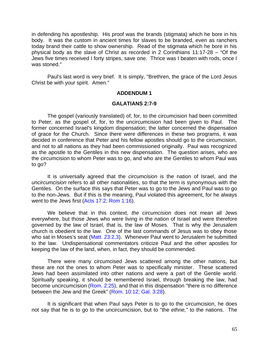in defending his apostleship. His proof was the brands (stigmata) which he bore in his body. It was the custom in ancient times for slaves to be branded, even as ranchers today brand their cattle to show ownership. Read of the stigmata which he bore in his physical body as the slave of Christ as recorded in 2 Corinthians 11:17-28 – "Of the Jews five times received I forty stripes, save one.Thrice was I beaten with rods, once I was stoned."

Paul's last word is very brief. It is simply, "Brethren, the grace of the Lord Jesus Christ be with your spirit. Amen."

#### **ADDENDUM 1**

#### **GALATIANS 2:7-9**

The gospel (variously translated) of, for, to the circumcision had been committed to Peter, as the gospel of, for, to the uncircumcision had been given to Paul. The former concerned Israel's kingdom dispensation; the latter concerned the dispensation of grace for the Church. Since there were differences in these two programs, it was decided in conference that Peter and his fellow apostles should go to the circumcision, and not to all nations as they had been commissioned originally. Paul was recognized as the apostle to the Gentiles in this new dispensation. The question arises, who are the circumcision to whom Peter was to go, and who are the Gentiles to whom Paul was to go?

It is universally agreed that the *circumcision* is the nation of Israel, and the *uncircumcision* refers to all other nationalities, so that the term is synonymous with the Gentiles. On the surface this says that Peter was to go to the Jews and Paul was to go to the non-Jews. But if this is the meaning, Paul violated this agreement, for he always went to the Jews first (Acts 17:2; Rom 1:16).

We believe that in this context, *the circumcision* does not mean all Jews everywhere, but those Jews who were living in the nation of Israel and were therefore governed by the law of Israel, that is, the law of Moses. That is why the Jerusalem church is obedient to the law. One of the last commands of Jesus was to obey those who sat in Moses's seat (Matt. 23:2,3). Whenever Paul went to Jerusalem he submitted to the law. Undispensational commentators criticize Paul and the other apostles for keeping the law of the land, when, in fact, they should be commended.

There were many circumcised Jews scattered among the other nations, but these are not the ones to whom Peter was to specifically minister. These scattered Jews had been assimilated into other nations and were a part of the Gentile world. Spiritually speaking, it should be remembered Israel, through breaking the law, had become uncircumcision (Rom. 2:25), and that in this dispensation "there is no difference between the Jew and the Greek" (Rom. 10:12; Gal. 3:28).

It is significant that when Paul says Peter is to go to the circumcision, he does not say that he is to go to the uncircumcision, but to "the *ethne,"* to the nations. The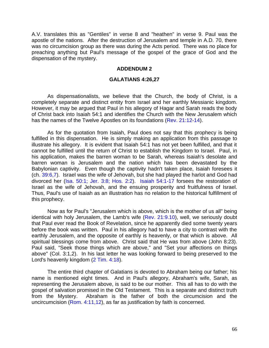<span id="page-66-0"></span>A.V. translates this as "Gentiles" in verse 8 and "heathen" in verse 9. Paul was the apostle of the nations. After the destruction of Jerusalem and temple in A.D. 70, there was no circumcision group as there was during the Acts period. There was no place for preaching anything but Paul's message of the gospel of the grace of God and the dispensation of the mystery.

#### **ADDENDUM 2**

#### **GALATIANS 4:26,27**

As dispensationalists, we believe that the Church, the body of Christ, is a completely separate and distinct entity from Israel and her earthly Messianic kingdom. However, it may be argued that Paul in his allegory of Hagar and Sarah reads the body of Christ back into Isaiah 54:1 and identifies the Church with the New Jerusalem which has the names of the Twelve Apostles on its foundations (Rev. 21:12-14).

As for the quotation from Isaiah, Paul does not say that this prophecy is being fulfilled in this dispensation. He is simply making an application from this passage to illustrate his allegory. It is evident that Isaiah 54:1 has not yet been fulfilled, and that it cannot be fulfilled until the return of Christ to establish the Kingdom to Israel. Paul, in his application, makes the barren woman to be Sarah, whereas Isaiah's desolate and barren woman is Jerusalem and the nation which has been devastated by the Babylonian captivity. Even though the captivity hadn't taken place, Isaiah foresees it (ch. 39:6,7). Israel was the wife of Jehovah, but she had played the harlot and God had divorced her (Isa. 50:1; Jer. 3:8; Hos. 2:2). Isaiah 54:1-17 forsees the restoration of Israel as the wife of Jehovah, and the ensuing prosperity and fruitfulness of Israel. Thus, Paul's use of Isaiah as an illustration has no relation to the historical fulfillment of this prophecy.

Now as for Paul's "Jerusalem which is above, which is the mother of us all" being identical with holy Jerusalem, the Lamb's wife (Rev. 21:9.10), well, we seriously doubt that Paul ever read the Book of Revelation, since he apparently died some twenty years before the book was written. Paul in his allegory had to have a city to contrast with the earthly Jerusalem, and the opposite of earthly is heavenly, or that which is above. All spiritual blessings come from above. Christ said that He was from above (John 8:23). Paul said, "Seek those things which are above," and "Set your affections on things above" (Col. 3:1,2). In his last letter he was looking forward to being preserved to the Lord's heavenly kingdom (2 Tim. 4:18).

The entire third chapter of Galatians is devoted to Abraham being our father; his name is mentioned eight times. And in Paul's allegory, Abraham's wife, Sarah, as representing the Jerusalem above, is said to be our mother. This all has to do with the gospel of salvation promised in the Old Testament. This is a separate and distinct truth from the Mystery. Abraham is the father of both the circumcision and the uncircumcision (Rom. 4:11,12), as far as justification by faith is concerned.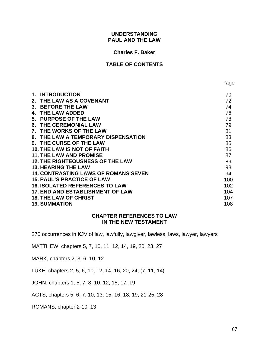#### **UNDERSTANDING PAUL AND THE LAW**

#### **Charles F. Baker**

## **TABLE OF CONTENTS**

| 1.      | <b>INTRODUCTION</b>                         | 70  |
|---------|---------------------------------------------|-----|
| $2_{-}$ | THE LAW AS A COVENANT                       | 72  |
| 3.      | <b>BEFORE THE LAW</b>                       | 74  |
| 4.      | <b>THE LAW ADDED</b>                        | 76  |
| 5.      | <b>PURPOSE OF THE LAW</b>                   | 78  |
| 6.      | <b>THE CEREMONIAL LAW</b>                   | 79  |
| 7.      | THE WORKS OF THE LAW                        | 81  |
| 8.      | THE LAW A TEMPORARY DISPENSATION            | 83  |
| 9.      | THE CURSE OF THE LAW                        | 85  |
|         | <b>10. THE LAW IS NOT OF FAITH</b>          | 86  |
|         | <b>11. THE LAW AND PROMISE</b>              | 87  |
|         | <b>12. THE RIGHTEOUSNESS OF THE LAW</b>     | 89  |
|         | <b>13. HEARING THE LAW</b>                  | 93  |
|         | <b>14. CONTRASTING LAWS OF ROMANS SEVEN</b> | 94  |
|         | <b>15. PAUL'S PRACTICE OF LAW</b>           | 100 |
|         | <b>16. ISOLATED REFERENCES TO LAW</b>       | 102 |
|         | <b>17. END AND ESTABLISHMENT OF LAW</b>     | 104 |
|         | <b>18. THE LAW OF CHRIST</b>                | 107 |
|         | <b>19. SUMMATION</b>                        | 108 |
|         |                                             |     |

#### **CHAPTER REFERENCES TO LAW IN THE NEW TESTAMENT**

270 occurrences in KJV of law, lawfully, lawgiver, lawless, laws, lawyer, lawyers

MATTHEW, chapters 5, 7, 10, 11, 12, 14, 19, 20, 23, 27

MARK, chapters 2, 3, 6, 10, 12

LUKE, chapters 2, 5, 6, 10, 12, 14, 16, 20, 24; (7, 11, 14)

JOHN, chapters 1, 5, 7, 8, 10, 12, 15, 17, 19

ACTS, chapters 5, 6, 7, 10, 13, 15, 16, 18, 19, 21-25, 28

ROMANS, chapter 2-10, 13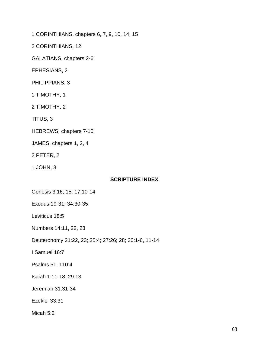1 CORINTHIANS, chapters 6, 7, 9, 10, 14, 15

2 CORINTHIANS, 12

GALATIANS, chapters 2-6

EPHESIANS, 2

PHILIPPIANS, 3

1 TIMOTHY, 1

2 TIMOTHY, 2

TITUS, 3

HEBREWS, chapters 7-10

JAMES, chapters 1, 2, 4

2 PETER, 2

1 JOHN, 3

## **SCRIPTURE INDEX**

Genesis 3:16; 15; 17:10-14

Exodus 19-31; 34:30-35

Leviticus 18:5

Numbers 14:11, 22, 23

Deuteronomy 21:22, 23; 25:4; 27:26; 28; 30:1-6, 11-14

I Samuel 16:7

Psalms 51; 110:4

Isaiah 1:11-18; 29:13

Jeremiah 31:31-34

Ezekiel 33:31

Micah 5:2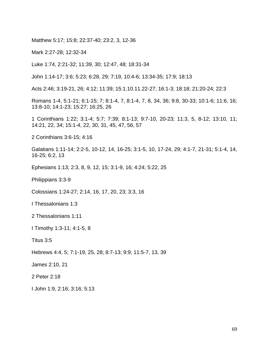Matthew 5:17; 15:8; 22:37-40; 23:2, 3, 12-36

Mark 2:27-28; 12:32-34

Luke 1:74, 2:21-32; 11:39, 30; 12:47, 48; 18:31-34

John 1:14-17; 3:6; 5:23; 6:28, 29; 7:19, 10:4-6; 13:34-35; 17:9; 18:13

Acts 2:46; 3:19-21, 26; 4:12; 11:39; 15:1.10.11.22-27; 16:1-3; 18:18; 21:20-24; 22:3

Romans 1-4, 5:1-21; 6:1-15; 7; 8:1-4, 7, 8:1-4, 7, 8, 34, 36; 9:8, 30-33; 10:1-6; 11:6, 16; 13:8-10; 14:1-23; 15:27; 16:25, 26

1 Corinthians 1:22; 3:1-4; 5:7; 7:39; 8:1-13; 9:7-10, 20-23; 11:3, 5, 8-12; 13:10, 11; 14:21, 22, 34; 15:1-4, 22, 30, 31, 45, 47, 56, 57

2 Corinthians 3:6-15; 4:16

Galatians 1:11-14; 2:2-5, 10-12, 14, 16-25; 3:1-5, 10, 17-24, 29; 4:1-7, 21-31; 5:1-4, 14, 16-25; 6:2, 13

Ephesians 1:13; 2:3, 8, 9, 12, 15; 3:1-9, 16; 4:24; 5:22, 25

Philippians 3:3-9

Colossians 1:24-27; 2:14, 16, 17, 20, 23; 3:3, 16

I Thessalonians 1:3

2 Thessalonians 1:11

I Timothy 1:3-11; 4:1-5, 8

Titus 3:5

Hebrews 4:4, 5; 7:1-19, 25, 28; 8:7-13; 9:9; 11:5-7, 13, 39

James 2:10, 21

2 Peter 2:18

I John 1:9, 2:16; 3:16; 5:13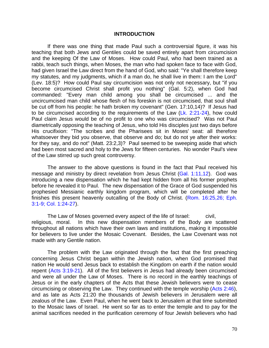#### **INTRODUCTION**

If there was one thing that made Paul such a controversial figure, it was his teaching that both Jews and Gentiles could be saved entirely apart from circumcision and the keeping Of the Law of Moses. How could Paul, who had been trained as a rabbi, teach such things, when Moses, the man who had spoken face to face with God, had given Israel the Law direct from the hand of God, who said: "Ye shall therefore keep my statutes, and my judgments, which if a man do, he shall live in them: I am the Lord" (Lev. 18:5)? How could Paul say circumcision was not only not necessary, but "if you become circumcised Christ shall profit you nothing" (Gal. 5:2), when God had commanded: "Every man child among you shall be circumcised ... and the uncircumcised man child whose flesh of his foreskin is not circumcised, that soul shall be cut off from his people: he hath broken my covenant" (Gen. 17:10,14)? If Jesus had to be circumcised according to the requirements of the Law (Lk. 2:21-24), how could Paul claim Jesus would be of no profit to one who was circumcised? Was not Paul diametrically opposing the teaching of Jesus, who told His disciples just two days before His crucifixion: "The scribes and the Pharisees sit in Moses' seat: all therefore whatsoever they bid you observe, that observe and do; but do not ye after their works: for they say, and do not" (Matt. 23:2,3)? Paul seemed to be sweeping aside that which had been most sacred and holy to the Jews for fifteen centuries. No wonder Paul's view of the Law stirred up such great controversy.

The answer to the above questions is found in the fact that Paul received his message and ministry by direct revelation from Jesus Christ (Gal. 1:11,12). God was introducing a new dispensation which he had kept hidden from all his former prophets before he revealed it to Paul. The new dispensation of the Grace of God suspended his prophesied Messianic earthly kingdom program, which will be completed after he finishes this present heavenly outcalling of the Body of Christ. (Rom. 16:25,26; Eph. 3:1-9; Col. 1:24-27).

The Law of Moses governed every aspect of the life of Israel: civil, religious, moral. In this new dispensation members of the Body are scattered throughout all nations which have their own laws and institutions, making it impossible for believers to live under the Mosaic Covenant. Besides, the Law Covenant was not made with any Gentile nation.

The problem with the Law originated through the fact that the first preaching concerning Jesus Christ began within the Jewish nation, when God promised that nation He would send Jesus back to establish the Kingdom on earth if the nation would repent (Acts 3:19-21). All of the first believers in Jesus had already been circumcised and were all under the Law of Moses. There is no record in the earthly teachings of Jesus or in the early chapters of the Acts that these Jewish believers were to cease circumcising or observing the Law. They continued with the temple worship (Acts 2:46), and as late as Acts 21:20 the thousands of Jewish believers in Jerusalem were all zealous of the Law. Even Paul, when he went back to Jerusalem at that time submitted to the Mosaic laws of Israel. He went so far as to enter the temple and to pay for the animal sacrifices needed in the purification ceremony of four Jewish believers who had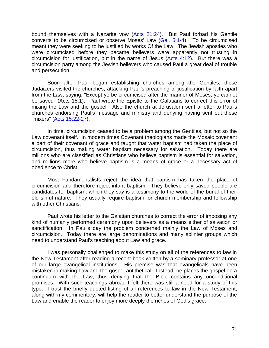bound themselves with a Nazarite vow (Acts 21:24). But Paul forbad his Gentile converts to be circumcised or observe Moses' Law (Gal. 5:1-4). To be circumcised meant they were seeking to be justified by works Of the Law. The Jewish apostles who were circumcised before they became believers were apparently not trusting in circumcision for justification, but in the name of Jesus (Acts 4:12). But there was a circumcision party among the Jewish believers who caused Paul a great deal of trouble and persecution.

Soon after Paul began establishing churches among the Gentiles, these Judaizers visited the churches, attacking Paul's preaching of justification by faith apart from the Law, saying: "Except ye be circumcised after the manner of Moses, ye cannot be saved" (Acts 15:1). Paul wrote the Epistle to the Galatians to correct this error of mixing the Law and the gospel. Also the church at Jerusalem sent a letter to Paul's churches endorsing Paul's message and ministry and denying having sent out these "mixers" (Acts 15:22-27).

In time, circumcision ceased to be a problem among the Gentiles, but not so the Law covenant itself. In modem times Covenant theologians made the Mosaic covenant a part of their covenant of grace and taught that water baptism had taken the place of circumcision, thus making water baptism necessary for salvation. Today there are millions who are classified as Christians who believe baptism is essential for salvation, and millions more who believe baptism is a means of grace or a necessary act of obedience to Christ.

Most Fundamentalists reject the idea that baptism has taken the place of circumcision and therefore reject infant baptism. They believe only saved people are candidates for baptism, which they say is a testimony to the world of the burial of their old sinful nature. They usually require baptism for church membership and fellowship with other Christians.

Paul wrote his letter to the Galatian churches to correct the error of imposing any kind of humanly performed ceremony upon believers as a means either of salvation or sanctification. In Paul's day the problem concerned mainly the Law of Moses and circumcision. Today there are large denominations and many splinter groups which need to understand Paul's teaching about Law and grace.

I was personally challenged to make this study on all of the references to law in the New Testament after reading a recent book written by a seminary professor at one of our large evangelical institutions. His premise was that evangelicals have been mistaken in making Law and the gospel antithetical. Instead, he places the gospel on a continuum with the Law, thus denying that the Bible contains any unconditional promises. With such teachings abroad I felt there was still a need for a study of this type. I trust the briefly quoted listing of all references to law in the New Testament, along with my commentary, will help the reader to better understand the purpose of the Law and enable the reader to enjoy more deeply the riches of God's grace.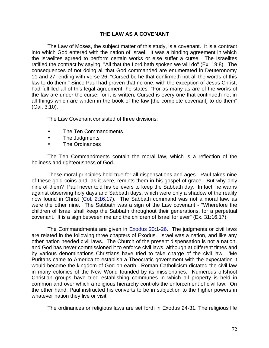## **THE LAW AS A COVENANT**

The Law of Moses, the subject matter of this study, is a covenant. It is a contract into which God entered with the nation of Israel. It was a binding agreement in which the Israelites agreed to perform certain works or else suffer a curse. The Israelites ratified the contract by saying, "All that the Lord hath spoken we will do" (Ex. 19:8). The consequences of not doing all that God commanded are enumerated in Deuteronomy 11 and 27, ending with verse 26: "Cursed be he that confirmeth not all the words of this law to do them." Since Paul had proven that no one, with the exception of Jesus Christ, had fulfilled all of this legal agreement, he states: "For as many as are of the works of the law are under the curse: for it is written, Cursed is every one that continueth not in all things which are written in the book of the law [the complete covenant] to do them" (Gal. 3:10).

The Law Covenant consisted of three divisions:

- The Ten Commandments
- The Judgments
- The Ordinances

The Ten Commandments contain the moral law, which is a reflection of the holiness and righteousness of God.

These moral principles hold true for all dispensations and ages. Paul takes nine of these gold coins and, as it were, remints them in his gospel of grace. But why only nine of them? Paul never told his believers to keep the Sabbath day. In fact, he warns against observing holy days and Sabbath days, which were only a shadow of the reality now found in Christ (Col. 2:16,17). The Sabbath command was not a moral law, as were the other nine. The Sabbath was a sign of the Law covenant - "Wherefore the children of Israel shall keep the Sabbath throughout their generations, for a perpetual covenant. It is a sign between me and the children of Israel for ever" (Ex. 31:16,17).

The Commandments are given in Exodus 20:1-26. The judgments or civil laws are related in the following three chapters of Exodus. Israel was a nation, and like any other nation needed civil laws. The Church of the present dispensation is not a nation, and God has never commissioned it to enforce civil laws, although at different times and by various denominations Christians have tried to take charge of the civil law. 'Me Puritans came to America to establish a Theocratic government with the expectation it would become the kingdom of God on earth. Roman Catholicism dictated the civil law in many colonies of the New World founded by its missionaries. Numerous offshoot Christian groups have tried establishing communes in which all property is held in common and over which a religious hierarchy controls the enforcement of civil law. On the other hand, Paul instructed his converts to be in subjection to the higher powers in whatever nation they live or visit.

The ordinances or religious laws are set forth in Exodus 24-31. The religious life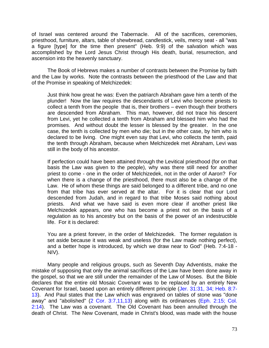of Israel was centered around the Tabernacle. All of the sacrifices, ceremonies, priesthood, furniture, altars, table of shewbread, candlestick, veils, mercy seat - all "was a figure [type] for the time then present" (Heb. 9:9) of the salvation which was accomplished by the Lord Jesus Christ through His death, burial, resurrection, and ascension into the heavenly sanctuary.

The Book of Hebrews makes a number of contrasts between the Promise by faith and the Law by works. Note the contrasts between the priesthood of the Law and that of the Promise in speaking of Melchizedek:

Just think how great he was: Even the patriarch Abraham gave him a tenth of the plunder! Now the law requires the descendants of Levi who become priests to collect a tenth from the people that is, their brothers – even though their brothers are descended from Abraham. This man, however, did not trace his descent from Levi, yet he collected a tenth from Abraham and blessed him who had the promises. And without doubt the lesser is blessed by the greater. In the one case, the tenth is collected by men who die; but in the other case, by him who is declared to be living. One might even say that Levi, who collects the tenth, paid the tenth through Abraham, because when Melchizedek met Abraham, Levi was still in the body of his ancestor.

If perfection could have been attained through the Levitical priesthood (for on that basis the Law was given to the people), why was there still need for another priest to come - one in the order of Melchizedek, not in the order of Aaron? For when there is a change of the priesthood, there must also be a change of the Law. He of whom these things are said belonged to a different tribe, and no one from that tribe has ever served at the altar. For it is clear that our Lord descended from Judah, and in regard to that tribe Moses said nothing about priests. And what we have said is even more clear if another priest like Melchizedek appears, one who has become a priest not on the basis of a regulation as to his ancestry but on the basis of the power of an indestructible life. For it is declared:

You are a priest forever, in the order of Melchizedek. The former regulation is set aside because it was weak and useless (for the Law made nothing perfect), and a better hope is introduced, by which we draw near to God" (Heb. 7:4-18 - NIV).

Many people and religious groups, such as Seventh Day Adventists, make the mistake of supposing that only the animal sacrifices of the Law have been done away in the gospel, so that we are still under the remainder of the Law of Moses. But the Bible declares that the entire old Mosaic Covenant was to be replaced by an entirely New Covenant for Israel, based upon an entirely different principle (Jer. 31:31, 34; Heb. 8:7- 13). And Paul states that the Law which was engraved on tables of stone was "done away" and "abolished" (2 Cor. 3:7,11,13) along with its ordinances (Eph. 2:15; Col. 2:14). The Law was a covenant. The Old Covenant has been annulled through the death of Christ. The New Covenant, made in Christ's blood, was made with the house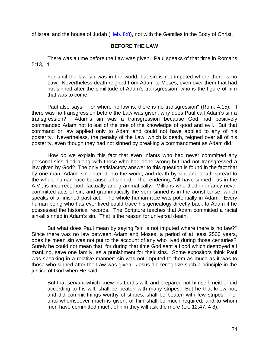of Israel and the house of Judah (Heb. 8:8), not with the Gentiles in the Body of Christ.

## **BEFORE THE LAW**

There was a time before the Law was given. Paul speaks of that time in Romans 5:13,14:

For until the law sin was in the world, but sin is not imputed where there is no Law. Nevertheless death reigned from Adam to Moses, even over them that had not sinned after the similitude of Adam's transgression, who is the figure of him that was to come.

Paul also says, "For where no law is, there is no transgression" (Rom. 4:15). If there was no transgression before the Law was given, why does Paul call Adam's sin a transgression? Adam's sin was a transgression because God had positively commanded Adam not to eat of the tree of the knowledge of good and evil. But that command or law applied only to Adam and could not have applied to any of his posterity. Nevertheless, the penalty of the Law, which is death, reigned over all of his posterity, even though they had not sinned by breaking a commandment as Adam did.

How do we explain this fact that even infants who had never committed any personal sins died along with those who had done wrong but had not transgressed a law given by God? The only satisfactory answer to this question is found in the fact that by one man, Adam, sin entered into the world, and death by sin, and death spread to the whole human race because all sinned. The rendering, "all have sinned," as in the A.V., is incorrect, both factually and grammatically. Millions who died in infancy never committed acts of sin, and grammatically the verb sinned is in the aorist tense, which speaks of a finished past act. The whole human race was potentially in Adam. Every human being who has ever lived could trace his genealogy directly back to Adam if he possessed the historical records. The Scripture teaches that Adam committed a racial sin-all sinned in Adam's sin. That is the reason for universal death.

But what does Paul mean by saying "sin is not imputed where there is no law?" Since there was no law between Adam and Moses, a period of at least 2500 years, does he mean sin was not put to the account of any who lived during those centuries? Surely he could not mean that, for during that time God sent a flood which destroyed all mankind, save one family, as a punishment for their sins. Some expositors think Paul was speaking in a relative manner: sin was not imputed to them as much as it was to those who sinned after the Law was given. Jesus did recognize such a principle in the justice of God when He said:

But that servant which knew his Lord's will, and prepared not himself, neither did according to his will, shall be beaten with many stripes. But he that knew not, and did commit things worthy of stripes, shall be beaten with few stripes. For unto whomsoever much is given, of him shall be much required; and to whom men have committed much, of him they will ask the more (Lk. 12:47, 4 8).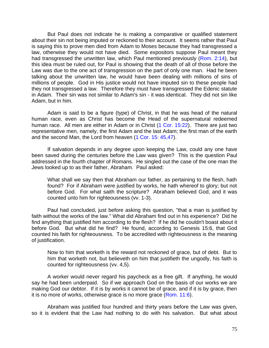But Paul does not indicate he is making a comparative or qualified statement about their sin not being imputed or reckoned to their account. It seems rather that Paul is saying this to prove men died from Adam to Moses because they had transgressed a law, otherwise they would not have died. Some expositors suppose Paul meant they had transgressed the unwritten law, which Paul mentioned previously (Rom. 2:14), but this idea must be ruled out, for Paul is showing that the death of all of those before the Law was due to the one act of transgression on the part of only one man. Had he been talking about the unwritten law, he would have been dealing with millions of sins of millions of people. God in His justice would not have imputed sin to these people had they not transgressed a law. Therefore they must have transgressed the Edenic statute in Adam. Their sin was not similar to Adam's sin - it was identical. They did not sin like Adam, but in him.

Adam is said to be a figure (type) of Christ, in that he was head of the natural human race, even as Christ has become the Head of the supernatural redeemed human race. All men are either in Adam or in Christ (1 Cor. 15:22). There are just two representative men, namely, the first Adam and the last Adam; the first man of the earth and the second Man, the Lord from heaven (1 Cor. 15: 45,47).

If salvation depends in any degree upon keeping the Law, could any one have been saved during the centuries before the Law was given? This is the question Paul addressed in the fourth chapter of Romans. He singled out the case of the one man the Jews looked up to as their father, Abraham. Paul asked:

What shall we say then that Abraham our father, as pertaining to the flesh, hath found? For if Abraham were justified by works, he hath whereof to glory; but not before God. For what saith the scripture? Abraham believed God, and it was counted unto him for righteousness (vv. 1-3).

Paul had concluded, just before asking this question, "that a man is justified by faith without the works of the law." What did Abraham find out in his experience? Did he find anything that justified him according to the flesh? If he did he couldn't boast about it before God. But what did he find? He found, according to Genesis 15:6, that God counted his faith for righteousness. To be accredited with righteousness is the meaning of justification.

Now to him that worketh is the reward not reckoned of grace, but of debt. But to him that worketh not, but believeth on him that justifieth the ungodly, his faith is counted for righteousness (vv. 4,5).

A worker would never regard his paycheck as a free gift. If anything, he would say he had been underpaid. So if we approach God on the basis of our works we are making God our debtor. If it is by works it cannot be of grace, and if it is by grace, then it is no more of works, otherwise grace is no more grace (Rom. 11:6).

Abraham was justified four hundred and thirty years before the Law was given, so it is evident that the Law had nothing to do with his salvation. But what about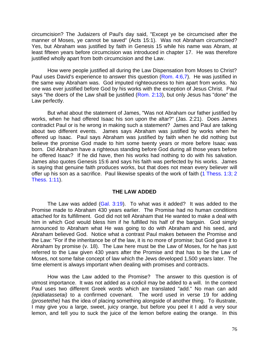circumcision? The Judaizers of Paul's day said, "Except ye be circumcised after the manner of Moses, ye cannot be saved" (Acts 15:1).Was not Abraham circumcised? Yes, but Abraham was justified by faith in Genesis 15 while his name was Abram, at least fifteen years before circumcision was introduced in chapter 17. He was therefore justified wholly apart from both circumcision and the Law.

How were people justified all during the Law Dispensation from Moses to Christ? Paul uses David's experience to answer this question (Rom. 4:6,7). He was justified in the same way Abraham was. God imputed righteousness to him apart from works. No one was ever justified before God by his works with the exception of Jesus Christ. Paul says "the doers of the Law shall be justified (Rom. 2:13), but only Jesus has "done" the Law perfectly.

But what about the statement of James, "Was not Abraham our father justified by works, when he had offered Isaac his son upon the altar?" (Jas. 2:21). Does James contradict Paul or is he wrong in making such a statement? James and Paul are talking about two different events. James says Abraham was justified by works when he offered up Isaac. Paul says Abraham was justified by faith when he did nothing but believe the promise God made to him some twenty years or more before Isaac was born. Did Abraham have a righteous standing before God during all those years before he offered Isaac? If he did have, then his works had nothing to do with his salvation. James also quotes Genesis 15:6 and says his faith was perfected by his works. James is saying that genuine faith produces works, but that does not mean every believer will offer up his son as a sacrifice. Paul likewise speaks of the work of faith (1 Thess. 1:3; 2 Thess. 1:11).

### **THE LAW ADDED**

The Law was added (Gal. 3:19). To what was it added? It was added to the Promise made to Abraham 430 years earlier. The Promise had no human conditions attached for its fulfillment. God did not tell Abraham that He wanted to make a deal with him in which God would bless him if he fulfilled his half of the bargain. God simply announced to Abraham what He was going to do with Abraham and his seed, and Abraham believed God. Notice what a contrast Paul makes between the Promise and the Law: "For if the inheritance be of the law, it is no more of promise; but God gave it to Abraham by promise (v. 18). The Law here must be the Law of Moses, for he has just referred to the Law given 430 years after the Promise and that has to be the Law of Moses, not some false concept of law which the Jews developed 1,500 years later. The time element is always important when dealing with promises and contracts.

How was the Law added to the Promise? The answer to this question is of utmost importance. It was not added as a codicil may be added to a will. In the context Paul uses two different Greek words which are translated "add." No man can add *(epidiatassetai)* to a confirmed covenant. The word used in verse 19 for adding *(prosetethe)* has the idea of placing something alongside of another thing. To illustrate, I may give you a large, sweet, juicy orange, but before you peel it I add a very sour lemon, and tell you to suck the juice of the lemon before eating the orange. In this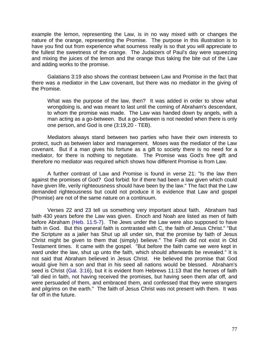example the lemon, representing the Law, is in no way mixed with or changes the nature of the orange, representing the Promise. The purpose in this illustration is to have you find out from experience what sourness really is so that you will appreciate to the fullest the sweetness of the orange. The Judaizers of Paul's day were squeezing and mixing the juices of the lemon and the orange thus taking the bite out of the Law and adding works to the promise.

Galatians 3:19 also shows the contrast between Law and Promise in the fact that there was a mediator in the Law covenant, but there was no mediator in the giving of the Promise.

What was the purpose of the law, then? It was added in order to show what wrongdoing is, and was meant to last until the coming of Abraham's descendant, to whom the promise was made. The Law was handed down by angels, with a man acting as a go-between. But a go-between is not needed when there is only one person, and God is one (3:19,20 - TEB).

Mediators always stand between two parties who have their own interests to protect, such as between labor and management. Moses was the mediator of the Law covenant. But if a man gives his fortune as a gift to society there is no need for a mediator, for there is nothing to negotiate. The Promise was God's free gift and therefore no mediator was required which shows how different Promise is from Law.

A further contrast of Law and Promise is found in verse 21: "Is the law then against the promises of God? God forbid: for if there had been a law given which could have given life, verily righteousness should have been by the law." The fact that the Law demanded righteousness but could not produce it is evidence that Law and gospel (Promise) are not of the same nature on a continuum.

Verses 22 and 23 tell us something very important about faith. Abraham had faith 430 years before the Law was given. Enoch and Noah are listed as men of faith before Abraham (Heb. 11:5-7). The Jews under the Law were also supposed to have faith in God. But this general faith is contrasted with C, the faith of Jesus Christ." "But the Scripture as a jailer has Shut up all under sin, that the promise by faith of Jesus Christ might be given to them that (simply) believe." The Faith did not exist in Old Testament times. It came with the gospel. "But before the faith came we were kept in ward under the law, shut up unto the faith, which should afterwards be revealed." It is not said that Abraham believed in Jesus Christ. He believed the promise that God would give him a son and that in his seed all nations would be blessed. Abraham's seed is Christ (Gal. 3:16), but it is evident from Hebrews 11:13 that the heroes of faith "all died in faith, not having received the promises, but having seen them afar off, and were persuaded of them, and embraced them, and confessed that they were strangers and pilgrims on the earth." The faith of Jesus Christ was not present with them. It was far off in the future.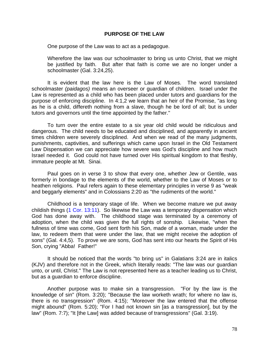#### **PURPOSE OF THE LAW**

One purpose of the Law was to act as a pedagogue.

Wherefore the law was our schoolmaster to bring us unto Christ, that we might be justified by faith. But after that faith is come we are no longer under a schoolmaster (Gal. 3:24,25).

It is evident that the law here is the Law of Moses. The word translated schoolmaster *(paidagos)* means an overseer or guardian of children. Israel under the Law is represented as a child who has been placed under tutors and guardians for the purpose of enforcing discipline. In 4:1,2 we learn that an heir of the Promise, "as long as he is a child, differeth nothing from a slave, though he be lord of all; but is under tutors and governors until the time appointed by the father."

To turn over the entire estate to a six year old child would be ridiculous and dangerous. The child needs to be educated and disciplined, and apparently in ancient times children were severely disciplined. And when we read of the many judgments, punishments, captivities, and sufferings which came upon Israel in the Old Testament Law Dispensation we can appreciate how severe was God's discipline and how much Israel needed it. God could not have turned over His spiritual kingdom to that fleshly, immature people at Mt. Sinai.

Paul goes on in verse 3 to show that every one, whether Jew or Gentile, was formerly in bondage to the elements of the world, whether to the Law of Moses or to heathen religions. Paul refers again to these elementary principles in verse 9 as "weak and beggarly elements" and in Colossians 2:20 as "the rudiments of the world."

Childhood is a temporary stage of life. When we become mature we put away childish things (1 Cor. 13:11). So likewise the Law was a temporary dispensation which God has done away with. The childhood stage was terminated by a ceremony of adoption, when the child was given the full rights of sonship. Likewise, "when the fullness of time was come, God sent forth his Son, made of a woman, made under the law, to redeem them that were under the law, that we might receive the adoption of sons" (Gal. 4:4,5). To prove we are sons, God has sent into our hearts the Spirit of His Son, crying "Abba! Father!"

It should be noticed that the words "to bring us" in Galatians 3:24 are in italics (KJV) and therefore not in the Greek, which literally reads: "The law was our guardian unto, or until, Christ." The Law is not represented here as a teacher leading us to Christ, but as a guardian to enforce discipline.

Another purpose was to make sin a transgression. "For by the law is the knowledge of sin" (Rom. 3:20); "Because the law worketh wrath; for where no law is, there is no transgression" (Rom. 4:15); "Moreover the law entered that the offense might abound" (Rom. 5:20); "For I had not known sin [as a transgression], but by the law" (Rom. 7:7); "It [the Law] was added because of transgressions" (Gal. 3:19).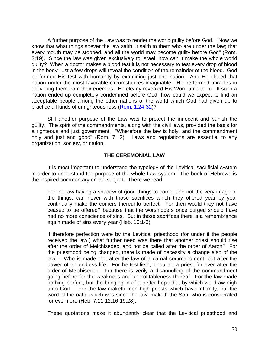A further purpose of the Law was to render the world guilty before God. "Now we know that what things soever the law saith, it saith to them who are under the law; that every mouth may be stopped, and all the world may become guilty before God" (Rom. 3:19). Since the law was given exclusively to Israel, how can it make the whole world guilty? When a doctor makes a blood test it is not necessary to test every drop of blood in the body; just a few drops will reveal the condition of the remainder of the blood. God performed His test with humanity by examining just one nation. And He placed that nation under the most favorable circumstances imaginable. He performed miracles in delivering them from their enemies. He clearly revealed His Word unto them. If such a nation ended up completely condemned before God, how could we expect to find an acceptable people among the other nations of the world which God had given up to practice all kinds of unrighteousness (Rom. 1:24-32)?

Still another purpose of the Law was to protect the innocent and punish the guilty. The spirit of the commandments, along with the civil laws, provided the basis for a righteous and just government. "Wherefore the law is holy, and the commandment holy and just and good" (Rom. 7:12). Laws and regulations are essential to any organization, society, or nation.

## **THE CEREMONIAL LAW**

It is most important to understand the typology of the Levitical sacrificial system in order to understand the purpose of the whole Law system. The book of Hebrews is the inspired commentary on the subject. There we read:

For the law having a shadow of good things to come, and not the very image of the things, can never with those sacrifices which they offered year by year continually make the comers thereunto perfect. For then would they not have ceased to be offered? because that the worshippers once purged should have had no more conscience of sins. But in those sacrifices there is a remembrance again made of sins every year (Heb. 10:1-3).

If therefore perfection were by the Levitical priesthood (for under it the people received the law,) what further need was there that another priest should rise after the order of Melchisedec, and not be called after the order of Aaron? For the priesthood being changed, there is made of necessity a change also of the law ... Who is made, not after the law of a carnal commandment, but after the power of an endless life. For he testifieth, Thou art a priest for ever after the order of Melchisedec. For there is verily a disannulling of the commandment going before for the weakness and unprofitableness thereof. For the law made nothing perfect, but the bringing in of a better hope did; by which we draw nigh unto God ... For the law maketh men high priests which have infirmity; but the word of the oath, which was since the law, maketh the Son, who is consecrated for evermore (Heb. 7:11,12,16-19,28).

These quotations make it abundantly clear that the Levitical priesthood and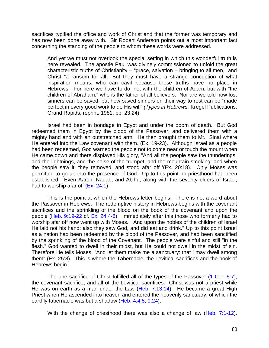sacrifices typified the office and work of Christ and that the former was temporary and has now been done away with. Sir Robert Anderson points out a most important fact concerning the standing of the people to whom these words were addressed.

And yet we must not overlook the special setting in which this wonderful truth is here revealed. The apostle Paul was divinely commissioned to unfold the great characteristic truths of Christianity – "grace, salvation – bringing to all men," and Christ "a ransom for all." But they must have a strange conception of what inspiration means, who can cavil because these truths have no place in Hebrews. For here we have to do, not with the children of Adam, but with "the children of Abraham," who is the father of all believers. Nor are we told how lost sinners can be saved, but how saved sinners on their way to rest can be "made perfect in every good work to do His will" *(Types in Hebrews,* Kregel Publications, Grand Rapids, reprint, 1981, pp. 23,24).

Israel had been in bondage in Egypt and under the doom of death. But God redeemed them in Egypt by the blood of the Passover, and delivered them with a mighty hand and with an outstretched arm. He then brought them to Mt. Sinai where He entered into the Law covenant with them. (Ex. 19-23). Although Israel as a people had been redeemed, God warned the people not to come near or touch the mount when He came down and there displayed His glory, "And all the people saw the thunderings, and the lightnings, and the noise of the trumpet, and the mountain smoking: and when the people saw it, they removed, and stood afar off '(Ex. 20:18). Only Moses was permitted to go up into the presence of God. Up to this point no priesthood had been established. Even Aaron, Nadab, and Abihu, along with the seventy elders of Israel, had to worship afar off (Ex. 24:1).

This is the point at which the Hebrews letter begins. There is not a word about the Passover in Hebrews. The redemptive history in Hebrews begins with the covenant sacrifices and the sprinkling of the blood on the book of the covenant and upon the people (Heb. 9:19-22 cf. Ex. 24:4-8). Immediately after this those who formerly had to worship afar off now went up with Moses. "And upon the nobles of the children of Israel He laid not his hand: also they saw God, and did eat and drink." Up to this point Israel as a nation had been redeemed by the blood of the Passover, and had been sanctified by the sprinkling of the blood of the Covenant. The people were sinful and still "in the flesh." God wanted to dwell in their midst, but He could not dwell in the midst of sin. Therefore He tells Moses, "And let them make me a sanctuary: that I may dwell among them" (Ex. 25:8). This is where the Tabernacle, the Levitical sacrifices and the book of Hebrews begin.

The one sacrifice of Christ fulfilled all of the types of the Passover (1 Cor. 5:7), the covenant sacrifice, and all of the Levitical sacrifices. Christ was not a priest while He was on earth as a man under the Law (Heb. 7:13,14). He became a great High Priest when He ascended into heaven and entered the heavenly sanctuary, of which the earthly tabernacle was but a shadow (Heb. 4:4,5; 9:24).

With the change of priesthood there was also a change of law (Heb. 7:1-12).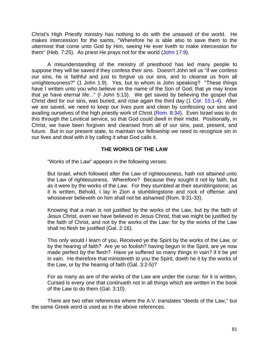Christ's High Priestly ministry has nothing to do with the unsaved of the world. He makes intercession for the saints, "Wherefore he is able also to save them to the uttermost that come unto God by Him, seeing He ever liveth to make intercession for them" (Heb. 7:25). As priest He prays not for the world (John 17:9).

A misunderstanding of the ministry of priesthood has led many people to suppose they will be saved if they confess their sins. Doesn't John tell us "if we confess our sins, he is faithful and just to forgive us our sins, and to cleanse us from all unrighteousness?" (1 John 1:9). Yes, but to whom is John speaking? "These things have I written unto you who believe on the name of the Son of God; that ye may know that ye have eternal life..." (I John 5:13). We get saved by believing the gospel that Christ died for our sins, was buried, and rose again the third day (1 Cor. 15:1-4). After we are saved, we need to keep our lives pure and clean by confessing our sins and availing ourselves of the high priestly work of Christ (Rom. 8:34). Even Israel was to do this through the Levitical service, so that God could dwell in their midst. Positionally, in Christ, we have been forgiven and cleansed from all of our sins, past, present, and future. But in our present state, to maintain our fellowship we need to recognize sin in our lives and deal with it by calling it what God calls it.

# **THE WORKS OF THE LAW**

"Works of the Law" appears in the following verses:

But Israel, which followed after the Law of righteousness, hath not attained unto the Law of righteousness. Wherefore? Because they sought it not by faith, but as it were by the works of the Law. For they stumbled at their stumblingstone; as it is written, Behold, I lay in Zion a stumblingstone and rock of offense: and whosoever believeth on him shall not be ashamed (Rom. 9:31-33).

Knowing that a man is not justified by the works of the Law, but by the faith of Jesus Christ, even we have believed in Jesus Christ, that we might be justified by the faith of Christ, and not by the works of the Law: for by the works of the Law shall no flesh be justified (Gal. 2:16).

This only would I learn of you, Received ye the Spirit by the works of the Law, or by the hearing of faith? Are ye so foolish? having begun in the Spirit, are ye now made perfect by the flesh? Have ye suffered so many things in vain? if it be yet in vain. He therefore that ministereth to you the Spirit, doeth he it by the works of the Law, or by the hearing of faith (Gal. 3:2-5)?

For as many as are of the works of the Law are under the curse: for it is written, Cursed is every one that continueth not in all things which are written in the book of the Law to do them (Gal. 3:10).

There are two other references where the A.V. translates "deeds of the Law," but the same Greek word is used as in the above references.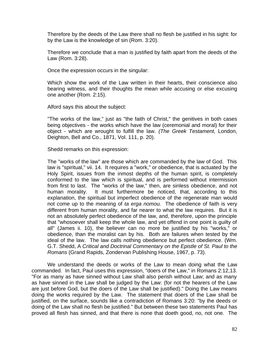Therefore by the deeds of the Law there shall no flesh be justified in his sight: for by the Law is the knowledge of sin (Rom. 3:20).

Therefore we conclude that a man is justified by faith apart from the deeds of the Law (Rom. 3:28).

Once the expression occurs in the singular:

Which show the work of the Law written in their hearts, their conscience also bearing witness, and their thoughts the mean while accusing or else excusing one another (Rom. 2:15).

Alford says this about the subject:

"The works of the law," just as "the faith of Christ," the genitives in both cases being objectives - the works which have the law (ceremonial and moral) for their object - which are wrought to fulfill the law. *(The Greek Testament,* London, Deighton, Bell and Co., 1871, Vol. 111, p. 20).

Shedd remarks on this expression:

The "works of the law" are those which are commanded by the law of God. This law is "spiritual," vii. 14. It requires a "work," or obedience, that is actuated by the Holy Spirit, issues from the inmost depths of the human spirit, is completely conformed to the law which is spiritual, and is performed without intermission from first to last. The "works of the law," then, are sinless obedience, and not human morality. It must furthermore be noticed, that, according to this explanation, the spiritual but imperfect obedience of the regenerate man would not come up to the meaning of *ta erga nomou.* The obedience of faith is very different from human morality, and far nearer to what the law requires. But it is not an absolutely perfect obedience of the law, and, therefore, upon the principle that "whosoever shall keep the whole law, and yet offend in one point is guilty of all" (James ii. 10), the believer can no more be justified by his "works," or obedience, than the moralist can by his. Both are failures when tested by the ideal of the law. The law calls nothing obedience but perfect obedience. (Wm. G.T. Shedd, A *Critical and Doctrinal Commentary on the Epistle of St. Paul to the Romans* (Grand Rapids, Zondervan Publishing House, 1967, p. 73).

We understand the deeds or works of the Law to mean doing what the Law commanded. In fact, Paul uses this expression, "doers of the Law," in Romans 2:12,13. "For as many as have sinned without Law shall also perish without Law; and as many as have sinned in the Law shall be judged by the Law: (for not the hearers of the Law are just before God, but the doers of the Law shall be justified)." Doing the Law means doing the works required by the Law. The statement that doers of the Law shall be justified, on the surface, sounds like a contradiction of Romans 3:20: "by the deeds or doing of the Law shall no flesh be justified." But between these two statements Paul has proved all flesh has sinned, and that there is none that doeth good, no, not one. The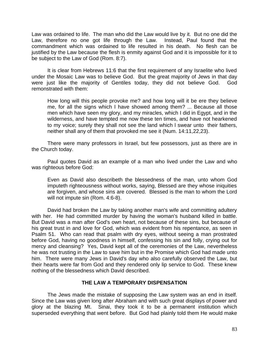Law was ordained to life. The man who did the Law would live by it. But no one did the Law, therefore no one got life through the Law. Instead, Paul found that the commandment which was ordained to life resulted in his death. No flesh can be justified by the Law because the flesh is enmity against God and it is impossible for it to be subject to the Law of God (Rom. 8:7).

It is clear from Hebrews 11:6 that the first requirement of any Israelite who lived under the Mosaic Law was to believe God. But the great majority of Jews in that day were just like the majority of Gentiles today, they did not believe God. God remonstrated with them:

How long will this people provoke me? and how long will it be ere they believe me, for all the signs which I have showed among them? ... Because all those men which have seen my glory, and my miracles, which I did in Egypt, and in the wilderness, and have tempted me now these ten times, and have not hearkened to my voice; surely they shall not see the land which l swear unto their fathers, neither shall any of them that provoked me see it (Num. 14:11,22,23).

There were many professors in Israel, but few possessors, just as there are in the Church today.

Paul quotes David as an example of a man who lived under the Law and who was righteous before God:

Even as David also describeth the blessedness of the man, unto whom God imputeth righteousness without works, saying, Blessed are they whose iniquities are forgiven, and whose sins are covered. Blessed is the man to whom the Lord will not impute sin (Rom. 4:6-8).

David had broken the Law by taking another man's wife and committing adultery with her. He had committed murder by having the woman's husband killed in battle. But David was a man after God's own heart, not because of these sins, but because of his great trust in and love for God, which was evident from his repentance, as seen in Psalm 51. Who can read that psalm with dry eyes, without seeing a man prostrated before God, having no goodness in himself, confessing his sin and folly, crying out for mercy and cleansing? Yes, David kept all of the ceremonies of the Law, nevertheless he was not trusting in the Law to save him but in the Promise which God had made unto him. There were many Jews in David's day who also carefully observed the Law, but their hearts were far from God and they rendered only lip service to God. These knew nothing of the blessedness which David described.

### **THE LAW A TEMPORARY DISPENSATION**

The Jews made the mistake of supposing the Law system was an end in itself. Since the Law was given long after Abraham and with such great displays of power and glory at the blazing Mt. Sinai, they took it to be a permanent institution which superseded everything that went before. But God had plainly told them He would make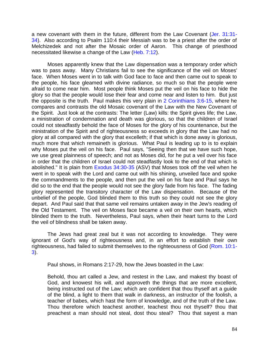a new covenant with them in the future, different from the Law Covenant (Jer. 31:31- 34). Also according to Psalm 110:4 their Messiah was to be a priest after the order of Melchizedek and not after the Mosaic order of Aaron. This change of priesthood necessitated likewise a change of the Law (Heb. 7:12).

Moses apparently knew that the Law dispensation was a temporary order which was to pass away. Many Christians fail to see the significance of the veil on Moses' face. When Moses went in to talk with God face to face and then came out to speak to the people, his face gleamed with divine radiance, so much so that the people were afraid to come near him. Most people think Moses put the veil on his face to hide the glory so that the people would lose their fear and come near and listen to him. But just the opposite is the truth. Paul makes this very plain in 2 Corinthians 3:6-15, where he compares and contrasts the old Mosaic covenant of the Law with the New Covenant of the Spirit. Just look at the contrasts: The letter (Law) kills: the Spirit gives life; the Law, a ministration of condemnation and death was glorious, so that the children of Israel could not steadfastly behold the face of Moses for the glory of his countenance, but the ministration of the Spirit and of righteousness so exceeds in glory that the Law had no glory at all compared with the glory that excelleth; if that which is done away is glorious, much more that which remaineth is glorious. What Paul is leading up to is to explain why Moses put the veil on his face. Paul says, "Seeing then that we have such hope, we use great plainness of speech; and not as Moses did, for he put a veil over his face in order that the children of Israel could not steadfastly look to the end of that which is abolished." It is plain from Exodus 34:30-35 (ASV) that Moses took off the veil when he went in to speak with the Lord and came out with his shining, unveiled face and spoke the commandments to the people, and then put the veil on his face and Paul says he did so to the end that the people would not see the glory fade from his face. The fading glory represented the transitory character of the Law dispensation. Because of the unbelief of the people, God blinded them to this truth so they could not see the glory depart. And Paul said that that same veil remains untaken away in the Jew's reading of the Old Testament. The veil on Moses face became a veil on their own hearts, which blinded them to the truth. Nevertheless, Paul says, when their heart turns to the Lord the veil of blindness shall be taken away.

The Jews had great zeal but it was not according to knowledge. They were ignorant of God's way of righteousness and, in an effort to establish their own righteousness, had failed to submit themselves to the righteousness of God (Rom. 10:1- 3).

Paul shows, in Romans 2:17-29, how the Jews boasted in the Law:

Behold, thou art called a Jew, and restest in the Law, and makest thy boast of God, and knowest his will, and approveth the things that are more excellent, being instructed out of the Law; which are confident that thou thyself art a guide of the blind, a light to them that walk in darkness, an instructor of the foolish, a teacher of babes, which hast the form of knowledge, and of the truth of the Law. Thou therefore which teachest another, teachest thou not thyself? thou that preachest a man should not steal, dost thou steal? Thou that sayest a man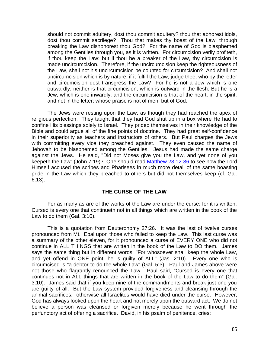should not commit adultery, dost thou commit adultery? thou that abhorest idols, dost thou commit sacrilege? Thou that makes thy boast of the Law, through breaking the Law dishonorest thou God? For the name of God is blasphemed among the Gentiles through you, as it is written. For circumcision verily profiteth, if thou keep the Law: but if thou be a breaker of the Law, thy circumcision is made uncircumcision. Therefore, if the uncircumcision keep the righteousness of the Law, shall not his uncircumcision be counted for circumcision? And shall not uncircumcision which is by nature, if it fulfill the Law, judge thee, who by the letter and circumcision dost transgress the Law? For he is not a Jew which is one outwardly; neither is that circumcision, which is outward in the flesh: But he is a Jew, which is one inwardly; and the circumcision is that of the heart, in the spirit, and not in the letter; whose praise is not of men, but of God.

The Jews were resting upon the Law, as though they had reached the apex of religious perfection. They taught that they had God shut up in a box where He had to confine His blessings solely to Israel. They prided themselves in their knowledge of the Bible and could argue all of the fine points of doctrine. They had great self-confidence in their superiority as teachers and instructors of others. But Paul charges the Jews with committing every vice they preached against. They even caused the name of Jehovah to be blasphemed among the Gentiles. Jesus had made the same charge against the Jews. He said, "Did not Moses give you the Law, and yet none of you keepeth the Law" (John 7:19)? One should read Matthew 23:12-36 to see how the Lord Himself accused the scribes and Pharisees in much more detail of the same boasting pride in the Law which they preached to others but did not themselves keep (cf. Gal. 6:13).

## **THE CURSE OF THE LAW**

For as many as are of the works of the Law are under the curse: for it is written, Cursed is every one that continueth not in all things which are written in the book of the Law to do them (Gal. 3:10).

This is a quotation from Deuteronomy 27:26. It was the last of twelve curses pronounced from Mt. Ebal upon those who failed to keep the Law. This last curse was a summary of the other eleven, for it pronounced a curse of EVERY ONE who did not continue in ALL THINGS that are written in the book of the Law to DO them. James says the same thing but in different words, "For whosoever shall keep the whole Law, and yet offend in ONE point, he is guilty of ALL" (Jas. 2:10). Every one who is circumcised is "a debtor to do the whole Law" (Gal. 5:3). Paul and James above were not those who flagrantly renounced the Law. Paul said, "Cursed is every one that continues not in ALL things that are written in the book of the Law to do them" (Gal. 3:10). James said that if you keep nine of the commandments and break just one you are guilty of all. But the Law system provided forgiveness and cleansing through the animal sacrifices: otherwise all Israelites would have died under the curse. However, God has always looked upon the heart and not merely upon the outward act. We do not believe a person was cleansed or forgiven merely because he went through the perfunctory act of offering a sacrifice. David, in his psalm of penitence, cries: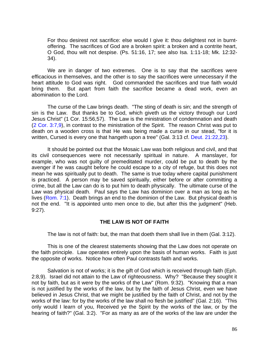For thou desirest not sacrifice: else would I give it: thou delightest not in burntoffering. The sacrifices of God are a broken spirit: a broken and a contrite heart, O God, thou wilt not despise. (Ps. 51:16, 17; see also Isa. 1:11-18; Mk. 12:32- 34).

We are in danger of two extremes. One is to say that the sacrifices were efficacious in themselves, and the other is to say the sacrifices were unnecessary if the heart attitude to God was right. God commanded the sacrifices and true faith would bring them. But apart from faith the sacrifice became a dead work, even an abomination to the Lord.

The curse of the Law brings death. "The sting of death is sin; and the strength of sin is the Law. But thanks be to God, which giveth us the victory through our Lord Jesus Christ" (1 Cor. 15:56,57). The Law is the ministration of condemnation and death (2 Cor. 3:7,9), in contrast to the ministration of the Spirit. The reason Christ was put to death on a wooden cross is that He was being made a curse in our stead, "for it is written, Cursed is every one that hangeth upon a tree" (Gal. 3:13 cf. Deut. 21:22,23).

It should be pointed out that the Mosaic Law was both religious and civil, and that its civil consequences were not necessarily spiritual in nature. A manslayer, for example, who was not guilty of premeditated murder, could be put to death by the avenger if he was caught before he could escape to a city of refuge, but this does not mean he was spiritually put to death. The same is true today where capital punishment is practiced. A person may be saved spiritually, either before or after committing a crime, but all the Law can do is to put him to death physically. The ultimate curse of the Law was physical death. Paul says the Law has dominion over a man as long as he lives (Rom. 7:1). Death brings an end to the dominion of the Law. But physical death is not the end. "It is appointed unto men once to die, but after this the judgment" (Heb. 9:27).

## **THE LAW IS NOT OF FAITH**

The law is not of faith: but, the man that doeth them shall live in them (Gal. 3:12).

This is one of the clearest statements showing that the Law does not operate on the faith principle. Law operates entirely upon the basis of human works. Faith is just the opposite of works. Notice how often Paul contrasts faith and works.

Salvation is not of works; it is the gift of God which is received through faith (Eph. 2:8,9). Israel did not attain to the Law of righteousness. Why? "Because they sought it not by faith, but as it were by the works of the Law" (Rom. 9:32). "Knowing that a man is not justified by the works of the law, but by the faith of Jesus Christ, even we have believed in Jesus Christ, that we might be justified by the faith of Christ, and not by the works of the law: for by the works of the law shall no flesh be justified" (Gal. 2:16). "This only would I learn of you, Received ye the Spirit by the works of the law, or by the hearing of faith?" (Gal. 3:2). "For as many as are of the works of the law are under the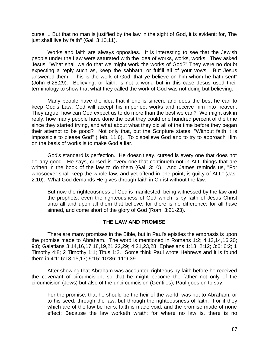curse ... But that no man is justified by the law in the sight of God, it is evident: for, The just shall live by faith" (Gal. 3:10,11).

Works and faith are always opposites. It is interesting to see that the Jewish people under the Law were saturated with the idea of works, works, works. They asked Jesus, "What shall we do that we might work the works of God?" They were no doubt expecting a reply such as, keep the sabbath, or fulfill all of your vows. But Jesus answered them, "This is the work of God, that ye believe on him whom he hath sent" (John 6:28,29). Believing, or faith, is not a work, but in this case Jesus used their terminology to show that what they called the work of God was not doing but believing.

Many people have the idea that if one is sincere and does the best he can to keep God's Law, God will accept his imperfect works and receive him into heaven. They argue, how can God expect us to do more than the best we can? We might ask in reply, how many people have done the best they could one hundred percent of the time since they started trying, and what about what they did all of the time before they began their attempt to be good? Not only that, but the Scripture states, "Without faith it is impossible to please God" (Heb. 11:6). To disbelieve God and to try to approach Him on the basis of works is to make God a liar.

God's standard is perfection. He doesn't say, cursed is every one that does not do any good. He says, cursed is every one that continueth not in ALL things that are written in the book of the law to do them (Gal. 3:10). And James reminds us, "For whosoever shall keep the whole law, and yet offend in one point, is guilty of ALL" (Jas. 2:10). What God demands He gives through faith in Christ without the law.

But now the righteousness of God is manifested, being witnessed by the law and the prophets; even the righteousness of God which is by faith of Jesus Christ unto all and upon all them that believe: for there is no difference: for all have sinned, and come short of the glory of God (Rom. 3:21-23).

## **THE LAW AND PROMISE**

There are many promises in the Bible, but in Paul's epistles the emphasis is upon the promise made to Abraham. The word is mentioned in Romans 1:2; 4:13,14,16,20; 9:8; Galatians 3:14,16,17,18,19,21,22,29; 4:21,23,28; Ephesians 1:13; 2:12; 3:6; 6:2; 1 Timothy 4:8; 2 Timothy 1:1; Titus 1:2. Some think Paul wrote Hebrews and it is found there in 4:1; 6:13,15,17; 9:15; 10:36; 11:9,39.

After showing that Abraham was accounted righteous by faith before he received the covenant of circumcision, so that he might become the father not only of the circumcision (Jews) but also of the uncircumcision (Gentiles), Paul goes on to say:

For the promise, that he should be the heir of the world, was not to Abraham, or to his seed, through the law, but through the righteousness of faith. For if they which are of the law be heirs, faith is made void, and the promise made of none effect: Because the law worketh wrath: for where no law is, there is no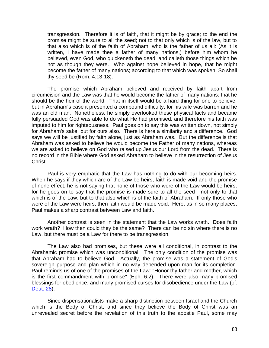transgression. Therefore it is of faith, that it might be by grace; to the end the promise might be sure to all the seed; not to that only which is of the law, but to that also which is of the faith of Abraham; who is the father of us all: (As it is written, I have made thee a father of many nations,) before him whom he believed, even God, who quickeneth the dead, and calleth those things which be not as though they were. Who against hope believed in hope, that he might become the father of many nations; according to that which was spoken, So shall thy seed be (Rom. 4:13-18).

The promise which Abraham believed and received by faith apart from circumcision and the Law was that he would become the father of many nations: that he should be the heir of the world. That in itself would be a hard thing for one to believe, but in Abraham's case it presented a compound difficulty, for his wife was barren and he was an old man. Nonetheless, he simply overlooked these physical facts and became fully persuaded God was able to do what He had promised, and therefore his faith was imputed to him for righteousness. Paul goes on to say this was written down, not simply for Abraham's sake, but for ours also. There is here a similarity and a difference. God says we will be justified by faith alone, just as Abraham was. But the difference is that Abraham was asked to believe he would become the Father of many nations, whereas we are asked to believe on God who raised up Jesus our Lord from the dead. There is no record in the Bible where God asked Abraham to believe in the resurrection of Jesus Christ.

Paul is very emphatic that the Law has nothing to do with our becoming heirs. When he says if they which are of the Law be heirs, faith is made void and the promise of none effect, he is not saying that none of those who were of the Law would be heirs, for he goes on to say that the promise is made sure to all the seed - not only to that which is of the Law, but to that also which is of the faith of Abraham. If only those who were of the Law were heirs, then faith would be made void. Here, as in so many places, Paul makes a sharp contrast between Law and faith.

Another contrast is seen in the statement that the Law works wrath. Does faith work wrath? How then could they be the same? There can be no sin where there is no Law, but there must be a Law for there to be transgression.

The Law also had promises, but these were all conditional, in contrast to the Abrahamic promise which was unconditional. The only condition of the promise was that Abraham had to believe God. Actually, the promise was a statement of God's sovereign purpose and plan which in no way depended upon man for its completion. Paul reminds us of one of the promises of the Law: "Honor thy father and mother, which is the first commandment with promise" (Eph. 6:2). There were also many promised blessings for obedience, and many promised curses for disobedience under the Law (cf. Deut. 28).

Since dispensationalists make a sharp distinction between Israel and the Church which is the Body of Christ, and since they believe the Body of Christ was an unrevealed secret before the revelation of this truth to the apostle Paul, some may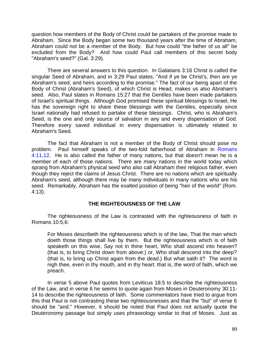question how members of the Body of Christ could be partakers of the promise made to Abraham. Since the Body began some two thousand years after the time of Abraham, Abraham could not be a member of the Body. But how could "the father of us all" be excluded from the Body? And how could Paul call members of this secret body "Abraham's seed?" (Gal. 3:29).

There are several answers to this question. In Galatians 3:16 Christ is called the singular Seed of Abraham, and in 3:29 Paul states, "And if ye be Christ's, then are ye Abraham's seed, and heirs according to the promise." The fact of our being apart of the Body of Christ (Abraham's Seed), of which Christ is Head, makes us also Abraham's seed. Also, Paul states in Romans 15:27 that the Gentiles have been made partakers of Israel's spiritual things. Although God promised these spiritual blessings to Israel, He has the sovereign right to share these blessings with the Gentiles, especially since Israel nationally had refused to partake of these blessings. Christ, who is Abraham's Seed, is the one and only source of salvation in any and every dispensation of God. Therefore every saved individual in every dispensation is ultimately related to Abraham's Seed.

The fact that Abraham is not a member of the Body of Christ should pose no problem. Paul himself speaks of the two-fold fatherhood of Abraham in Romans 4:11,12. He is also called the father of many nations, but that doesn't mean he is a member of each of those nations. There are many nations in the world today which sprang from Abraham's physical seed who also call Abraham their religious father, even though they reject the claims of Jesus Christ. There are no nations which are spiritually Abraham's seed, although there may be many individuals in many nations who are his seed. Remarkably, Abraham has the exalted position of being "heir of the world" (Rom. 4:13).

# **THE RIGHTEOUSNESS OF THE LAW**

The righteousness of the Law is contrasted with the righteousness of faith in Romans 10:5,6:

For Moses describeth the righteousness which is of the law, That the man which doeth those things shall live by them. But the righteousness which is of faith speaketh on this wise, Say not in thine heart, Who shall ascend into heaven? (that is, to bring Christ down from above:) or, Who shall descend into the deep? (that is, to bring up Christ again from the dead.) But what saith it? The word is nigh thee, even in thy mouth, and in thy heart: that is, the word of faith, which we preach.

In verse 5 above Paul quotes from Leviticus 18:5 to describe the righteousness of the Law, and in verse 6 he seems to quote again from Moses in Deuteronomy 30:11- 14 to describe the righteousness of faith. Some commentators have tried to argue from this that Paul is not contrasting these two righteousnesses and that the "but" of verse 6 should be "and." However, it should be noted that Paul does not actually quote the Deuteronomy passage but simply uses phraseology similar to that of Moses. Just as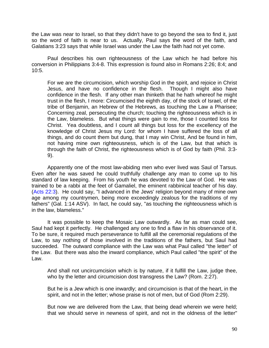the Law was near to Israel, so that they didn't have to go beyond the sea to find it, just so the word of faith is near to us. Actually, Paul says the word of the faith, and Galatians 3:23 says that while Israel was under the Law the faith had not yet come.

Paul describes his own righteousness of the Law which he had before his conversion in Philippians 3:4-8. This expression is found also in Romans 2:26; 8:4; and 10:5.

For we are the circumcision, which worship God in the spirit, and rejoice in Christ Jesus, and have no confidence in the flesh. Though I might also have confidence in the flesh. If any other man thinketh that he hath whereof he might trust in the flesh, I more: Circumcised the eighth day, of the stock of Israel, of the tribe of Benjamin, an Hebrew of the Hebrews, as touching the Law a Pharisee; Concerning zeal, persecuting the church; touching the righteousness which is in the Law, blameless. But what things were gain to me, those I counted loss for Christ. Yea doubtless, and I count all things but loss for the excellency of the knowledge of Christ Jesus my Lord: for whom I have suffered the loss of all things, and do count them but dung, that I may win Christ, And be found in him, not having mine own righteousness, which is of the Law, but that which is through the faith of Christ, the righteousness which is of God by faith (Phil. 3:3- 9).

Apparently one of the most law-abiding men who ever lived was Saul of Tarsus. Even after he was saved he could truthfully challenge any man to come up to his standard of law keeping. From his youth he was devoted to the Law of God. He was trained to be a rabbi at the feet of Gamaliel, the eminent rabbinical teacher of his day. (Acts 22:3). He could say, "I advanced in the Jews' religion beyond many of mine own age among my countrymen, being more exceedingly zealous for the traditions of my fathers" (Gal. 1:14 ASV). In fact, he could say, "as touching the righteousness which is in the law, blameless."

It was possible to keep the Mosaic Law outwardly. As far as man could see, Saul had kept it perfectly. He challenged any one to find a flaw in his observance of it. To be sure, it required much perseverance to fulfill all the ceremonial regulations of the Law, to say nothing of those involved in the traditions of the fathers, but Saul had succeeded. The outward compliance with the Law was what Paul called "the letter" of the Law. But there was also the inward compliance, which Paul called "the spirit" of the Law.

And shall not uncircumcision which is by nature, if it fulfill the Law, judge thee, who by the letter and circumcision dost transgress the Law? (Rom. 2:27).

But he is a Jew which is one inwardly; and circumcision is that of the heart, in the spirit, and not in the letter; whose praise is not of men, but of God (Rom 2:29).

But now we are delivered from the Law, that being dead wherein we were held; that we should serve in newness of spirit, and not in the oldness of the letter"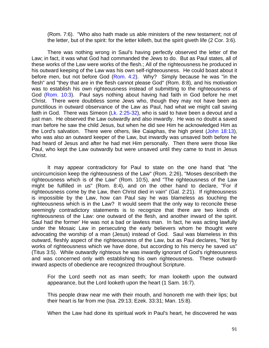(Rom. 7:6). "Who also hath made us able ministers of the new testament; not of the letter, but of the spirit: for the letter killeth, but the spirit giveth life (2 Cor. 3:6).

There was nothing wrong in Saul's having perfectly observed the letter of the Law; in fact, it was what God had commanded the Jews to do. But as Paul states, all of these works of the Law were works of the flesh.; All of the righteousness he produced in his outward keeping of the Law was his own self-righteousness. He could boast about it before men, but not before God (Rom. 4:2). Why? Simply because he was "in the flesh" and "they that are in the flesh cannot please God" (Rom. 8:8), and his motivation was to establish his own righteousness instead of submitting to the righteousness of God (Rom. 10:3). Paul says nothing about having had faith in God before he met Christ. There were doubtless some Jews who, though they may not have been as punctilious in outward observance of the Law as Paul, had what we might call saving faith in God. There was Simeon (Lk. 2:25-32), who is said to have been a devout and a just man. He observed the Law outwardly and also inwardly. He was no doubt a saved man before he saw the child Jesus, but when he did see Him he acknowledged Him as the Lord's salvation. There were others, like Caiaphas, the high priest (John 18:13), who was also an outward keeper of the Law, but inwardly was unsaved both before he had heard of Jesus and after he had met Him personally. Then there were those like Paul, who kept the Law outwardly but were unsaved until they came to trust in Jesus Christ.

It may appear contradictory for Paul to state on the one hand that "the uncircumcision keep the righteousness of the Law" (Rom. 2:26), "Moses describeth the righteousness which is of the Law" (Rom. 10:5), and "The righteousness of the Law might be fulfilled in us" (Rom. 8:4), and on the other hand to declare, "For if righteousness come by the Law, then Christ died in vain" (Gal. 2:21). If righteousness is impossible by the Law, how can Paul say he was blameless as touching the righteousness which is in the Law? It would seem that the only way to reconcile these seemingly contradictory statements is to recognize that there are two kinds of righteousness of the Law: one outward of the flesh, and another inward of the spirit. Saul had the former' He was not a bad or lawless man. In fact, he was acting lawfully under the Mosaic Law in persecuting the early believers whom he thought were advocating the worship of a man (Jesus) instead of God. Saul was blameless in this outward, fleshly aspect of the righteousness of the Law, but as Paul declares, "Not by works of righteousness which we have done, but according to his mercy he saved us" (Titus 3:5). While outwardly righteous he was inwardly ignorant of God's righteousness and was concerned only with establishing his own righteousness. These outwardinward aspects of obedience are recognized throughout Scripture.

For the Lord seeth not as man seeth; for man looketh upon the outward appearance, but the Lord looketh upon the heart (1 Sam. 16:7).

This people draw near me with their mouth, and honoreth me with their lips; but their heart is far from me (Isa. 29:13; Ezek. 33:31; Man. 15:8).

When the Law had done its spiritual work in Paul's heart, he discovered he was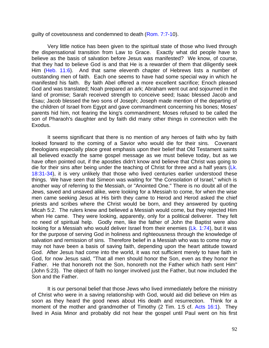guilty of covetousness and condemned to death (Rom. 7:7-10).

Very little notice has been given to the spiritual state of those who lived through the dispensational transition from Law to Grace. Exactly what did people have to believe as the basis of salvation before Jesus was manifested? We know, of course, that they had to believe God is and that He is a rewarder of them that diligently seek Him (Heb. 11:6). And that same eleventh chapter of Hebrews lists a number of outstanding men of faith. Each one seems to have had some special way in which he manifested his faith. By faith Abel offered a more excellent sacrifice; Enoch pleased God and was translated; Noah prepared an ark; Abraham went out and sojourned in the land of promise; Sarah received strength to conceive seed; Isaac blessed Jacob and Esau; Jacob blessed the two sons of Joseph; Joseph made mention of the departing of the children of Israel from Egypt and gave commandment concerning his bones; Moses' parents hid him, not fearing the king's commandment; Moses refused to be called the son of Pharaoh's daughter and by faith did many other things in connection with the Exodus.

It seems significant that there is no mention of any heroes of faith who by faith looked forward to the coming of a Savior who would die for their sins. Covenant theologians especially place great emphasis upon their belief that Old Testament saints all believed exactly the same gospel message as we must believe today, but as we have often pointed out, if the apostles didn't know and believe that Christ was going to die for their sins after being under the teaching of Christ for three and a half years (Lk. 18:31-34), it is very unlikely that those who lived centuries earlier understood these things. We have seen that Simeon was waiting for "the Consolation of Israel," which is another way of referring to the Messiah, or "Anointed One." There is no doubt all of the Jews, saved and unsaved alike, were looking for a Messiah to come, for when the wise men came seeking Jesus at His birth they came to Herod and Herod asked the chief priests and scribes where the Christ would be born, and they answered by quoting Micah 5:2. The rulers knew and believed a Messiah would come, but they rejected Him when He came. They were looking, apparently, only for a political deliverer. They felt no need of spiritual help. Godly men, like the father of John the Baptist were also looking for a Messiah who would deliver Israel from their enemies  $(Lk. 1:74)$ , but it was for the purpose of serving God in holiness and righteousness through the knowledge of salvation and remission of sins. Therefore belief in a Messiah who was to come may or may not have been a basis of saving faith, depending upon the heart attitude toward God. After Jesus had come into the world, it was not sufficient merely to have faith in God, for now Jesus said, "That all men should honor the Son, even as they honor the Father. He that honoreth not the Son, honoreth not the Father which hath sent Him" (John 5:23). The object of faith no longer involved just the Father, but now included the Son and the Father.

It is our personal belief that those Jews who lived immediately before the ministry of Christ who were in a saving relationship with God, would aid did believe on Him as soon as they heard the good news about His death and resurrection. Think for a moment of the mother and grandmother of Timothy (2 Tim. 1:5 cf. Acts 16:1). They lived in Asia Minor and probably did not hear the gospel until Paul went on his first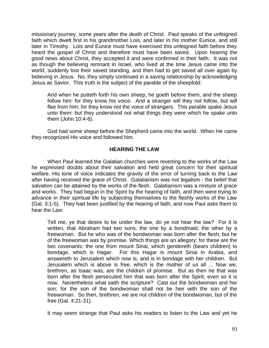missionary journey, some years after the death of Christ. Paul speaks of the unfeigned faith which dwelt first in his grandmother Lois, and later in his mother Eunice, and still later in Timothy. Lois and Eunice must have exercised this unfeigned faith before they heard the gospel of Christ and therefore must have been saved. Upon hearing the good news about Christ, they accepted it and were confirmed in their faith. It was not as though the believing remnant in Israel, who lived at the time Jesus came into the world, suddenly lost their saved standing, and then had to get saved all over again by believing in Jesus. No, they simply continued in a saving relationship by acknowledging Jesus as Savior. This truth is the subject of the parable of the sheepfold:

And when he putteth forth his own sheep, he goeth before them, and the sheep follow him: for they know his voice. And a stranger will they not follow, but will flee from him: for they know not the voice of strangers. This parable spake Jesus unto them: but they understood not what things they were which he spake unto them (John 10:4-6).

God had some sheep before the Shepherd came into the world. When He came they recognized His voice and followed him.

# **HEARING THE LAW**

When Paul learned the Galatian churches were reverting to the works of the Law he expressed doubts about their salvation and held great concern for their spiritual welfare. His tone of voice indicates the gravity of the error of turning back to the Law after having received the grace of Christ. Galatianism was not legalism - the belief that salvation can be attained by the works of the flesh. Galatianism was a mixture of grace and works. They had begun in the Spirit by the hearing of faith, and then were trying to advance in their spiritual life by subjecting themselves to the fleshly works of the Law (Gal. 3:1-5). They had been justified by the hearing of faith, and now Paul asks them to hear the Law:

Tell me, ye that desire to be under the law, do ye not hear the law? For it is written, that Abraham had two sons, the one by a bondmaid, the other by a freewoman. But he who was of the bondwoman was born after the flesh; but he of the freewoman was by promise. Which things are an allegory: for these are the two covenants; the one from mount Sinai, which gendereth (bears children) to bondage, which is Hagar. For this Hagar is mount Sinai in Arabia, and answereth to Jerusalem which now is, and is in bondage with her children. But Jerusalem which is above is free, which is the mother of us all ... Now we, brethren, as Isaac was, are the children of promise. But as then he that was born after the flesh persecuted him that was born after the Spirit, even so it is now. Nevertheless what saith the scripture? Cast out the bondwoman and her son: for the son of the bondwoman shall not be heir with the son of the freewoman. So then, brethren, we are not children of the bondwoman, but of the free (Gal. 4:21-31).

It may seem strange that Paul asks his readers to listen to the Law and yet he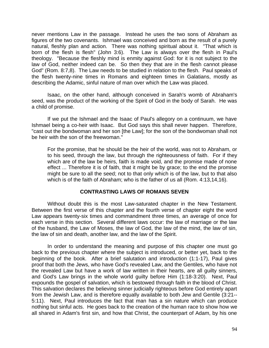never mentions Law in the passage. Instead he uses the two sons of Abraham as figures of the two covenants. Ishmael was conceived and born as the result of a purely natural, fleshly plan and action. There was nothing spiritual about it. "That which is born of the flesh is flesh" (John 3:6). The Law is always over the flesh in Paul's theology. "Because the fleshly mind is enmity against God: for it is not subject to the law of God, neither indeed can be. So then they that are in the flesh cannot please God" (Rom. 8:7,8). The Law needs to be studied in relation to the flesh. Paul speaks of the flesh twenty-nine times in Romans and eighteen times in Galatians, mostly as describing the Adamic, sinful nature of man over which the Law was placed.

Isaac, on the other hand, although conceived in Sarah's womb of Abraham's seed, was the product of the working of the Spirit of God in the body of Sarah. He was a child of promise.

If we put the Ishmael and the Isaac of Paul's allegory on a continuum, we have Ishmael being a co-heir with Isaac. But God says this shall never happen. Therefore, "cast out the bondwoman and her son [the Law]; for the son of the bondwoman shall not be heir with the son of the freewoman."

For the promise, that he should be the heir of the world, was not to Abraham, or to his seed, through the law, but through the righteousness of faith. For if they which are of the law be heirs, faith is made void, and the promise made of none effect ... Therefore it is of faith, that it might be by grace; to the end the promise might be sure to all the seed; not to that only which is of the law, but to that also which is of the faith of Abraham; who is the father of us all (Rom. 4:13,14,16).

## **CONTRASTING LAWS OF ROMANS SEVEN**

Without doubt this is the most Law-saturated chapter in the New Testament. Between the first verse of this chapter and the fourth verse of chapter eight the word Law appears twenty-six times and commandment three times, an average of once for each verse in this section. Several different laws occur: the law of marriage or the law of the husband, the Law of Moses, the law of God, the law of the mind, the law of sin, the law of sin and death, another law, and the law of the Spirit.

In order to understand the meaning and purpose of this chapter one must go back to the previous chapter where the subject is introduced, or better yet, back to the beginning of the book. After a brief salutation and introduction (1:1-17), Paul gives proof that both the Jews, who have God's revealed Law, and the Gentiles, who have not the revealed Law but have a work of law written in their hearts, are all guilty sinners, and God's Law brings in the whole world guilty before Him (1:18-3:20). Next, Paul expounds the gospel of salvation, which is bestowed through faith in the blood of Christ. This salvation declares the believing sinner judicially righteous before God entirely apart from the Jewish Law, and is therefore equally available to both Jew and Gentile (3:21-- 5:11). Next, Paul introduces the fact that man has a sin nature which can produce nothing but sinful acts. He goes back to the creation of the human race to show how we all shared in Adam's first sin, and how that Christ, the counterpart of Adam, by his one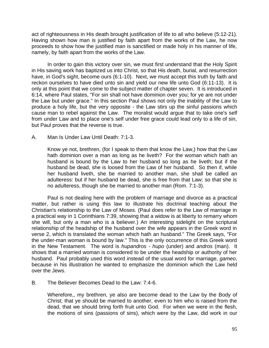act of righteousness in His death brought justification of life to all who believe (5:12-21). Having shown how man is justified by faith apart from the works of the Law, he now proceeds to show how the justified man is sanctified or made holy in his manner of life, namely, by faith apart from the works of the Law.

In order to gain this victory over sin, we must first understand that the Holy Spirit in His saving work has baptized us into Christ, so that His death, burial, and resurrection have, in God's sight, become ours (6:1-10). Next, we must accept this truth by faith and reckon ourselves to have died unto sin and yield our new life unto God (6:11-13). It is only at this point that we come to the subject matter of chapter seven. It is introduced in 6:14, where Paul states, "For sin shall not have dominion over you; for ye are not under the Law but under grace." In this section Paul shows not only the inability of the Law to produce a holy life, but the very opposite - the Law stirs up the sinful passions which cause man to rebel against the Law. The moralist would argue that to take one's self from under Law and to place one's self under free grace could lead only to a life of sin, but Paul proves that the reverse is true.

## A. Man Is Under Law Until Death: 7:1-3.

Know ye not, brethren, (for I speak to them that know the Law,) how that the Law hath dominion over a man as long as he liveth? For the woman which hath an husband is bound by the Law to her husband so long as he liveth; but if the husband be dead, she is loosed from the Law of her husband. So then if, while her husband liveth, she be married to another man, she shall be called an adulteress: but if her husband be dead, she is free from that Law; so that she is no adulteress, though she be married to another man (Rom. 7:1-3).

Paul is not dealing here with the problem of marriage and divorce as a practical matter, but rather is using this law to illustrate his doctrinal teaching about the Christian's relationship to the Law of Moses. (Paul does refer to the Law of marriage in a practical way in 1 Corinthians 7:39, showing that a widow is at liberty to remarry whom she will, but only a man who is a believer.) An interesting sidelight on the scriptural relationship of the headship of the husband over the wife appears in the Greek word in verse 2, which is translated the woman which hath an husband." The Greek says, "For the under-man woman is bound by law." This is the only occurrence of this Greek word in the New Testament. The word is *hupandros - hupo* (under) and *andros* (man). It shows that a married woman is considered to be under the headship or authority of her husband. Paul probably used this word instead of the usual word for marriage, *gameo*, because in his illustration he wanted to emphasize the dominion which the Law held over the Jews.

B. The Believer Becomes Dead to the Law: 7:4-6.

Wherefore,, my brethren, ye also are become dead to the Law by the Body of Christ; that ye should be married to another, even to him who is raised from the dead, that we should bring forth fruit unto God. For when we were in the flesh, the motions of sins (passions of sins), which were by the Law, did work in our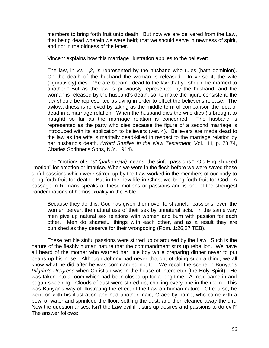members to bring forth fruit unto death. But now we are delivered from the Law, that being dead wherein we were held; that we should serve in newness of spirit, and not in the oldness of the letter.

Vincent explains how this marriage illustration applies to the believer:

The law, in vv. 1,2, is represented by the husband who rules (hath dominion). On the death of the husband the woman is released. In verse 4, the wife (figuratively) dies. "Ye are become dead to the law that ye should be married to another." But as the law is previously represented by the husband, and the woman is released by the husband's death, so, to make the figure consistent, the law should be represented as dying in order to effect the believer's release. The awkwardness is relieved by taking as the middle term of comparison the idea of dead in a marriage relation. When the husband dies the wife dies (is brought to naught) so far as the marriage relation is concerned. The husband is represented as the party who dies because the figure of a second marriage is introduced with its application to believers (ver. 4). Believers are made dead to the law as the wife is maritally dead-killed in respect to the marriage relation by her husband's death. *(Word Studies in the New Testament,* Vol. III, p. 73,74, Charles Scribner's Sons, N.Y. 1914).

The "motions of sins" *(pathemata)* means "the sinful passions." Old English used "motion" for emotion or impulse. When we were in the flesh before we were saved these sinful passions which were stirred up by the Law worked in the members of our body to bring forth fruit for death. But in the new life in Christ we bring forth fruit for God. A passage in Romans speaks of these motions or passions and is one of the strongest condemnations of homosexuality in the Bible.

Because they do this, God has given them over to shameful passions, even the women pervert the natural use of their sex by unnatural acts. In the same way men give up natural sex relations with women and bum with passion for each other. Men do shameful things with each other, and as a result they are punished as they deserve for their wrongdoing (Rom. 1:26,27 TEB).

These terrible sinful passions were stirred up or aroused by the Law. Such is the nature of the fleshly human nature that the commandment stirs up rebellion. We have all heard of the mother who warned her little boy while preparing dinner never to put beans up his nose. Although Johnny had never thought of doing such a thing, we all know what he did after he was commanded not to. We recall the scene in Bunyan's *Pilgrim's Progress* when Christian was in the house of Interpreter (the Holy Spirit). He was taken into a room which had been closed up for a long time. A maid came in and began sweeping. Clouds of dust were stirred up, choking every one in the room. This was Bunyan's way of illustrating the effect of the Law on human nature. Of course, he went on with his illustration and had another maid, Grace by name, who came with a bowl of water and sprinkled the floor, settling the dust, and then cleaned away the dirt. Now the question arises, Isn't the Law evil if it stirs up desires and passions to do evil? The answer follows: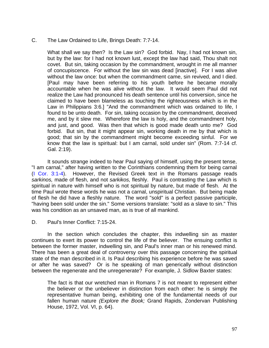### C. The Law Ordained to Life, Brings Death: 7:7-14.

What shall we say then? Is the Law sin? God forbid. Nay, I had not known sin, but by the law: for I had not known lust, except the law had said, Thou shalt not covet. But sin, taking occasion by the commandment, wrought in me all manner of concupiscence. For without the law sin was dead [inactive]. For I was alive without the law once: but when the commandment came, sin revived, and I died. [Paul may have been referring to his youth before he became morally accountable when he was alive without the law. It would seem Paul did not realize the Law had pronounced his death sentence until his conversion, since he claimed to have been blameless as touching the righteousness which is in the Law in Philippians 3:6.] "And the commandment which was ordained to life, I found to be unto death. For sin, taking occasion by the commandment, deceived me, and by it slew me. Wherefore the law is holy, and the commandment holy, and just, and good. Was then that which is good made death unto me? God forbid. But sin, that it might appear sin, working death in me by that which is good; that sin by the commandment might become exceeding sinful. For we know that the law is spiritual: but I am carnal, sold under sin" (Rom. 7:7-14 cf. Gal. 2:19).

It sounds strange indeed to hear Paul saying of himself, using the present tense, "I am carnal," after having written to the Corinthians condemning them for being carnal (I Cor. 3:1-4). However, the Revised Greek text in the Romans passage reads *sarkinos,* made of flesh, and not *sarkikos,* fleshly. Paul is contrasting the Law which is spiritual in nature with himself who is not spiritual by nature, but made of flesh. At the time Paul wrote these words he was not a carnal, unspiritual Christian. But being made of flesh he did have a fleshly nature. The word "sold" is a perfect passive participle, "having been sold under the sin." Some versions translate: "sold as a slave to sin." This was his condition as an unsaved man, as is true of all mankind.

D. Paul's Inner Conflict: 7:15-24.

In the section which concludes the chapter, this indwelling sin as master continues to exert its power to control the life of the believer. The ensuing conflict is between the former master, indwelling sin, and Paul's inner man or his renewed mind. There has been a great deal of controversy over this passage concerning the spiritual state of the man described in it. Is Paul describing his experience before he was saved or after he was saved? Or is he speaking of man generically without distinction between the regenerate and the unregenerate? For example, J. Sidlow Baxter states:

The fact is that our wretched man in Romans 7 is not meant to represent either the believer or the unbeliever in distinction from each other: he is simply the representative human being, exhibiting one of the fundamental needs of our fallen human nature *(Explore the Book;* Grand Rapids, Zondervan Publishing House, 1972, Vol. VI, p. 64).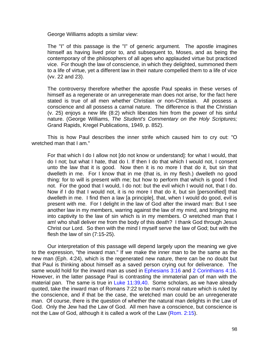George Williams adopts a similar view:

The "I" of this passage is the "I" of generic argument. The apostle imagines himself as having lived prior to, and subsequent to, Moses, and as being the contemporary of the philosophers of all ages who applauded virtue but practiced vice. For though the law of conscience, in which they delighted, summoned them to a life of virtue, yet a different law in their nature compelled them to a life of vice (vv. 22 and 23).

The controversy therefore whether the apostle Paul speaks in these verses of himself as a regenerate or an unregenerate man does not arise, for the fact here stated is true of all men whether Christian or non-Christian. All possess a conscience and all possess a carnal nature. The difference is that the Christian (v. 25) enjoys a new life (8:2) which liberates him from the power of his sinful nature. (George Williams, *The Student's Commentary on the Holy Scriptures;* Grand Rapids, Kregel Publications, 1949, p. 852).

This is how Paul describes the inner strife which caused him to cry out: "O wretched man that I am."

For that which I do I allow not [do not know or understand]: for what I would, that do I not; but what I hate, that do I. If then I do that which I would not, I consent unto the law that it is good. Now then it is no more I that do it, but sin that dwelleth in me. For I know that in me (that is, in my flesh.) dwelleth no good thing: for to will is present with me; but how to perform that which is good I find not. For the good that I would, I do not: but the evil which I would not, that I do. Now if I do that I would not, it is no more I that do it, but sin [personified] that dwelleth in me. I find then a law [a principle], that, when I would do good, evil is present with me. For I delight in the law of God after the inward man: But I see another law in my members, warring against the law of my mind, and bringing me into captivity to the law of sin which is in my members. O wretched man that I am! who shall deliver me from the body of this death? I thank God through Jesus Christ our Lord. So then with the mind I myself serve the law of God; but with the flesh the law of sin (7:15-25).

Our interpretation of this passage will depend largely upon the meaning we give to the expression, "the inward man." If we make the inner man to be the same as the new man (Eph. 4:24), which is the regenerated new nature, there can be no doubt but that Paul is thinking about himself as a saved person crying out for deliverance. The same would hold for the inward man as used in Ephesians 3:16 and 2 Corinthians 4:16. However, in the latter passage Paul is contrasting the immaterial pan of man with the material pan. The same is true in Luke 11:39,40. Some scholars, as we have already quoted, take the inward man of Romans 7:22 to be man's moral nature which is ruled by the conscience, and if that be the case, the wretched man could be an unregenerate man. Of course, there is the question of whether the natural man delights in the Law of God. Only the Jew had the Law of God. All men have a conscience, but conscience is not the Law of God, although it is called a work of the Law (Rom. 2:15).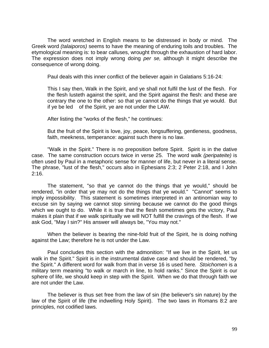The word wretched in English means to be distressed in body or mind. The Greek word *(talaiporos)* seems to have the meaning of enduring toils and troubles. The etymological meaning is: to bear calluses, wrought through the exhaustion of hard labor. The expression does not imply wrong doing *per se,* although it might describe the consequence of wrong doing.

Paul deals with this inner conflict of the believer again in Galatians 5:16-24:

This I say then, Walk in the Spirit, and ye shall not fulfil the lust of the flesh. For the flesh lusteth against the spirit, and the Spirit against the flesh: and these are contrary the one to the other: so that ye cannot do the things that ye would. But if ye be led of the Spirit, ye are not under the LAW.

After listing the "works of the flesh," he continues:

But the fruit of the Spirit is love, joy, peace, longsuffering, gentleness, goodness, faith, meekness, temperance: against such there is no law.

"Walk in the Spirit." There is no preposition before Spirit. Spirit is in the dative case. The same construction occurs twice in verse 25. The word walk *(peripateite)* is often used by Paul in a metaphoric sense for manner of life, but never in a literal sense. The phrase, "lust of the flesh," occurs also in Ephesians 2:3; 2 Peter 2:18, and I John 2:16.

The statement, "so that ye cannot do the things that ye would," should be rendered, "in order that ye may not do the things that ye would." "Cannot" seems to imply impossibility. This statement is sometimes interpreted in an antinomian way to excuse sin by saying we cannot stop sinning because we cannot do the good things which we ought to do. While it is true that the flesh sometimes gets the victory, Paul makes it plain that if we walk spiritually we will NOT fulfill the cravings of the flesh. If we ask God, "May I sin?" His answer will always be, "You may not."

When the believer is bearing the nine-fold fruit of the Spirit, he is doing nothing against the Law; therefore he is not under the Law.

Paul concludes this section with the admonition: "If we live in the Spirit, let us walk in the Spirit." Spirit is in the instrumental dative case and should be rendered, "by the Spirit." A different word for walk from that in verse 16 is used here*. Stoichomen* is a military term meaning "to walk or march in line, to hold ranks." Since the Spirit is our sphere of life, we should keep in step with the Spirit. When we do that through faith we are not under the Law.

The believer is thus set free from the law of sin (the believer's sin nature) by the law of the Spirit of life (the indwelling Holy Spirit). The two laws in Romans 8:2 are principles, not codified laws.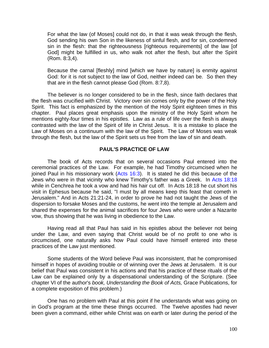For what the law (of Moses] could not do, in that it was weak through the flesh, God sending his own Son in the likeness of sinful flesh, and for sin, condemned sin in the flesh: that the righteousness [righteous requirements] of the law [of God] might be fulfilled in us, who walk not after the flesh, but after the Spirit (Rom. 8:3,4).

Because the carnal [fleshly] mind [which we have by nature] is enmity against God: for it is not subject to the law of God, neither indeed can be. So then they that are in the flesh cannot please God (Rom. 8:7,8).

The believer is no longer considered to be in the flesh, since faith declares that the flesh was crucified with Christ. Victory over sin comes only by the power of the Holy Spirit. This fact is emphasized by the mention of the Holy Spirit eighteen times in this chapter. Paul places great emphasis upon the ministry of the Holy Spirit whom he mentions eighty-four times in his epistles. Law as a rule of life over the flesh is always contrasted with the law of the Spirit of life in Christ Jesus. It is a mistake to place the Law of Moses on a continuum with the law of the Spirit. The Law of Moses was weak through the flesh, but the law of the Spirit sets us free from the law of sin and death.

# **PAUL'S PRACTICE OF LAW**

The book of Acts records that on several occasions Paul entered into the ceremonial practices of the Law. For example, he had Timothy circumcised when he joined Paul in his missionary work (Acts 16:3). It is stated he did this because of the Jews who were in that vicinity who knew Timothy's father was a Greek. In Acts 18:18 while in Cenchrea he took a vow and had his hair cut off. In Acts 18:18 he cut short his visit in Ephesus because he said, "I must by all means keep this feast that cometh in Jerusalem." And in Acts 21:21-24, in order to prove he had not taught the Jews of the dispersion to forsake Moses and the customs, he went into the temple at Jerusalem and shared the expenses for the animal sacrifices for four Jews who were under a Nazarite vow, thus showing that he was living in obedience to the Law.

Having read all that Paul has said in his epistles about the believer not being under the Law, and even saying that Christ would be of no profit to one who is circumcised, one naturally asks how Paul could have himself entered into these practices of the Law just mentioned.

Some students of the Word believe Paul was inconsistent, that he compromised himself in hopes of avoiding trouble or of winning over the Jews at Jerusalem. It is our belief that Paul was consistent in his actions and that his practice of these rituals of the Law can be explained only by a dispensational understanding of the Scripture. (See chapter VI of the author's *book, Understanding the Book of Acts,* Grace Publications, for a complete exposition of this problem.)

One has no problem with Paul at this point if he understands what was going on in God's program at the time these things occurred. The Twelve apostles had never been given a command, either while Christ was on earth or later during the period of the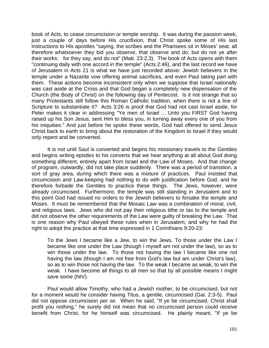book of Acts, to cease circumcision or temple worship. It was during the passion week, just a couple of days before His crucifixion, that Christ spoke some of His last instructions to His apostles "saying, the scribes and the Pharisees sit in Moses' seat: all therefore whatsoever they bid you observe, that observe and do; but do not ye after their works: for they say, and do not" (Matt. 23:2,3). The book of Acts opens with them "continuing daily with one accord in the temple" (Acts 2:46), and the last record we have of Jerusalem in Acts 21 is what we have just recorded above: Jewish believers in the temple under a Nazarite vow offering animal sacrifices, and even Paul taking part with them. These actions become inconsistent only when we suppose that Israel nationally was cast aside at the Cross and that God began a completely new dispensation of the Church (the Body of Christ) on the following day of Pentecost. Is it not strange that so many Protestants still follow this Roman Catholic tradition, when there is not a line of Scripture to substantiate it? Acts 3:26 is proof that God had not cast Israel aside, for Peter makes it clear in addressing "Ye men of Israel ... Unto you FIRST God having raised up his Son Jesus, sent Him to bless you, in turning away every one of you from his iniquities." And just before he spoke these words, God had offered to send Jesus Christ back to earth to bring about the restoration of the Kingdom to Israel if they would only repent and be converted.

It is not until Saul is converted and begins his missionary travels to the Gentiles and begins writing epistles to his converts that we hear anything at all about God doing something different, entirely apart from Israel and the Law of Moses. And that change of program, outwardly, did not take place suddenly. There was a period of transition, a sort of gray area, during which there was a mixture of practices. Paul insisted that circumcision and Law-keeping had nothing to do with justification before God, and he therefore forbade the Gentiles to practice these things. The Jews, however, were already circumcised. Furthermore, the temple was still standing in Jerusalem and to this point God had issued no orders to the Jewish believers to forsake the temple and Moses. It must be remembered that the Mosaic Law was a combination of moral, civil, and religious laws. Jews who did not pay their religious tithe or tax to the temple and did not observe the other requirements of the Law were guilty of breaking the Law. That is one reason why Paul obeyed these rules when in Jerusalem, and why he had the right to adopt the practice at that time expressed in 1 Corinthians 9:20-23:

To the Jews I became like a Jew, to win the Jews, To those under the Law I became like one under the Law (though I myself am not under the law), so as to win those under the law. To those not having the law I became like one not having the law (though I am not free from God's law but am under Christ's law), so as to win those not having the law. To the weak I became as weak, to win the weak. I have become all things to all men so that by all possible means I might save some (NIV).

Paul would allow Timothy, who had a Jewish mother, to be circumcised, but not for a moment would he consider having Titus, a gentile, circumcised (Gal. 2:3-5). Paul did not oppose circumcision *per se.* When he said, "If ye be circumcised, Christ shall profit you nothing," he surely did not mean that no circumcised person could receive benefit from Christ, for he himself was circumcised. He plainly meant, "If ye be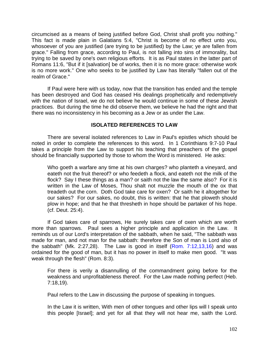circumcised as a means of being justified before God, Christ shall profit you nothing." This fact is made plain in Galatians 5:4, "Christ is become of no effect unto you, whosoever of you are justified (are trying to be justified) by the Law; ye are fallen from grace." Falling from grace, according to Paul, is not falling into sins of immorality, but trying to be saved by one's own religious efforts. It is as Paul states in the latter part of Romans 11:6, "But if it [salvation] be of works, then it is no more grace: otherwise work is no more work." One who seeks to be justified by Law has literally "fallen out of the realm of Grace."

If Paul were here with us today, now that the transition has ended and the temple has been destroyed and God has ceased His dealings prophetically and redemptively with the nation of Israel, we do not believe he would continue in some of these Jewish practices. But during the time he did observe them, we believe he had the right and that there was no inconsistency in his becoming as a Jew or as under the Law.

## **ISOLATED REFERENCES TO LAW**

There are several isolated references to Law in Paul's epistles which should be noted in order to complete the references to this word. In 1 Corinthians 9:7-10 Paul takes a principle from the Law to support his teaching that preachers of the gospel should be financially supported by those to whom the Word is ministered. He asks:

Who goeth a warfare any time at his own charges? who planteth a vineyard, and eateth not the fruit thereof? or who feedeth a flock, and eateth not the milk of the flock? Say I these things as a man? or saith not the law the same also? For it is written in the Law of Moses, Thou shalt not muzzle the mouth of the ox that treadeth out the corn. Doth God take care for oxen? Or saith he it altogether for our sakes? For our sakes, no doubt, this is written: that he that ploweth should plow in hope; and that he that thresheth in hope should be partaker of his hope. (cf. Deut. 25:4).

If God takes care of sparrows, He surely takes care of oxen which are worth more than sparrows. Paul sees a higher principle and application in the Law. It reminds us of our Lord's interpretation of the sabbath, when he said, "The sabbath was made for man, and not man for the sabbath: therefore the Son of man is Lord also of the sabbath" (Mk. 2:27,28). The Law is good in itself  $(Rom. 7:12,13,16)$  and was ordained for the good of man, but it has no power in itself to make men good. "It was weak through the flesh" (Rom. 8:3).

For there is verily a disannulling of the commandment going before for the weakness and unprofitableness thereof. For the Law made nothing perfect (Heb. 7:18,19).

Paul refers to the Law in discussing the purpose of speaking in tongues.

In the Law it is written, With men of other tongues and other lips will I speak unto this people [Israel]; and yet for all that they will not hear me, saith the Lord.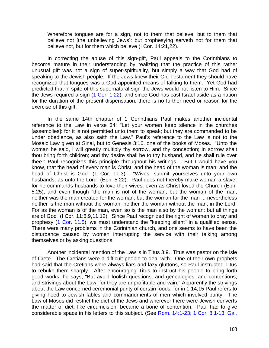Wherefore tongues are for a sign, not to them that believe, but to them that believe not [the unbelieving Jews]: but prophesying serveth not for them that believe not, but for them which believe (I Cor. 14:21,22).

In correcting the abuse of this sign-gift, Paul appeals to the Corinthians to become mature in their understanding by realizing that the practice of this rather unusual gift was not a sign of super-spirituality, but simply a way that God had of speaking to the Jewish people. If the Jews knew their Old Testament they should have recognized that tongues was a God-appointed means of talking to them. Yet God had predicted that in spite of this supernatural sign the Jews would not listen to Him. Since the Jews required a sign (1 Cor. 1:22), and since God has cast Israel aside as a nation for the duration of the present dispensation, there is no further need or reason for the exercise of this gift.

In the same 14th chapter of 1 Corinthians Paul makes another incidental reference to the Law in verse 34: "Let your women keep silence in the churches [assemblies]: for it is not permitted unto them to speak; but they are commanded to be under obedience, as also saith the Law." Paul's reference to the Law is not to the Mosaic Law given at Sinai, but to Genesis 3:16, one of the books of Moses. "Unto the woman he said, l will greatly multiply thy sorrow, and thy conception; in sorrow shalt thou bring forth children; and thy desire shall be to thy husband, and he shall rule over thee." Paul recognizes this principle throughout his writings. "But I would have you know, that the head of every man is Christ; and the head of the woman is man; and the head of Christ is God" (1 Cor. 11:3). "Wives, submit yourselves unto your own husbands, as unto the Lord" (Eph. 5:22). Paul does not thereby make woman a slave, for he commands husbands to love their wives, even as Christ loved the Church (Eph. 5:25), and even though "the man is not of the woman, but the woman of the man, neither was the man created for the woman, but the woman for the man ... nevertheless neither is the man without the woman, neither the woman without the man, in the Lord. For as the woman is of the man, even so is the man also by the woman: but all things are of God" (I Cor. 11:8,9,11,12). Since Paul recognized the right of women to pray and prophesy (1 Cor. 11*:*5), we must understand the "keeping silent" in a qualified sense. There were many problems in the Corinthian church, and one seems to have been the disturbance caused by women interrupting the service with their talking among themselves or by asking questions.

Another incidental mention of the Law is in Titus 3:9. Titus was pastor on the isle of Crete. The Cretians were a difficult people to deal with. One of their own prophets had said that the Cretians were always liars and lazy gluttons, so Paul instructed Titus to rebuke them sharply. After encouraging Titus to instruct his people to bring forth good works, he says, "But avoid foolish questions, and genealogies, and contentions, and strivings about the Law; for they are unprofitable and vain." Apparently the strivings about the Law concerned ceremonial purity of certain foods, for in 1:14,15 Paul refers to giving heed to Jewish fables and commandments of men which involved purity. The Law of Moses did restrict the diet of the Jews and wherever there were Jewish converts the matter of diet, like circumcision, became a bone of contention. Paul had to give considerable space in his letters to this subject. (See Rom. 14:1-23; 1 Cor. 8:1-13; Gal.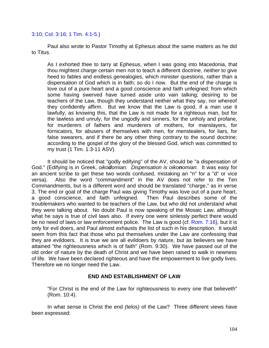### 3:10; Col. 3:16; 1 Tim. 4:1-5.)

Paul also wrote to Pastor Timothy at Ephesus about the same matters as he did to Titus.

As I exhorted thee to tarry at Ephesus, when I was going into Macedonia, that thou mightest charge certain men not to teach a different doctrine, neither to give heed to fables and endless genealogies, which minister questions, rather than a dispensation of God which is in faith; so do I now. But the end of the charge is love out of a pure heart and a good conscience and faith unfeigned: from which some having swerved have turned aside unto vain talking; desiring to be teachers of the Law, though they understand neither what they say, nor whereof they confidently affirm. But we know that the Law is good, if a man use it lawfully, as knowing this, that the Law is not made for a righteous man, but for the lawless and unruly, for the ungodly and sinners, for the unholy and profane, for murderers of fathers and murderers of mothers, for manslayers, for fornicators, for abusers of themselves with men, for menstealers, for liars, for false swearers, and if there be any other thing contrary to the sound doctrine; according to the gospel of the glory of the blessed God, which was committed to my trust (1 Tim. 1:3-11 ASV).

It should be noticed that "godly edifying" of the AV, should be "a dispensation of God." (Edifying is in Greek, *oikodomian. Dispensation is oikonomian.* It was easy for an ancient scribe to get these two words confused, mistaking an "n" for a "d" or vice versa). Also the word "commandment" in the AV does not refer to the Ten Commandments, but is a different word and should be translated "charge," as in verse 3. The end or goal of the charge Paul was giving Timothy was love out of a pure heart, a good conscience, and faith unfeigned. Then Paul describes some of the troublemakers who wanted to be teachers of the Law, but who did not understand what they were talking about. No doubt Paul is now speaking of the Mosaic Law, although what he says is true of civil laws also. If every one were sinlessly perfect there would be no need of laws or law enforcement police. The Law is good (cf. Rom. 7:16), but it is only for evil doers, and Paul almost exhausts the list of such in his description. It would seem from this fact that those who put themselves under the Law are confessing that they are evildoers. It is true we are all evildoers by nature, but as believers we have attained "the righteousness which is of faith" (Rom. 9:30). We have passed out of the old order of nature by the death of Christ and we have been raised to walk in newness of life. We have been declared righteous and have the empowerment to live godly lives. Therefore we no longer need the Law.

## **END AND ESTABLISHMENT OF LAW**

"For Christ is the end of the Law for righteousness to every one that believeth" (Rom. 10:4).

In what sense is Christ the end *(telos)* of the Law? Three different views have been expressed: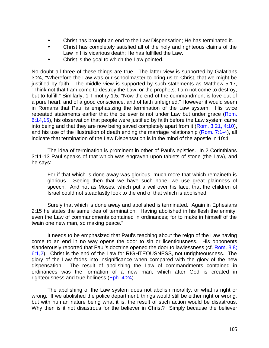- Christ has brought an end to the Law Dispensation; He has terminated it.
- Christ has completely satisfied all of the holy and righteous claims of the Law in His vicarious death; He has fulfilled the Law.
- Christ is the goal to which the Law pointed.

No doubt all three of these things are true. The latter view is supported by Galatians 3:24, "Wherefore the Law was our schoolmaster to bring us to Christ, that we might be justified by faith." The middle view is supported by such statements as Matthew 5:17, "Think not that I am come to destroy the Law, or the prophets: I am not come to destroy, but to fulfill." Similarly, 1 Timothy 1:5, "Now the end of the commandment is love out of a pure heart, and of a good conscience, and of faith unfeigned." However it would seem in Romans that Paul is emphasizing the termination of the Law system. His twice repeated statements earlier that the believer is not under Law but under grace (Rom. 6:14,15), his observation that people were justified by faith before the Law system came into being and that they are now being saved completely apart from it (Rom. 3:21, 4:10), and his use of the illustration of death ending the marriage relationship (Rom. 7:1-4), all indicate that termination of the Law Dispensation is in the mind of the apostle in 10:4.

The idea of termination is prominent in other of Paul's epistles. In 2 Corinthians 3:11-13 Paul speaks of that which was engraven upon tablets of stone (the Law), and he says:

For if that which is done away was glorious, much more that which remaineth is glorious. Seeing then that we have such hope, we use great plainness of speech. And not as Moses, which put a veil over his face, that the children of Israel could not steadfastly look to the end of that which is abolished.

Surely that which is done away and abolished is terminated. Again in Ephesians 2:15 he states the same idea of termination, "Having abolished in his flesh the enmity, even the Law of commandments contained in ordinances; for to make in himself of the twain one new man, so making peace."

It needs to be emphasized that Paul's teaching about the reign of the Law having come to an end in no way opens the door to sin or licentiousness. His opponents slanderously reported that Paul's doctrine opened the door to lawlessness (cf. Rom. 3:8; 6:1,2). Christ is the end of the Law for RIGHTEOUSNESS, not unrighteousness. The glory of the Law fades into insignificance when compared with the glory of the new dispensation. The result of abolishing the Law of commandments contained in ordinances was the formation of a new man, which after God is created in righteousness and true holiness (Eph. 4:24).

The abolishing of the Law system does not abolish morality, or what is right or wrong. If we abolished the police department, things would still be either right or wrong, but with human nature being what it is, the result of such action would be disastrous. Why then is it not disastrous for the believer in Christ? Simply because the believer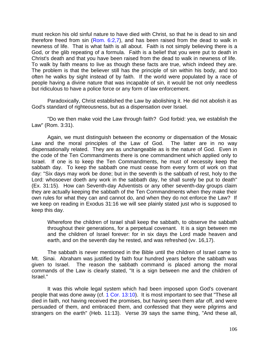must reckon his old sinful nature to have died with Christ, so that he is dead to sin and therefore freed from sin (Rom.  $6:2.7$ ), and has been raised from the dead to walk in newness of life. That is what faith is all about. Faith is not simply believing there is a God, or the glib repeating of a formula. Faith is a belief that you were put to death in Christ's death and that you have been raised from the dead to walk in newness of life. To walk by faith means to live as though these facts are true, which indeed they are. The problem is that the believer still has the principle of sin within his body, and too often he walks by sight instead of by faith. If the world were populated by a race of people having a divine nature that was incapable of sin, it would be not only needless but ridiculous to have a police force or any form of law enforcement.

Paradoxically, Christ established the Law by abolishing it. He did not abolish it as God's standard of righteousness, but as a dispensation over Israel.

"Do we then make void the Law through faith? God forbid: yea, we establish the Law" (Rom. 3:31).

Again, we must distinguish between the economy or dispensation of the Mosaic Law and the moral principles of the Law of God. The latter are in no way dispensationally related. They are as unchangeable as is the nature of God. Even in the code of the Ten Commandments there is one commandment which applied only to Israel. If one is to keep the Ten Commandments, he must of necessity keep the sabbath day. To keep the sabbath one must cease from every form of work on that day: "Six days may work be done; but in the seventh is the sabbath of rest, holy to the Lord: whosoever doeth any work in the sabbath day, he shall surely be put to death" (Ex. 31:15). How can Seventh-day Adventists or any other seventh-day groups claim they are actually keeping the sabbath of the Ten Commandments when they make their own rules for what they can and cannot do, and when they do not enforce the Law? If we keep on reading in Exodus 31:16 we will see plainly stated just who is supposed to keep this day.

Wherefore the children of Israel shall keep the sabbath, to observe the sabbath throughout their generations, for a perpetual covenant. It is a sign between me and the children of Israel forever: for in six days the Lord made heaven and earth, and on the seventh day he rested, and was refreshed (vv. 16,17).

The sabbath is never mentioned in the Bible until the children of Israel came to Mt. Sinai. Abraham was justified by faith four hundred years before the sabbath was given to Israel. The reason the sabbath command is placed among the moral commands of the Law is clearly stated, "It is a sign between me and the children of Israel."

It was this whole legal system which had been imposed upon God's covenant people that was done away (cf. 1 Cor. 13:10). It is most important to see that "These all died in faith, not having received the promises, but having seen them afar off, and were persuaded of them, and embraced them, and confessed that they were pilgrims and strangers on the earth" (Heb. 11:13). Verse 39 says the same thing, "And these all,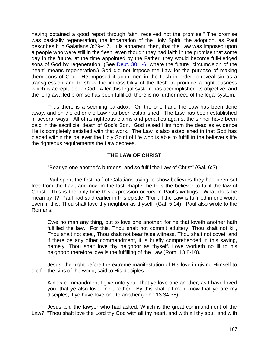having obtained a good report through faith, received not the promise." The promise was basically regeneration, the impartation of the Holy Spirit, the adoption, as Paul describes it in Galatians 3:29-4:7. It is apparent, then, that the Law was imposed upon a people who were still in the flesh, even though they had faith in the promise that some day in the future, at the time appointed by the Father, they would become full-fledged sons of God by regeneration. (See Deut. 30:1-6, where the future "circumcision of the heart" means regeneration.) God did not impose the Law for the purpose of making them sons of God. He imposed it upon men in the flesh in order to reveal sin as a transgression and to show the impossibility of the flesh to produce a righteousness which is acceptable to God. After this legal system has accomplished its objective, and the long awaited promise has been fulfilled, there is no further need of the legal system.

Thus there is a seeming paradox. On the one hand the Law has been done away, and on the other the Law has been established. The Law has been established in several ways. All of its righteous claims and penalties against the sinner have been paid in the sacrificial death of God's Son. God raised Him from the dead as evidence He is completely satisfied with that work. The Law is also established in that God has placed within the believer the Holy Spirit of life who is able to fulfill in the believer's life the righteous requirements the Law decrees.

# **THE LAW OF CHRIST**

"Bear ye one another's burdens, and so fulfil the Law of Christ" (Gal. 6:2).

Paul spent the first half of Galatians trying to show believers they had been set free from the Law, and now in the last chapter he tells the believer to fulfil the law of Christ. This is the only time this expression occurs in Paul's writings. What does he mean by it? Paul had said earlier in this epistle, "For all the Law is fulfilled in one word, even in this; Thou shalt love thy neighbor as thyself" (Gal. 5:14). Paul also wrote to the Romans:

Owe no man any thing, but to love one another: for he that loveth another hath fulfilled the law. For this, Thou shalt not commit adultery, Thou shalt not kill, Thou shalt not steal, Thou shalt not bear false witness, Thou shalt not covet; and if there be any other commandment, it is briefly comprehended in this saying, namely, Thou shalt love thy neighbor as thyself. Love worketh no ill to his neighbor: therefore love is the fulfilling of the Law (Rom. 13:8-10).

Jesus, the night before the extreme manifestation of His love in giving Himself to die for the sins of the world, said to His disciples:

A new commandment I give unto you, That ye love one another; as I have loved you, that ye also love one another. By this shall all men know that ye are my disciples, if ye have love one to another (John 13:34,35).

Jesus told the lawyer who had asked, Which is the great commandment of the Law? "Thou shalt love the Lord thy God with all thy heart, and with all thy soul, and with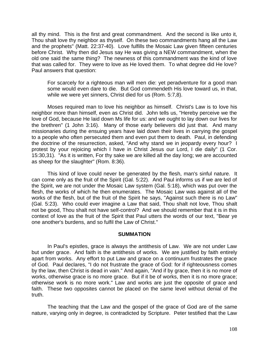all thy mind. This is the first and great commandment. And the second is like unto it, Thou shalt love thy neighbor as thyself. On these two commandments hang all the Law and the prophets" (Matt. 22:37-40). Love fulfills the Mosaic Law given fifteen centuries before Christ. Why then did Jesus say He was giving a NEW commandment, when the old one said the same thing? The newness of this commandment was the kind of love that was called for. They were to love as He loved them. To what degree did He love? Paul answers that question:

For scarcely for a righteous man will men die: yet peradventure for a good man some would even dare to die. But God commendeth His love toward us, in that, while we were yet sinners, Christ died for us (Rom. 5:7,8).

Moses required man to love his neighbor as himself. Christ's Law is to love his neighbor more than himself, even as Christ did. John tells us, "Hereby perceive we the love of God, because He laid down Ms life for us: and we ought to lay down our lives for the brethren" (1 John 3:16). Many of those early believers did just that. And many missionaries during the ensuing years have laid down their lives in carrying the gospel to a people who often persecuted them and even put them to death. Paul, in defending the doctrine of the resurrection, asked, "And why stand we in jeopardy every hour? I protest by your rejoicing which I have in Christ Jesus our Lord, I die daily" (1 Cor. 15:30,31). "As it is written, For thy sake we are killed all the day long; we are accounted as sheep for the slaughter" (Rom. 8:36).

This kind of love could never be generated by the flesh, man's sinful nature. It can come only as the fruit of the Spirit (Gal. 5:22). And Paul informs us if we are led of the Spirit, we are not under the Mosaic Law system (Gal. 5:18), which was put over the flesh, the works of which he then enumerates. The Mosaic Law was against all of the works of the flesh, but of the fruit of the Spirit he says, "Against such there is no Law" (Gal. 5:23). Who could ever imagine a Law that said, Thou shalt not love, Thou shalt not be good, Thou shalt not have self-control? And we should remember that it is in this context of love as the fruit of the Spirit that Paul utters the words of our text, "Bear ye one another's burdens, and so fulfil the Law of Christ."

## **SUMMATION**

In Paul's epistles, grace is always the antithesis of Law. We are not under Law but under grace. And faith is the antithesis of works. We are justified by faith entirely apart from works. Any effort to put Law and grace on a continuum frustrates the grace of God. Paul declares, "I do not frustrate the grace of God: for if righteousness comes by the law, then Christ is dead in vain." And again, "And if by grace, then it is no more of works, otherwise grace is no more grace. But if it be of works, then it is no more grace; otherwise work is no more work." Law and works are just the opposite of grace and faith. These two opposites cannot be placed on the same level without denial of the truth.

The teaching that the Law and the gospel of the grace of God are of the same nature, varying only in degree, is contradicted by Scripture. Peter testified that the Law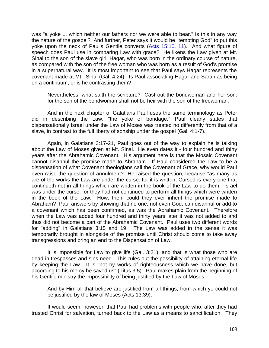was "a yoke ... which neither our fathers nor we were able to bear." Is this in any way the nature of the gospel? And further, Peter says it would be "tempting God" to put this yoke upon the neck of Paul's Gentile converts (Acts 15:10, 11). And what figure of speech does Paul use in comparing Law with grace? He likens the Law given at Mt. Sinai to the son of the slave girl, Hagar, who was born in the ordinary course of nature, as compared with the son of the free woman who was born as a result of God's promise in a supernatural way. It is most important to see that Paul says Hagar represents the covenant made at Mt. Sinai (Gal. 4:24). Is Paul associating Hagar and Sarah as being on a continuum, or is he contrasting them?

Nevertheless, what saith the scripture? Cast out the bondwoman and her son: for the son of the bondwoman shall not be heir with the son of the freewoman.

And in the next chapter of Galatians Paul uses the same terminology as Peter did in describing the Law, "the yoke of bondage." Paul clearly states that dispensationally Israel under the Law of Moses was treated no differently from that of a slave, in contrast to the full liberty of sonship under the gospel (Gal. 4:1-7).

Again, in Galatians 3:17-21, Paul goes out of the way to explain he is talking about the Law of Moses given at Mt. Sinai. He even dates it - four hundred and thirty years after the Abrahamic Covenant. His argument here is that the Mosaic Covenant cannot disannul the promise made to Abraham. If Paul considered the Law to be a dispensation of what Covenant theologians call the Covenant of Grace, why would Paul even raise the question of annulment? He raised the question, because "as many as are of the works the Law are under the curse: for it is written, Cursed is every one that continueth not in all things which are written in the book of the Law to do them." Israel was under the curse, for they had not continued to perform all things which were written in the book of the Law. How, then, could they ever inherit the promise made to Abraham? Paul answers by showing that no one, not even God, can disannul or add to a covenant which has been confirmed, as was the Abrahamic Covenant. Therefore when the Law was added four hundred and thirty years later it was not added to and thus did not become a part of the Abrahamic Covenant. Paul uses two different words for "adding" in Galatians 3:15 and 19. The Law was added in the sense it was temporarily brought in alongside of the promise until Christ should come to take away transgressions and bring an end to the Dispensation of Law.

It is impossible for Law to give life (Gal. 3:21), and that is what those who are dead in trespasses and sins need. This rules out the possibility of attaining eternal life by keeping the Law. It is "not by works of righteousness which we have done, but according to his mercy he saved us" (Titus 3:5). Paul makes plain from the beginning of his Gentile ministry the impossibility of being justified by the Law of Moses.

And by Him all that believe are justified from all things, from which ye could not be justified by the law of Moses (Acts 13:39).

It would seem, however, that Paul had problems with people who, after they had trusted Christ for salvation, turned back to the Law as a means to sanctification. They